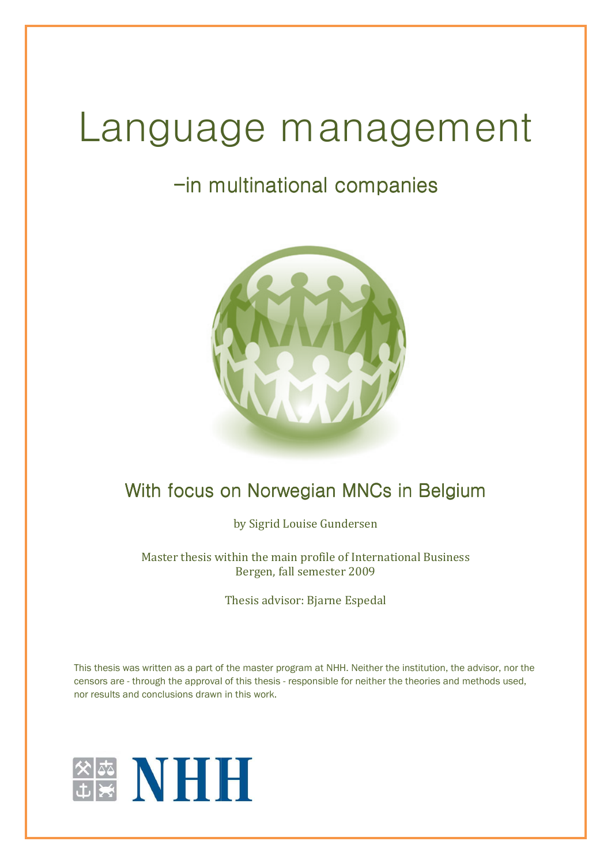# Language management

# -in multinational companies in companies



# With focus on Norwegian MNCs in Belgium Belgium

by Sigrid Louise Gundersen

Master thesis within the main profile of International Business Bergen, fall semester 2009

Thesis advisor: Bjarne Espedal

This thesis was written as a part of the master program at NHH. Neither the institution, the advisor, nor the This thesis was written as a part of the master program at NHH. Neither the institution, the advisor, nor th<br>censors are - through the approval of this thesis - responsible for neither the theories and methods used, nor results and conclusions drawn in this work.

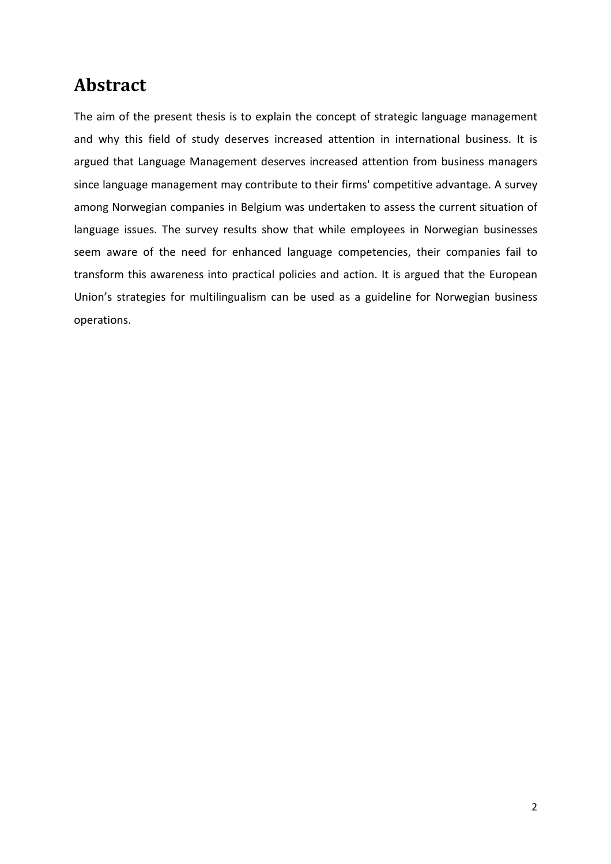# **Abstract**

The aim of the present thesis is to explain the concept of strategic language management and why this field of study deserves increased attention in international business. It is argued that Language Management deserves increased attention from business managers since language management may contribute to their firms' competitive advantage. A survey among Norwegian companies in Belgium was undertaken to assess the current situation of language issues. The survey results show that while employees in Norwegian businesses seem aware of the need for enhanced language competencies, their companies fail to transform this awareness into practical policies and action. It is argued that the European Union's strategies for multilingualism can be used as a guideline for Norwegian business operations.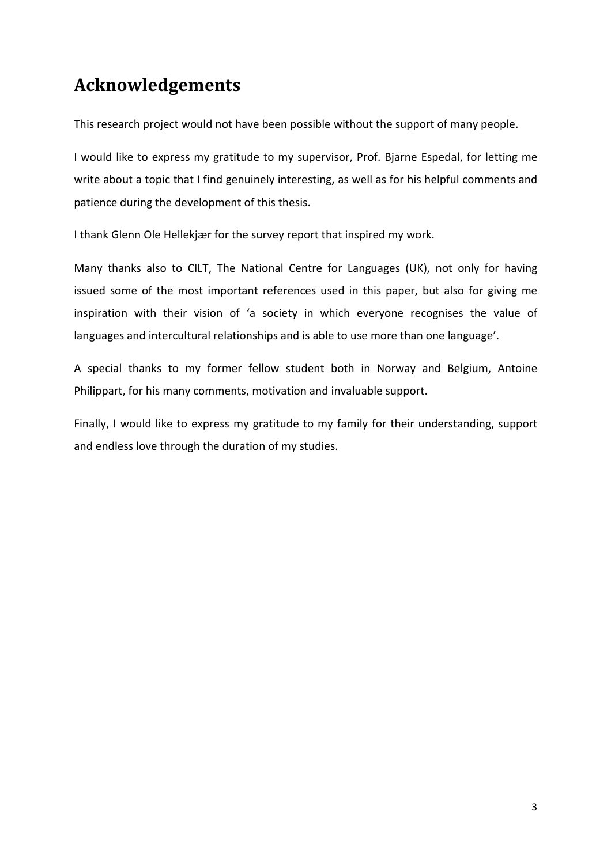# **Acknowledgements**

This research project would not have been possible without the support of many people.

I would like to express my gratitude to my supervisor, Prof. Bjarne Espedal, for letting me write about a topic that I find genuinely interesting, as well as for his helpful comments and patience during the development of this thesis.

I thank Glenn Ole Hellekjær for the survey report that inspired my work.

Many thanks also to CILT, The National Centre for Languages (UK), not only for having issued some of the most important references used in this paper, but also for giving me inspiration with their vision of 'a society in which everyone recognises the value of languages and intercultural relationships and is able to use more than one language'.

A special thanks to my former fellow student both in Norway and Belgium, Antoine Philippart, for his many comments, motivation and invaluable support.

Finally, I would like to express my gratitude to my family for their understanding, support and endless love through the duration of my studies.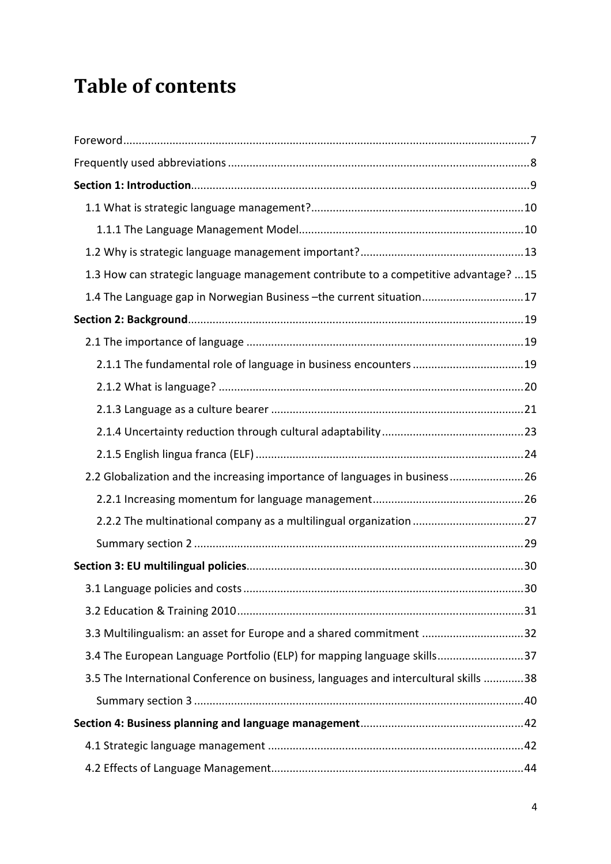# **Table of contents**

| 1.3 How can strategic language management contribute to a competitive advantage? 15 |    |
|-------------------------------------------------------------------------------------|----|
| 1.4 The Language gap in Norwegian Business - the current situation17                |    |
|                                                                                     |    |
|                                                                                     |    |
| 2.1.1 The fundamental role of language in business encounters 19                    |    |
|                                                                                     |    |
|                                                                                     |    |
|                                                                                     |    |
|                                                                                     |    |
| 2.2 Globalization and the increasing importance of languages in business26          |    |
|                                                                                     |    |
|                                                                                     |    |
|                                                                                     |    |
|                                                                                     |    |
|                                                                                     | 30 |
|                                                                                     |    |
| 3.3 Multilingualism: an asset for Europe and a shared commitment 32                 |    |
| 3.4 The European Language Portfolio (ELP) for mapping language skills37             |    |
| 3.5 The International Conference on business, languages and intercultural skills 38 |    |
|                                                                                     |    |
|                                                                                     |    |
|                                                                                     |    |
|                                                                                     |    |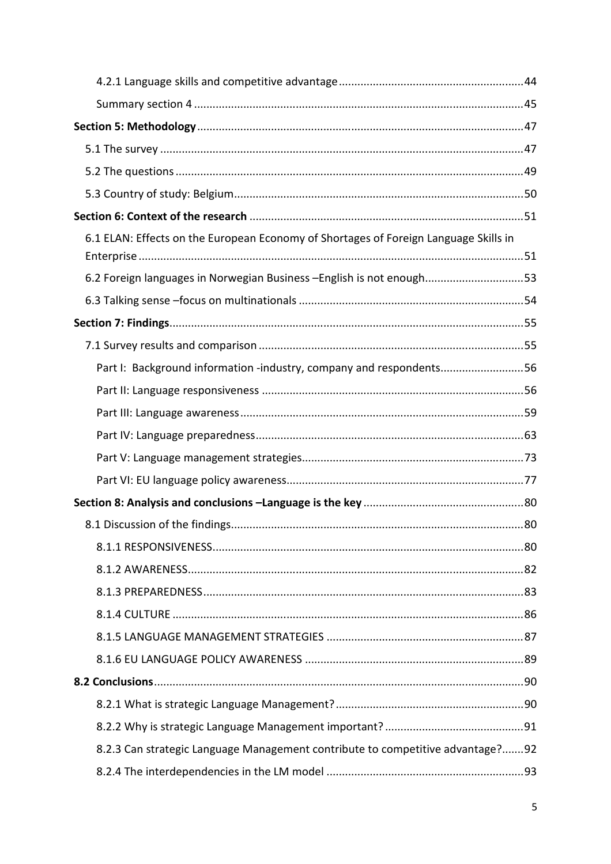| 6.1 ELAN: Effects on the European Economy of Shortages of Foreign Language Skills in |  |
|--------------------------------------------------------------------------------------|--|
| 6.2 Foreign languages in Norwegian Business - English is not enough53                |  |
|                                                                                      |  |
|                                                                                      |  |
|                                                                                      |  |
| Part I: Background information -industry, company and respondents56                  |  |
|                                                                                      |  |
|                                                                                      |  |
|                                                                                      |  |
|                                                                                      |  |
|                                                                                      |  |
|                                                                                      |  |
|                                                                                      |  |
|                                                                                      |  |
|                                                                                      |  |
|                                                                                      |  |
|                                                                                      |  |
|                                                                                      |  |
|                                                                                      |  |
|                                                                                      |  |
|                                                                                      |  |
|                                                                                      |  |
| 8.2.3 Can strategic Language Management contribute to competitive advantage?92       |  |
|                                                                                      |  |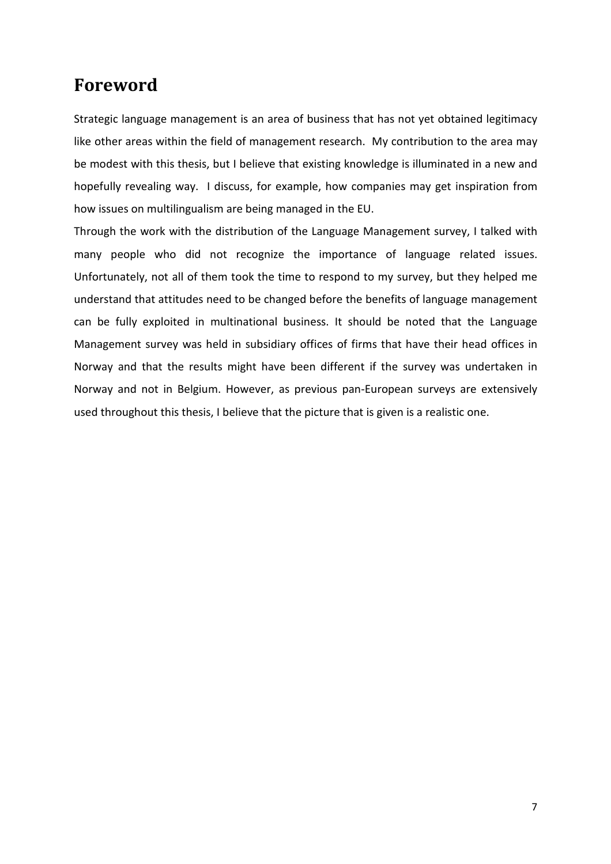## **Foreword**

Strategic language management is an area of business that has not yet obtained legitimacy like other areas within the field of management research. My contribution to the area may be modest with this thesis, but I believe that existing knowledge is illuminated in a new and hopefully revealing way. I discuss, for example, how companies may get inspiration from how issues on multilingualism are being managed in the EU.

Through the work with the distribution of the Language Management survey, I talked with many people who did not recognize the importance of language related issues. Unfortunately, not all of them took the time to respond to my survey, but they helped me understand that attitudes need to be changed before the benefits of language management can be fully exploited in multinational business. It should be noted that the Language Management survey was held in subsidiary offices of firms that have their head offices in Norway and that the results might have been different if the survey was undertaken in Norway and not in Belgium. However, as previous pan-European surveys are extensively used throughout this thesis, I believe that the picture that is given is a realistic one.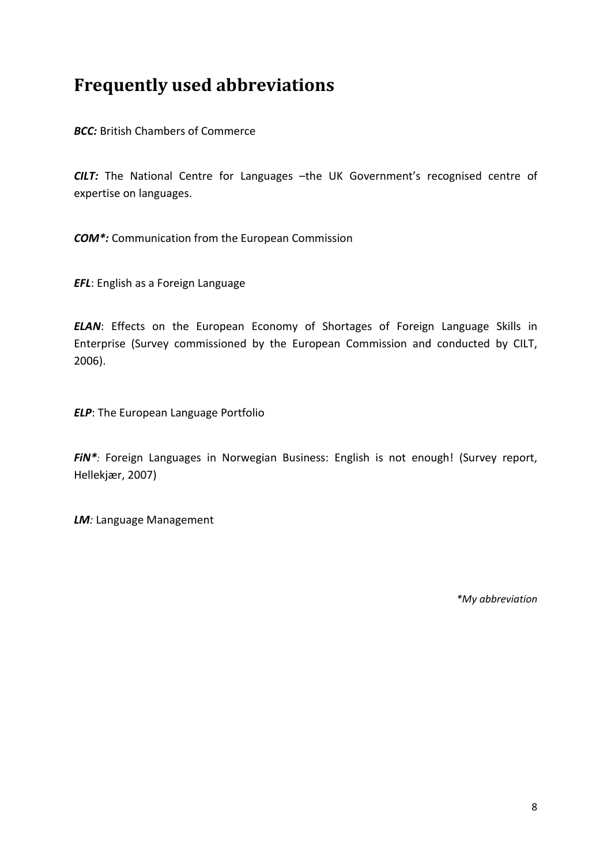# **Frequently used abbreviations**

*BCC:* British Chambers of Commerce

*CILT:* The National Centre for Languages –the UK Government's recognised centre of expertise on languages.

*COM\*:* Communication from the European Commission

*EFL*: English as a Foreign Language

*ELAN*: Effects on the European Economy of Shortages of Foreign Language Skills in Enterprise (Survey commissioned by the European Commission and conducted by CILT, 2006).

*ELP*: The European Language Portfolio

*FiN\*:* Foreign Languages in Norwegian Business: English is not enough! (Survey report, Hellekjær, 2007)

*LM:* Language Management

*\*My abbreviation*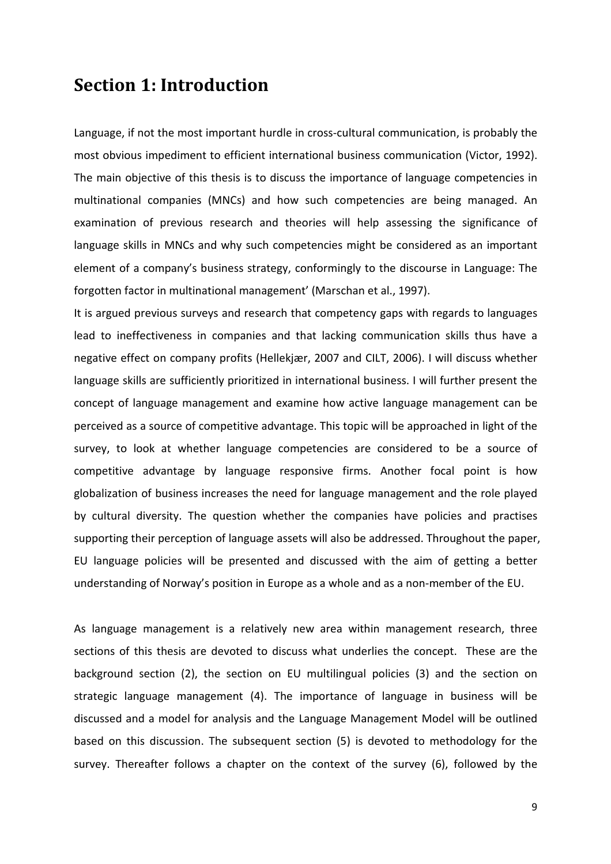## **Section 1: Introduction**

Language, if not the most important hurdle in cross-cultural communication, is probably the most obvious impediment to efficient international business communication (Victor, 1992). The main objective of this thesis is to discuss the importance of language competencies in multinational companies (MNCs) and how such competencies are being managed. An examination of previous research and theories will help assessing the significance of language skills in MNCs and why such competencies might be considered as an important element of a company's business strategy, conformingly to the discourse in Language: The forgotten factor in multinational management' (Marschan et al., 1997).

It is argued previous surveys and research that competency gaps with regards to languages lead to ineffectiveness in companies and that lacking communication skills thus have a negative effect on company profits (Hellekjær, 2007 and CILT, 2006). I will discuss whether language skills are sufficiently prioritized in international business. I will further present the concept of language management and examine how active language management can be perceived as a source of competitive advantage. This topic will be approached in light of the survey, to look at whether language competencies are considered to be a source of competitive advantage by language responsive firms. Another focal point is how globalization of business increases the need for language management and the role played by cultural diversity. The question whether the companies have policies and practises supporting their perception of language assets will also be addressed. Throughout the paper, EU language policies will be presented and discussed with the aim of getting a better understanding of Norway's position in Europe as a whole and as a non-member of the EU.

As language management is a relatively new area within management research, three sections of this thesis are devoted to discuss what underlies the concept. These are the background section (2), the section on EU multilingual policies (3) and the section on strategic language management (4). The importance of language in business will be discussed and a model for analysis and the Language Management Model will be outlined based on this discussion. The subsequent section (5) is devoted to methodology for the survey. Thereafter follows a chapter on the context of the survey (6), followed by the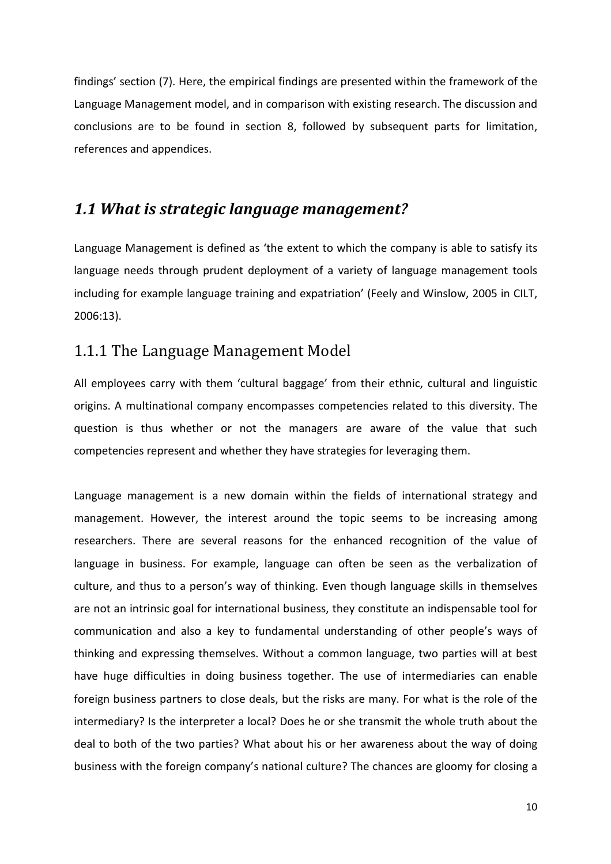findings' section (7). Here, the empirical findings are presented within the framework of the Language Management model, and in comparison with existing research. The discussion and conclusions are to be found in section 8, followed by subsequent parts for limitation, references and appendices.

## *1.1 What is strategic language management?*

Language Management is defined as 'the extent to which the company is able to satisfy its language needs through prudent deployment of a variety of language management tools including for example language training and expatriation' (Feely and Winslow, 2005 in CILT, 2006:13).

#### 1.1.1 The Language Management Model

All employees carry with them 'cultural baggage' from their ethnic, cultural and linguistic origins. A multinational company encompasses competencies related to this diversity. The question is thus whether or not the managers are aware of the value that such competencies represent and whether they have strategies for leveraging them.

Language management is a new domain within the fields of international strategy and management. However, the interest around the topic seems to be increasing among researchers. There are several reasons for the enhanced recognition of the value of language in business. For example, language can often be seen as the verbalization of culture, and thus to a person's way of thinking. Even though language skills in themselves are not an intrinsic goal for international business, they constitute an indispensable tool for communication and also a key to fundamental understanding of other people's ways of thinking and expressing themselves. Without a common language, two parties will at best have huge difficulties in doing business together. The use of intermediaries can enable foreign business partners to close deals, but the risks are many. For what is the role of the intermediary? Is the interpreter a local? Does he or she transmit the whole truth about the deal to both of the two parties? What about his or her awareness about the way of doing business with the foreign company's national culture? The chances are gloomy for closing a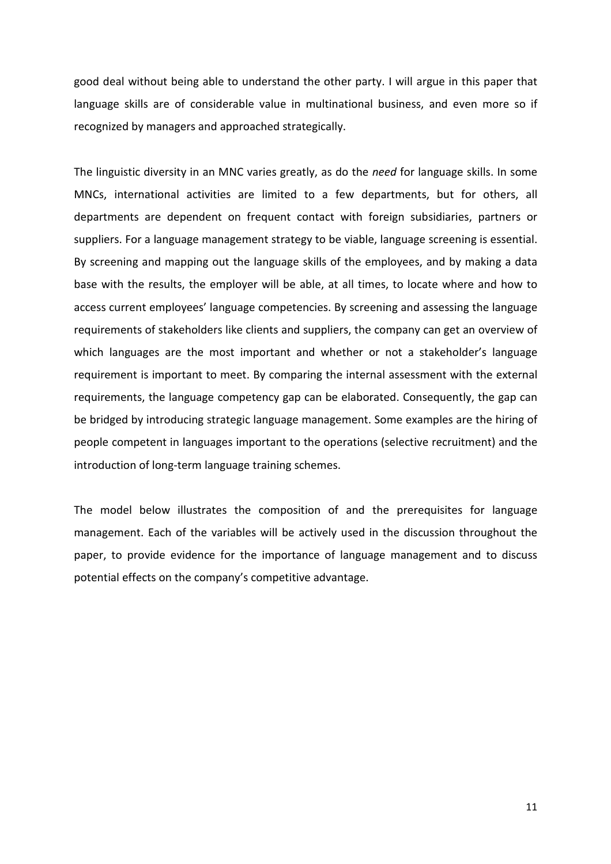good deal without being able to understand the other party. I will argue in this paper that language skills are of considerable value in multinational business, and even more so if recognized by managers and approached strategically.

The linguistic diversity in an MNC varies greatly, as do the *need* for language skills. In some MNCs, international activities are limited to a few departments, but for others, all departments are dependent on frequent contact with foreign subsidiaries, partners or suppliers. For a language management strategy to be viable, language screening is essential. By screening and mapping out the language skills of the employees, and by making a data base with the results, the employer will be able, at all times, to locate where and how to access current employees' language competencies. By screening and assessing the language requirements of stakeholders like clients and suppliers, the company can get an overview of which languages are the most important and whether or not a stakeholder's language requirement is important to meet. By comparing the internal assessment with the external requirements, the language competency gap can be elaborated. Consequently, the gap can be bridged by introducing strategic language management. Some examples are the hiring of people competent in languages important to the operations (selective recruitment) and the introduction of long-term language training schemes.

The model below illustrates the composition of and the prerequisites for language management. Each of the variables will be actively used in the discussion throughout the paper, to provide evidence for the importance of language management and to discuss potential effects on the company's competitive advantage.

11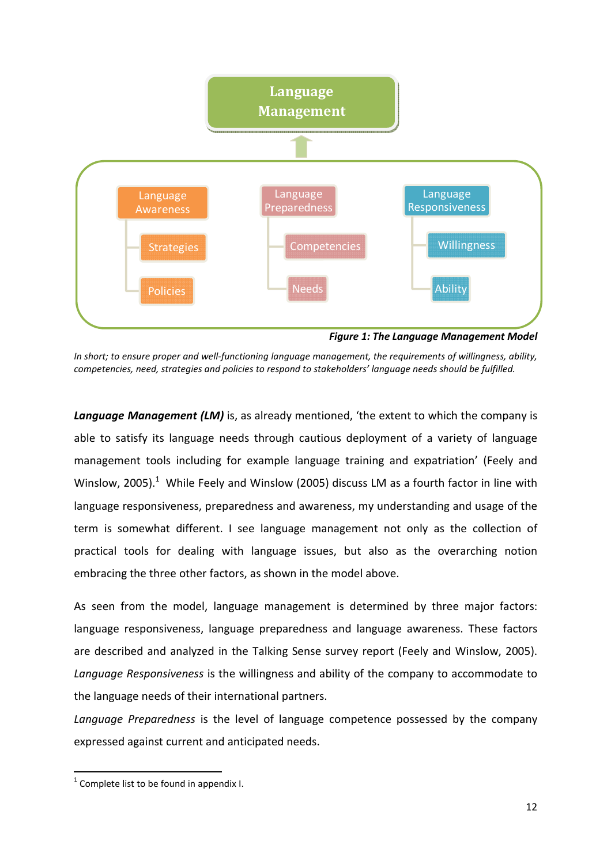

*In short; to ensure proper and well-functioning language management, the requirements of willingness, ability, competencies, need, strategies and policies to respond to stakeholders' language needs should be fulfilled.* 

**Language Management (LM)** is, as already mentioned, 'the extent to which the company is able to satisfy its language needs through cautious deployment of a variety of language management tools including for example language training and expatriation' (Feely and Winslow, 2005).<sup>1</sup> While Feely and Winslow (2005) discuss LM as a fourth factor in line with language responsiveness, preparedness and awareness, my understanding and usage of the term is somewhat different. I see language management not only as the collection of practical tools for dealing with language issues, but also as the overarching notion embracing the three other factors, as shown in the model above.

As seen from the model, language management is determined by three major factors: language responsiveness, language preparedness and language awareness. These factors are described and analyzed in the Talking Sense survey report (Feely and Winslow, 2005). *Language Responsiveness* is the willingness and ability of the company to accommodate to the language needs of their international partners.

*Language Preparedness* is the level of language competence possessed by the company expressed against current and anticipated needs.

 $\overline{a}$ 

 $1$  Complete list to be found in appendix I.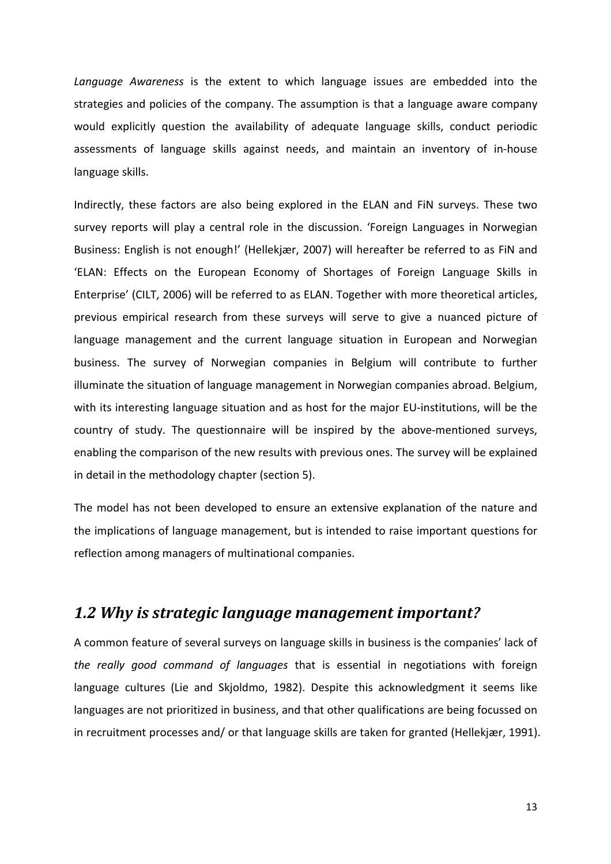*Language Awareness* is the extent to which language issues are embedded into the strategies and policies of the company. The assumption is that a language aware company would explicitly question the availability of adequate language skills, conduct periodic assessments of language skills against needs, and maintain an inventory of in-house language skills.

Indirectly, these factors are also being explored in the ELAN and FiN surveys. These two survey reports will play a central role in the discussion. 'Foreign Languages in Norwegian Business: English is not enough!' (Hellekjær, 2007) will hereafter be referred to as FiN and 'ELAN: Effects on the European Economy of Shortages of Foreign Language Skills in Enterprise' (CILT, 2006) will be referred to as ELAN. Together with more theoretical articles, previous empirical research from these surveys will serve to give a nuanced picture of language management and the current language situation in European and Norwegian business. The survey of Norwegian companies in Belgium will contribute to further illuminate the situation of language management in Norwegian companies abroad. Belgium, with its interesting language situation and as host for the major EU-institutions, will be the country of study. The questionnaire will be inspired by the above-mentioned surveys, enabling the comparison of the new results with previous ones. The survey will be explained in detail in the methodology chapter (section 5).

The model has not been developed to ensure an extensive explanation of the nature and the implications of language management, but is intended to raise important questions for reflection among managers of multinational companies.

#### *1.2 Why is strategic language management important?*

A common feature of several surveys on language skills in business is the companies' lack of *the really good command of languages* that is essential in negotiations with foreign language cultures (Lie and Skjoldmo, 1982). Despite this acknowledgment it seems like languages are not prioritized in business, and that other qualifications are being focussed on in recruitment processes and/ or that language skills are taken for granted (Hellekjær, 1991).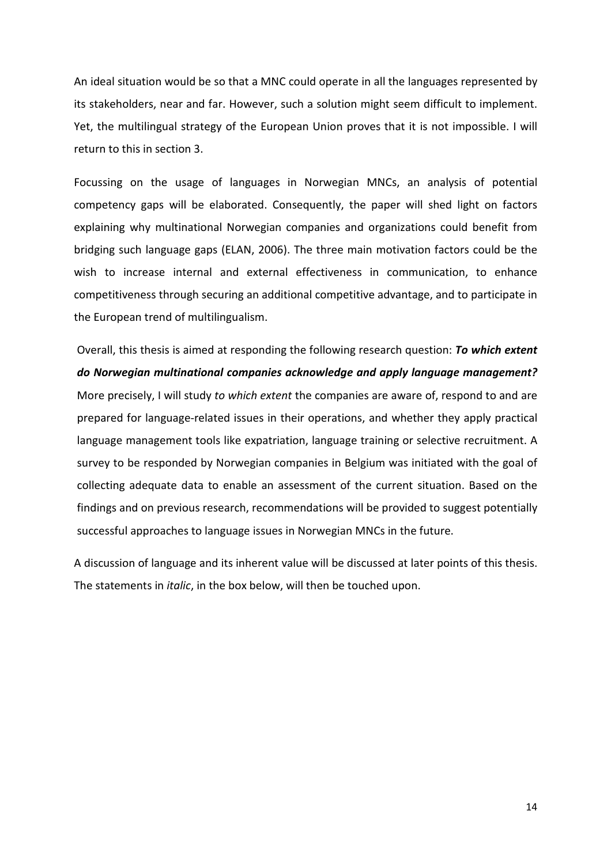An ideal situation would be so that a MNC could operate in all the languages represented by its stakeholders, near and far. However, such a solution might seem difficult to implement. Yet, the multilingual strategy of the European Union proves that it is not impossible. I will return to this in section 3.

Focussing on the usage of languages in Norwegian MNCs, an analysis of potential competency gaps will be elaborated. Consequently, the paper will shed light on factors explaining why multinational Norwegian companies and organizations could benefit from bridging such language gaps (ELAN, 2006). The three main motivation factors could be the wish to increase internal and external effectiveness in communication, to enhance competitiveness through securing an additional competitive advantage, and to participate in the European trend of multilingualism.

Overall, this thesis is aimed at responding the following research question: *To which extent do Norwegian multinational companies acknowledge and apply language management?* More precisely, I will study *to which extent* the companies are aware of, respond to and are prepared for language-related issues in their operations, and whether they apply practical language management tools like expatriation, language training or selective recruitment. A survey to be responded by Norwegian companies in Belgium was initiated with the goal of collecting adequate data to enable an assessment of the current situation. Based on the findings and on previous research, recommendations will be provided to suggest potentially successful approaches to language issues in Norwegian MNCs in the future.

A discussion of language and its inherent value will be discussed at later points of this thesis. The statements in *italic*, in the box below, will then be touched upon.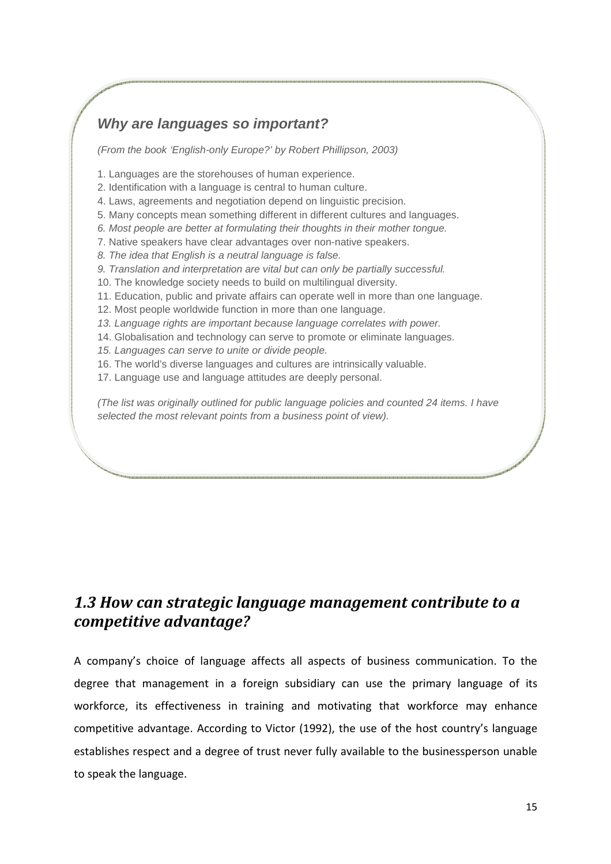#### **Why are languages so important?**

(From the book 'English-only Europe?' by Robert Phillipson, 2003)

1. Languages are the storehouses of human experience.

- 2. Identification with a language is central to human culture.
- 4. Laws, agreements and negotiation depend on linguistic precision.
- 5. Many concepts mean something different in different cultures and languages.
- 6. Most people are better at formulating their thoughts in their mother tongue.
- 7. Native speakers have clear advantages over non-native speakers.
- 8. The idea that English is a neutral language is false.
- 9. Translation and interpretation are vital but can only be partially successful.
- 10. The knowledge society needs to build on multilingual diversity.
- 11. Education, public and private affairs can operate well in more than one language.
- 12. Most people worldwide function in more than one language.
- 13. Language rights are important because language correlates with power.
- 14. Globalisation and technology can serve to promote or eliminate languages.
- 15. Languages can serve to unite or divide people.
- 16. The world's diverse languages and cultures are intrinsically valuable.
- 17. Language use and language attitudes are deeply personal.

(The list was originally outlined for public language policies and counted 24 items. I have selected the most relevant points from a business point of view).

## *1.3 How can strategic language management contribute to a competitive advantage?*

A company's choice of language affects all aspects of business communication. To the degree that management in a foreign subsidiary can use the primary language of its workforce, its effectiveness in training and motivating that workforce may enhance competitive advantage. According to Victor (1992), the use of the host country's language establishes respect and a degree of trust never fully available to the businessperson unable to speak the language.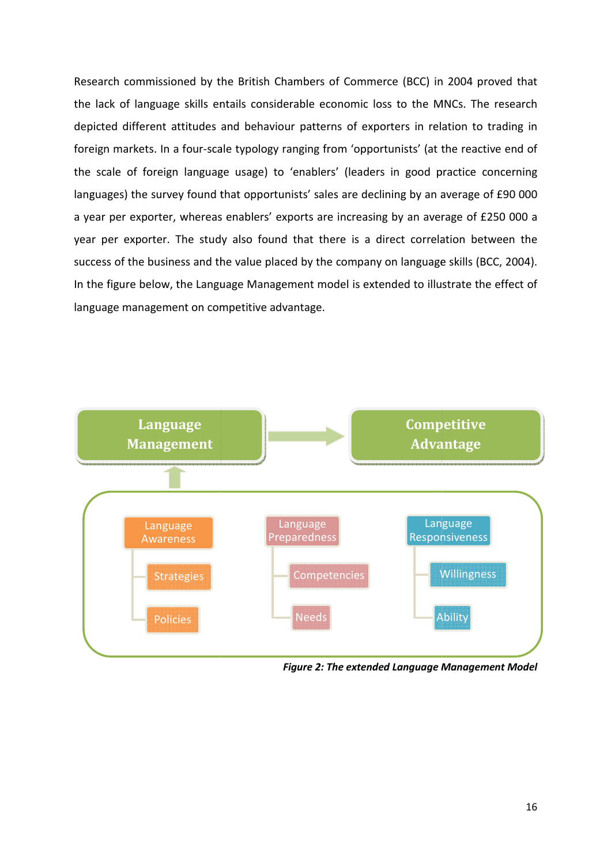Research commissioned by the British Chambers of Commerce (BCC) in 2004 proved that the lack of language skills entails considerable economic loss to the MNCs. The research depicted different attitudes and behaviour patterns of exporters in relation to trading in foreign markets. In a four-scale typology ranging from 'opportunists' (at the reactive end of foreign markets. In a four-scale typology ranging from 'opportunists' (at the reactive end of<br>the scale of foreign language usage) to 'enablers' (leaders in good practice concerning languages) the survey found that opportunists' sales are declining by an average of £90 000 a year per exporter, whereas enablers' exports are increasing by an average of £250 000 a year per exporter. The study also found that there is a direct correlation between the year per exporter. The study also found that there is a direct correlation I<br>success of the business and the value placed by the company on language skills In the figure below, the Language Management model is extended to illustrate the effect of language management on competitive advantage. derable economic loss to the MNCs. The research<br>our patterns of exporters in relation to trading in<br>ranging from 'opportunists' (at the reactive end of<br>o 'enablers' (leaders in good practice concerning<br>unists' sales are de



*Figure 2: The extended Language Management Model :*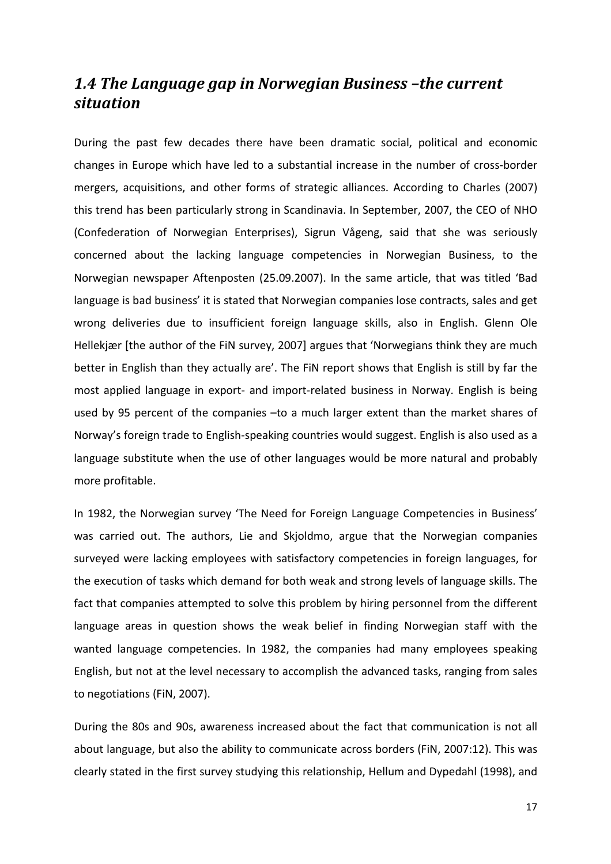#### *1.4 The Language gap in Norwegian Business –the current situation*

During the past few decades there have been dramatic social, political and economic changes in Europe which have led to a substantial increase in the number of cross-border mergers, acquisitions, and other forms of strategic alliances. According to Charles (2007) this trend has been particularly strong in Scandinavia. In September, 2007, the CEO of NHO (Confederation of Norwegian Enterprises), Sigrun Vågeng, said that she was seriously concerned about the lacking language competencies in Norwegian Business, to the Norwegian newspaper Aftenposten (25.09.2007). In the same article, that was titled 'Bad language is bad business' it is stated that Norwegian companies lose contracts, sales and get wrong deliveries due to insufficient foreign language skills, also in English. Glenn Ole Hellekjær [the author of the FiN survey, 2007] argues that 'Norwegians think they are much better in English than they actually are'. The FiN report shows that English is still by far the most applied language in export- and import-related business in Norway. English is being used by 95 percent of the companies -to a much larger extent than the market shares of Norway's foreign trade to English-speaking countries would suggest. English is also used as a language substitute when the use of other languages would be more natural and probably more profitable.

In 1982, the Norwegian survey 'The Need for Foreign Language Competencies in Business' was carried out. The authors, Lie and Skjoldmo, argue that the Norwegian companies surveyed were lacking employees with satisfactory competencies in foreign languages, for the execution of tasks which demand for both weak and strong levels of language skills. The fact that companies attempted to solve this problem by hiring personnel from the different language areas in question shows the weak belief in finding Norwegian staff with the wanted language competencies. In 1982, the companies had many employees speaking English, but not at the level necessary to accomplish the advanced tasks, ranging from sales to negotiations (FiN, 2007).

During the 80s and 90s, awareness increased about the fact that communication is not all about language, but also the ability to communicate across borders (FiN, 2007:12). This was clearly stated in the first survey studying this relationship, Hellum and Dypedahl (1998), and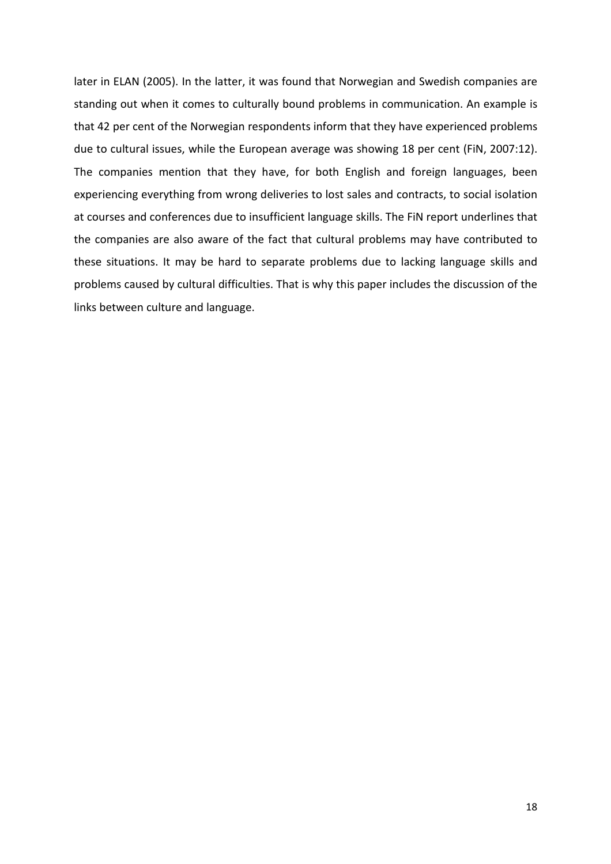later in ELAN (2005). In the latter, it was found that Norwegian and Swedish companies are standing out when it comes to culturally bound problems in communication. An example is that 42 per cent of the Norwegian respondents inform that they have experienced problems due to cultural issues, while the European average was showing 18 per cent (FiN, 2007:12). The companies mention that they have, for both English and foreign languages, been experiencing everything from wrong deliveries to lost sales and contracts, to social isolation at courses and conferences due to insufficient language skills. The FiN report underlines that the companies are also aware of the fact that cultural problems may have contributed to these situations. It may be hard to separate problems due to lacking language skills and problems caused by cultural difficulties. That is why this paper includes the discussion of the links between culture and language.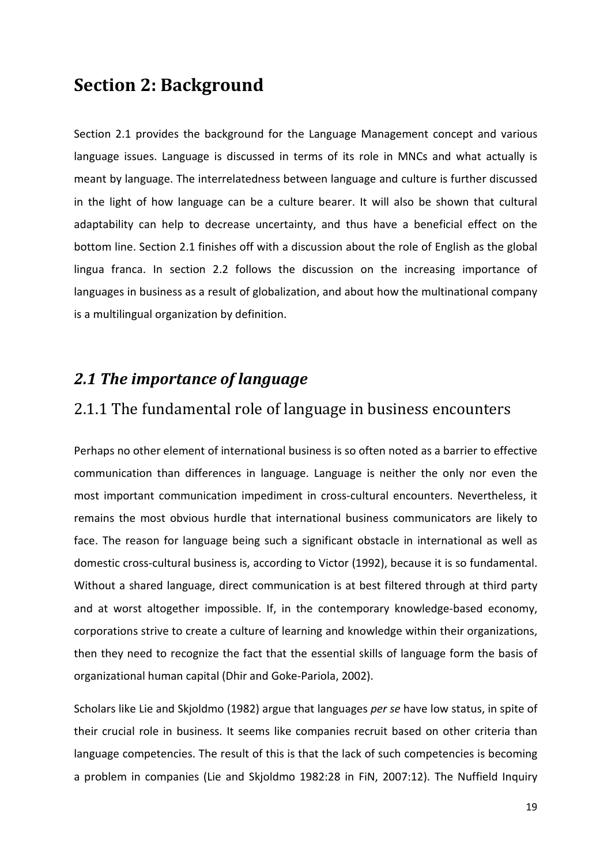## **Section 2: Background**

Section 2.1 provides the background for the Language Management concept and various language issues. Language is discussed in terms of its role in MNCs and what actually is meant by language. The interrelatedness between language and culture is further discussed in the light of how language can be a culture bearer. It will also be shown that cultural adaptability can help to decrease uncertainty, and thus have a beneficial effect on the bottom line. Section 2.1 finishes off with a discussion about the role of English as the global lingua franca. In section 2.2 follows the discussion on the increasing importance of languages in business as a result of globalization, and about how the multinational company is a multilingual organization by definition.

#### *2.1 The importance of language*

#### 2.1.1 The fundamental role of language in business encounters

Perhaps no other element of international business is so often noted as a barrier to effective communication than differences in language. Language is neither the only nor even the most important communication impediment in cross-cultural encounters. Nevertheless, it remains the most obvious hurdle that international business communicators are likely to face. The reason for language being such a significant obstacle in international as well as domestic cross-cultural business is, according to Victor (1992), because it is so fundamental. Without a shared language, direct communication is at best filtered through at third party and at worst altogether impossible. If, in the contemporary knowledge-based economy, corporations strive to create a culture of learning and knowledge within their organizations, then they need to recognize the fact that the essential skills of language form the basis of organizational human capital (Dhir and Goke-Pariola, 2002).

Scholars like Lie and Skjoldmo (1982) argue that languages *per se* have low status, in spite of their crucial role in business. It seems like companies recruit based on other criteria than language competencies. The result of this is that the lack of such competencies is becoming a problem in companies (Lie and Skjoldmo 1982:28 in FiN, 2007:12). The Nuffield Inquiry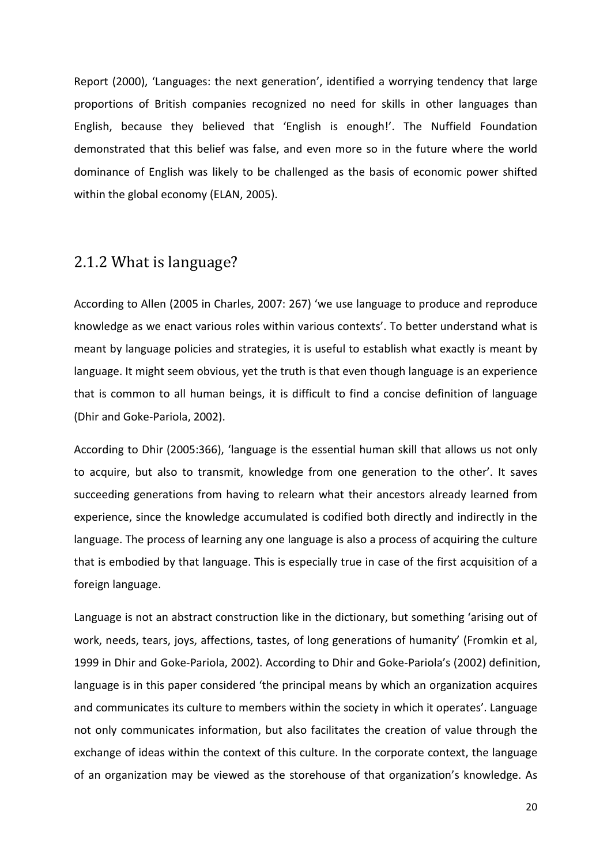Report (2000), 'Languages: the next generation', identified a worrying tendency that large proportions of British companies recognized no need for skills in other languages than English, because they believed that 'English is enough!'. The Nuffield Foundation demonstrated that this belief was false, and even more so in the future where the world dominance of English was likely to be challenged as the basis of economic power shifted within the global economy (ELAN, 2005).

## 2.1.2 What is language?

According to Allen (2005 in Charles, 2007: 267) 'we use language to produce and reproduce knowledge as we enact various roles within various contexts'. To better understand what is meant by language policies and strategies, it is useful to establish what exactly is meant by language. It might seem obvious, yet the truth is that even though language is an experience that is common to all human beings, it is difficult to find a concise definition of language (Dhir and Goke-Pariola, 2002).

According to Dhir (2005:366), 'language is the essential human skill that allows us not only to acquire, but also to transmit, knowledge from one generation to the other'. It saves succeeding generations from having to relearn what their ancestors already learned from experience, since the knowledge accumulated is codified both directly and indirectly in the language. The process of learning any one language is also a process of acquiring the culture that is embodied by that language. This is especially true in case of the first acquisition of a foreign language.

Language is not an abstract construction like in the dictionary, but something 'arising out of work, needs, tears, joys, affections, tastes, of long generations of humanity' (Fromkin et al, 1999 in Dhir and Goke-Pariola, 2002). According to Dhir and Goke-Pariola's (2002) definition, language is in this paper considered 'the principal means by which an organization acquires and communicates its culture to members within the society in which it operates'. Language not only communicates information, but also facilitates the creation of value through the exchange of ideas within the context of this culture. In the corporate context, the language of an organization may be viewed as the storehouse of that organization's knowledge. As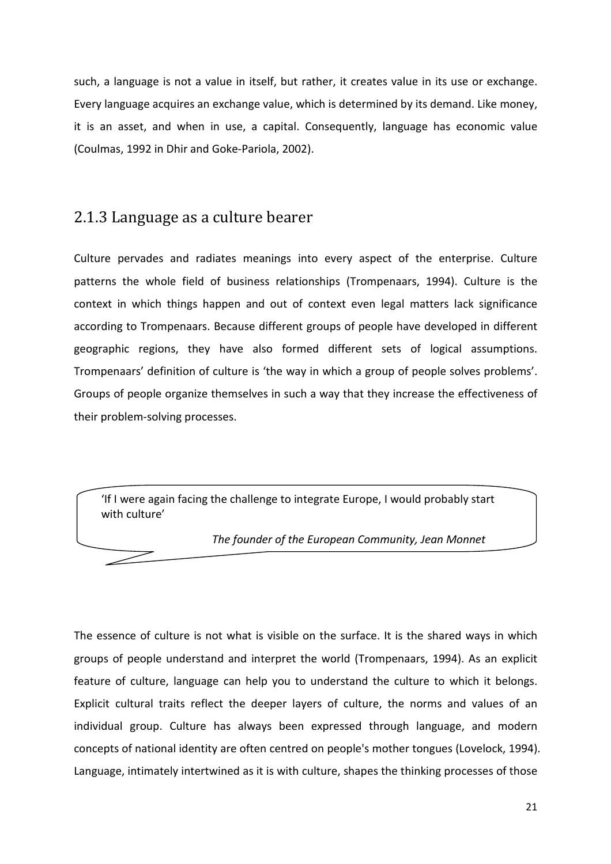such, a language is not a value in itself, but rather, it creates value in its use or exchange. Every language acquires an exchange value, which is determined by its demand. Like money, it is an asset, and when in use, a capital. Consequently, language has economic value (Coulmas, 1992 in Dhir and Goke-Pariola, 2002).

#### 2.1.3 Language as a culture bearer

Culture pervades and radiates meanings into every aspect of the enterprise. Culture patterns the whole field of business relationships (Trompenaars, 1994). Culture is the context in which things happen and out of context even legal matters lack significance according to Trompenaars. Because different groups of people have developed in different geographic regions, they have also formed different sets of logical assumptions. Trompenaars' definition of culture is 'the way in which a group of people solves problems'. Groups of people organize themselves in such a way that they increase the effectiveness of their problem-solving processes.

'If I were again facing the challenge to integrate Europe, I would probably start with culture'

*The founder of the European Community, Jean Monnet*

The essence of culture is not what is visible on the surface. It is the shared ways in which groups of people understand and interpret the world (Trompenaars, 1994). As an explicit feature of culture, language can help you to understand the culture to which it belongs. Explicit cultural traits reflect the deeper layers of culture, the norms and values of an individual group. Culture has always been expressed through language, and modern concepts of national identity are often centred on people's mother tongues (Lovelock, 1994). Language, intimately intertwined as it is with culture, shapes the thinking processes of those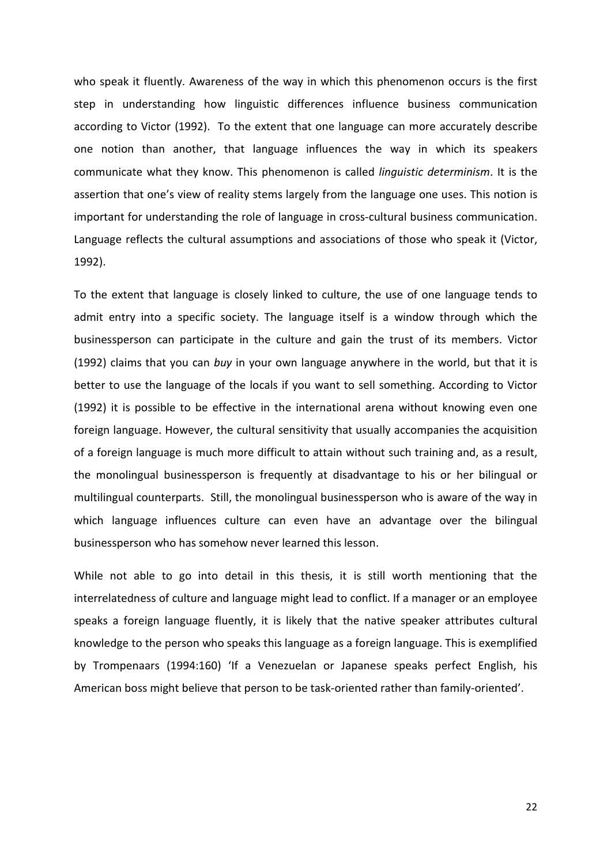who speak it fluently. Awareness of the way in which this phenomenon occurs is the first step in understanding how linguistic differences influence business communication according to Victor (1992). To the extent that one language can more accurately describe one notion than another, that language influences the way in which its speakers communicate what they know. This phenomenon is called *linguistic determinism*. It is the assertion that one's view of reality stems largely from the language one uses. This notion is important for understanding the role of language in cross-cultural business communication. Language reflects the cultural assumptions and associations of those who speak it (Victor, 1992).

To the extent that language is closely linked to culture, the use of one language tends to admit entry into a specific society. The language itself is a window through which the businessperson can participate in the culture and gain the trust of its members. Victor (1992) claims that you can *buy* in your own language anywhere in the world, but that it is better to use the language of the locals if you want to sell something. According to Victor (1992) it is possible to be effective in the international arena without knowing even one foreign language. However, the cultural sensitivity that usually accompanies the acquisition of a foreign language is much more difficult to attain without such training and, as a result, the monolingual businessperson is frequently at disadvantage to his or her bilingual or multilingual counterparts. Still, the monolingual businessperson who is aware of the way in which language influences culture can even have an advantage over the bilingual businessperson who has somehow never learned this lesson.

While not able to go into detail in this thesis, it is still worth mentioning that the interrelatedness of culture and language might lead to conflict. If a manager or an employee speaks a foreign language fluently, it is likely that the native speaker attributes cultural knowledge to the person who speaks this language as a foreign language. This is exemplified by Trompenaars (1994:160) 'If a Venezuelan or Japanese speaks perfect English, his American boss might believe that person to be task-oriented rather than family-oriented'.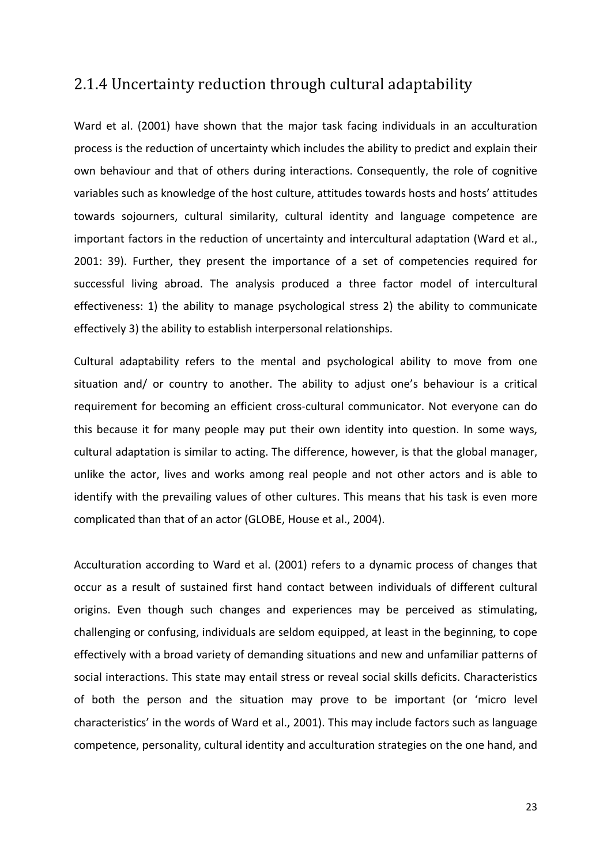#### 2.1.4 Uncertainty reduction through cultural adaptability

Ward et al. (2001) have shown that the major task facing individuals in an acculturation process is the reduction of uncertainty which includes the ability to predict and explain their own behaviour and that of others during interactions. Consequently, the role of cognitive variables such as knowledge of the host culture, attitudes towards hosts and hosts' attitudes towards sojourners, cultural similarity, cultural identity and language competence are important factors in the reduction of uncertainty and intercultural adaptation (Ward et al., 2001: 39). Further, they present the importance of a set of competencies required for successful living abroad. The analysis produced a three factor model of intercultural effectiveness: 1) the ability to manage psychological stress 2) the ability to communicate effectively 3) the ability to establish interpersonal relationships.

Cultural adaptability refers to the mental and psychological ability to move from one situation and/ or country to another. The ability to adjust one's behaviour is a critical requirement for becoming an efficient cross-cultural communicator. Not everyone can do this because it for many people may put their own identity into question. In some ways, cultural adaptation is similar to acting. The difference, however, is that the global manager, unlike the actor, lives and works among real people and not other actors and is able to identify with the prevailing values of other cultures. This means that his task is even more complicated than that of an actor (GLOBE, House et al., 2004).

Acculturation according to Ward et al. (2001) refers to a dynamic process of changes that occur as a result of sustained first hand contact between individuals of different cultural origins. Even though such changes and experiences may be perceived as stimulating, challenging or confusing, individuals are seldom equipped, at least in the beginning, to cope effectively with a broad variety of demanding situations and new and unfamiliar patterns of social interactions. This state may entail stress or reveal social skills deficits. Characteristics of both the person and the situation may prove to be important (or 'micro level characteristics' in the words of Ward et al., 2001). This may include factors such as language competence, personality, cultural identity and acculturation strategies on the one hand, and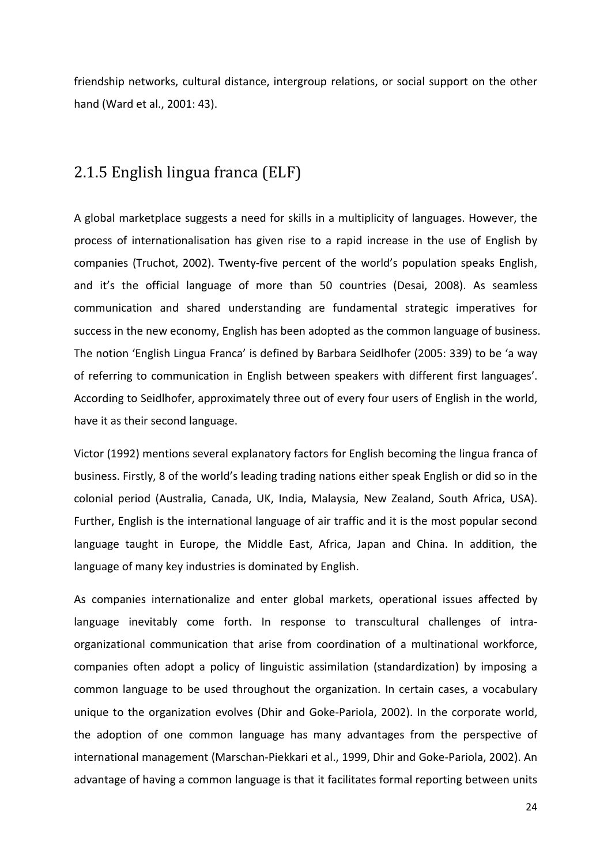friendship networks, cultural distance, intergroup relations, or social support on the other hand (Ward et al., 2001: 43).

#### 2.1.5 English lingua franca (ELF)

A global marketplace suggests a need for skills in a multiplicity of languages. However, the process of internationalisation has given rise to a rapid increase in the use of English by companies (Truchot, 2002). Twenty-five percent of the world's population speaks English, and it's the official language of more than 50 countries (Desai, 2008). As seamless communication and shared understanding are fundamental strategic imperatives for success in the new economy, English has been adopted as the common language of business. The notion 'English Lingua Franca' is defined by Barbara Seidlhofer (2005: 339) to be 'a way of referring to communication in English between speakers with different first languages'. According to Seidlhofer, approximately three out of every four users of English in the world, have it as their second language.

Victor (1992) mentions several explanatory factors for English becoming the lingua franca of business. Firstly, 8 of the world's leading trading nations either speak English or did so in the colonial period (Australia, Canada, UK, India, Malaysia, New Zealand, South Africa, USA). Further, English is the international language of air traffic and it is the most popular second language taught in Europe, the Middle East, Africa, Japan and China. In addition, the language of many key industries is dominated by English.

As companies internationalize and enter global markets, operational issues affected by language inevitably come forth. In response to transcultural challenges of intraorganizational communication that arise from coordination of a multinational workforce, companies often adopt a policy of linguistic assimilation (standardization) by imposing a common language to be used throughout the organization. In certain cases, a vocabulary unique to the organization evolves (Dhir and Goke-Pariola, 2002). In the corporate world, the adoption of one common language has many advantages from the perspective of international management (Marschan-Piekkari et al., 1999, Dhir and Goke-Pariola, 2002). An advantage of having a common language is that it facilitates formal reporting between units

24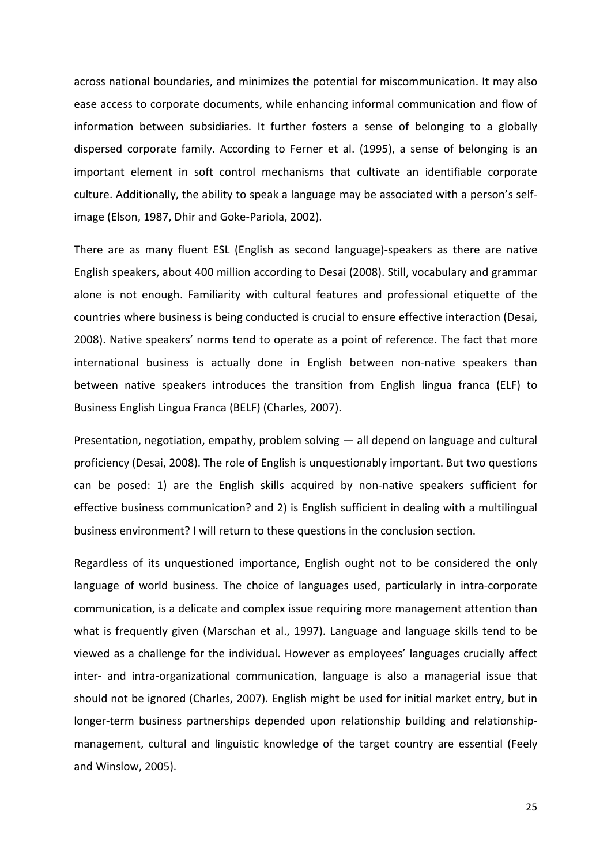across national boundaries, and minimizes the potential for miscommunication. It may also ease access to corporate documents, while enhancing informal communication and flow of information between subsidiaries. It further fosters a sense of belonging to a globally dispersed corporate family. According to Ferner et al. (1995), a sense of belonging is an important element in soft control mechanisms that cultivate an identifiable corporate culture. Additionally, the ability to speak a language may be associated with a person's selfimage (Elson, 1987, Dhir and Goke-Pariola, 2002).

There are as many fluent ESL (English as second language)-speakers as there are native English speakers, about 400 million according to Desai (2008). Still, vocabulary and grammar alone is not enough. Familiarity with cultural features and professional etiquette of the countries where business is being conducted is crucial to ensure effective interaction (Desai, 2008). Native speakers' norms tend to operate as a point of reference. The fact that more international business is actually done in English between non-native speakers than between native speakers introduces the transition from English lingua franca (ELF) to Business English Lingua Franca (BELF) (Charles, 2007).

Presentation, negotiation, empathy, problem solving — all depend on language and cultural proficiency (Desai, 2008). The role of English is unquestionably important. But two questions can be posed: 1) are the English skills acquired by non-native speakers sufficient for effective business communication? and 2) is English sufficient in dealing with a multilingual business environment? I will return to these questions in the conclusion section.

Regardless of its unquestioned importance, English ought not to be considered the only language of world business. The choice of languages used, particularly in intra-corporate communication, is a delicate and complex issue requiring more management attention than what is frequently given (Marschan et al., 1997). Language and language skills tend to be viewed as a challenge for the individual. However as employees' languages crucially affect inter- and intra-organizational communication, language is also a managerial issue that should not be ignored (Charles, 2007). English might be used for initial market entry, but in longer-term business partnerships depended upon relationship building and relationshipmanagement, cultural and linguistic knowledge of the target country are essential (Feely and Winslow, 2005).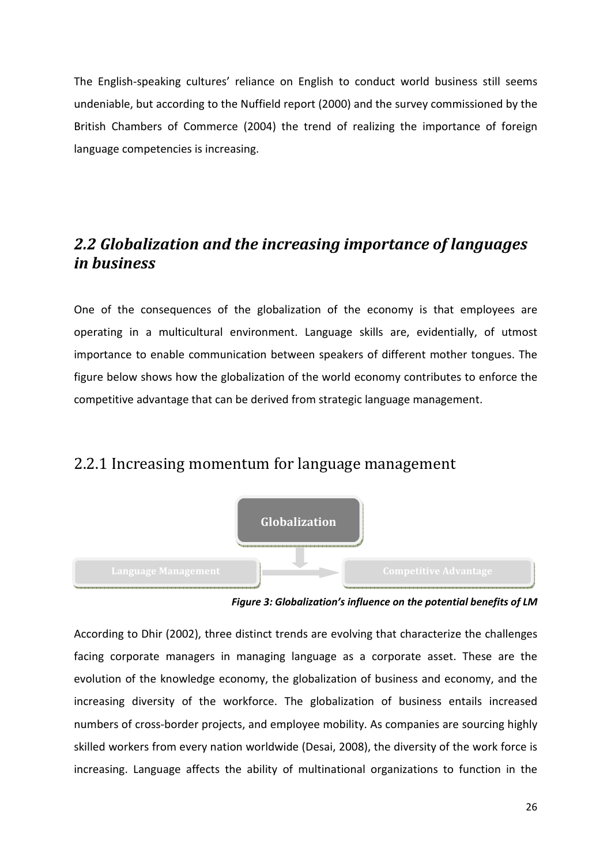The English-speaking cultures' reliance on English to conduct world business still seems undeniable, but according to the Nuffield report (2000) and the survey commissioned by the British Chambers of Commerce (2004) the trend of realizing the importance of foreign language competencies is increasing.

## *2.2 Globalization and the increasing importance of languages in business*

One of the consequences of the globalization of the economy is that employees are operating in a multicultural environment. Language skills are, evidentially, of utmost importance to enable communication between speakers of different mother tongues. The figure below shows how the globalization of the world economy contributes to enforce the competitive advantage that can be derived from strategic language management.

#### 2.2.1 Increasing momentum for language management



*Figure 3: Globalization's influence on the potential benefits of LM* 

According to Dhir (2002), three distinct trends are evolving that characterize the challenges facing corporate managers in managing language as a corporate asset. These are the evolution of the knowledge economy, the globalization of business and economy, and the increasing diversity of the workforce. The globalization of business entails increased numbers of cross-border projects, and employee mobility. As companies are sourcing highly skilled workers from every nation worldwide (Desai, 2008), the diversity of the work force is increasing. Language affects the ability of multinational organizations to function in the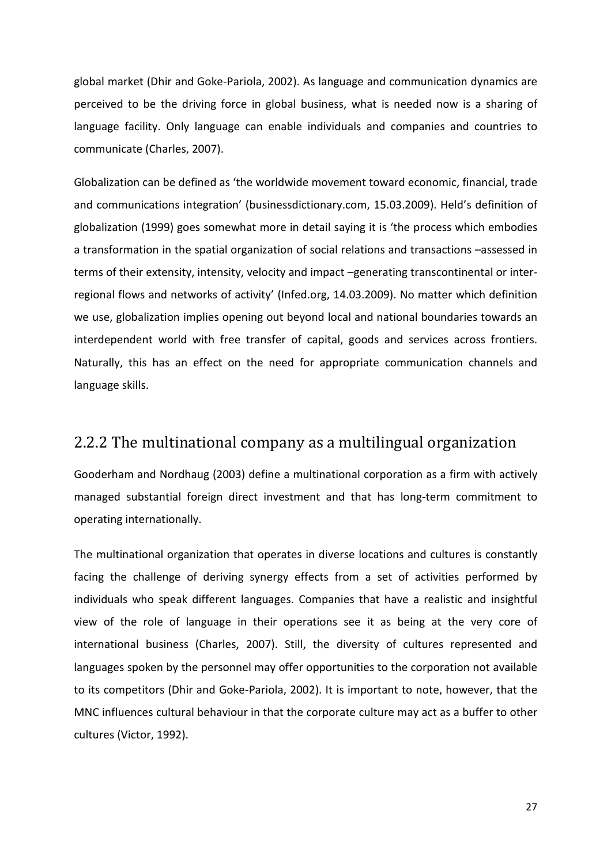global market (Dhir and Goke-Pariola, 2002). As language and communication dynamics are perceived to be the driving force in global business, what is needed now is a sharing of language facility. Only language can enable individuals and companies and countries to communicate (Charles, 2007).

Globalization can be defined as 'the worldwide movement toward economic, financial, trade and communications integration' (businessdictionary.com, 15.03.2009). Held's definition of globalization (1999) goes somewhat more in detail saying it is 'the process which embodies a transformation in the spatial organization of social relations and transactions –assessed in terms of their extensity, intensity, velocity and impact –generating transcontinental or interregional flows and networks of activity' (Infed.org, 14.03.2009). No matter which definition we use, globalization implies opening out beyond local and national boundaries towards an interdependent world with free transfer of capital, goods and services across frontiers. Naturally, this has an effect on the need for appropriate communication channels and language skills.

#### 2.2.2 The multinational company as a multilingual organization

Gooderham and Nordhaug (2003) define a multinational corporation as a firm with actively managed substantial foreign direct investment and that has long-term commitment to operating internationally.

The multinational organization that operates in diverse locations and cultures is constantly facing the challenge of deriving synergy effects from a set of activities performed by individuals who speak different languages. Companies that have a realistic and insightful view of the role of language in their operations see it as being at the very core of international business (Charles, 2007). Still, the diversity of cultures represented and languages spoken by the personnel may offer opportunities to the corporation not available to its competitors (Dhir and Goke-Pariola, 2002). It is important to note, however, that the MNC influences cultural behaviour in that the corporate culture may act as a buffer to other cultures (Victor, 1992).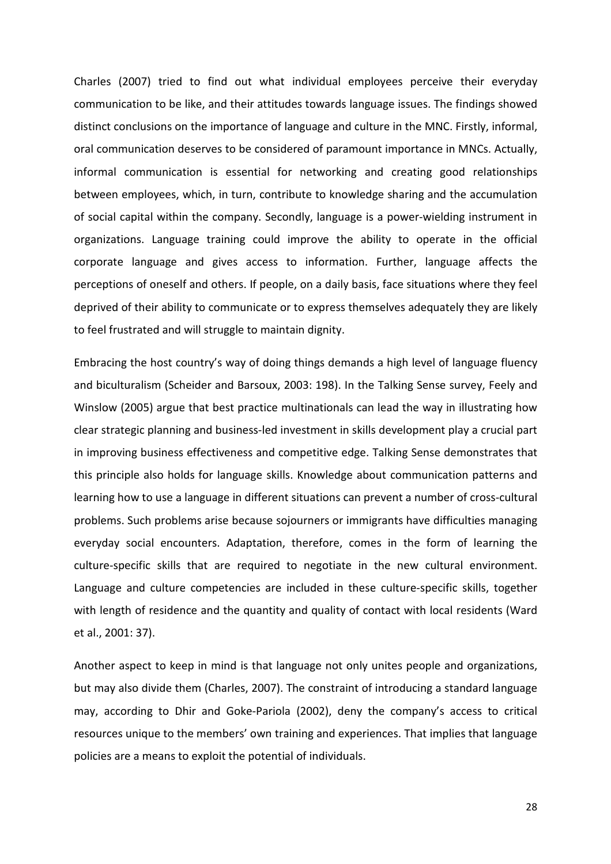Charles (2007) tried to find out what individual employees perceive their everyday communication to be like, and their attitudes towards language issues. The findings showed distinct conclusions on the importance of language and culture in the MNC. Firstly, informal, oral communication deserves to be considered of paramount importance in MNCs. Actually, informal communication is essential for networking and creating good relationships between employees, which, in turn, contribute to knowledge sharing and the accumulation of social capital within the company. Secondly, language is a power-wielding instrument in organizations. Language training could improve the ability to operate in the official corporate language and gives access to information. Further, language affects the perceptions of oneself and others. If people, on a daily basis, face situations where they feel deprived of their ability to communicate or to express themselves adequately they are likely to feel frustrated and will struggle to maintain dignity.

Embracing the host country's way of doing things demands a high level of language fluency and biculturalism (Scheider and Barsoux, 2003: 198). In the Talking Sense survey, Feely and Winslow (2005) argue that best practice multinationals can lead the way in illustrating how clear strategic planning and business-led investment in skills development play a crucial part in improving business effectiveness and competitive edge. Talking Sense demonstrates that this principle also holds for language skills. Knowledge about communication patterns and learning how to use a language in different situations can prevent a number of cross-cultural problems. Such problems arise because sojourners or immigrants have difficulties managing everyday social encounters. Adaptation, therefore, comes in the form of learning the culture-specific skills that are required to negotiate in the new cultural environment. Language and culture competencies are included in these culture-specific skills, together with length of residence and the quantity and quality of contact with local residents (Ward et al., 2001: 37).

Another aspect to keep in mind is that language not only unites people and organizations, but may also divide them (Charles, 2007). The constraint of introducing a standard language may, according to Dhir and Goke-Pariola (2002), deny the company's access to critical resources unique to the members' own training and experiences. That implies that language policies are a means to exploit the potential of individuals.

28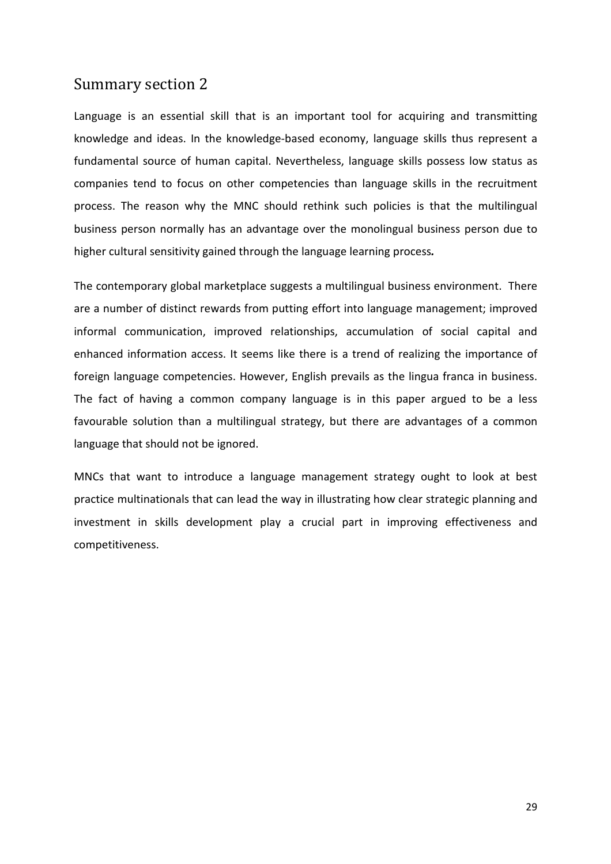#### Summary section 2

Language is an essential skill that is an important tool for acquiring and transmitting knowledge and ideas. In the knowledge-based economy, language skills thus represent a fundamental source of human capital. Nevertheless, language skills possess low status as companies tend to focus on other competencies than language skills in the recruitment process. The reason why the MNC should rethink such policies is that the multilingual business person normally has an advantage over the monolingual business person due to higher cultural sensitivity gained through the language learning process*.* 

The contemporary global marketplace suggests a multilingual business environment. There are a number of distinct rewards from putting effort into language management; improved informal communication, improved relationships, accumulation of social capital and enhanced information access. It seems like there is a trend of realizing the importance of foreign language competencies. However, English prevails as the lingua franca in business. The fact of having a common company language is in this paper argued to be a less favourable solution than a multilingual strategy, but there are advantages of a common language that should not be ignored.

MNCs that want to introduce a language management strategy ought to look at best practice multinationals that can lead the way in illustrating how clear strategic planning and investment in skills development play a crucial part in improving effectiveness and competitiveness.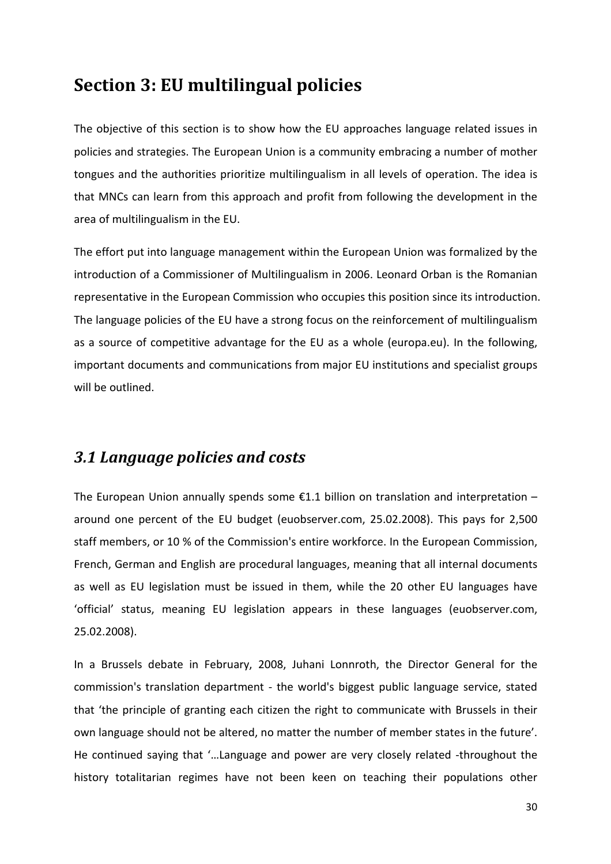## **Section 3: EU multilingual policies**

The objective of this section is to show how the EU approaches language related issues in policies and strategies. The European Union is a community embracing a number of mother tongues and the authorities prioritize multilingualism in all levels of operation. The idea is that MNCs can learn from this approach and profit from following the development in the area of multilingualism in the EU.

The effort put into language management within the European Union was formalized by the introduction of a Commissioner of Multilingualism in 2006. Leonard Orban is the Romanian representative in the European Commission who occupies this position since its introduction. The language policies of the EU have a strong focus on the reinforcement of multilingualism as a source of competitive advantage for the EU as a whole (europa.eu). In the following, important documents and communications from major EU institutions and specialist groups will be outlined.

#### *3.1 Language policies and costs*

The European Union annually spends some  $\epsilon$ 1.1 billion on translation and interpretation – around one percent of the EU budget (euobserver.com, 25.02.2008). This pays for 2,500 staff members, or 10 % of the Commission's entire workforce. In the European Commission, French, German and English are procedural languages, meaning that all internal documents as well as EU legislation must be issued in them, while the 20 other EU languages have 'official' status, meaning EU legislation appears in these languages (euobserver.com, 25.02.2008).

In a Brussels debate in February, 2008, Juhani Lonnroth, the Director General for the commission's translation department - the world's biggest public language service, stated that 'the principle of granting each citizen the right to communicate with Brussels in their own language should not be altered, no matter the number of member states in the future'. He continued saying that '…Language and power are very closely related -throughout the history totalitarian regimes have not been keen on teaching their populations other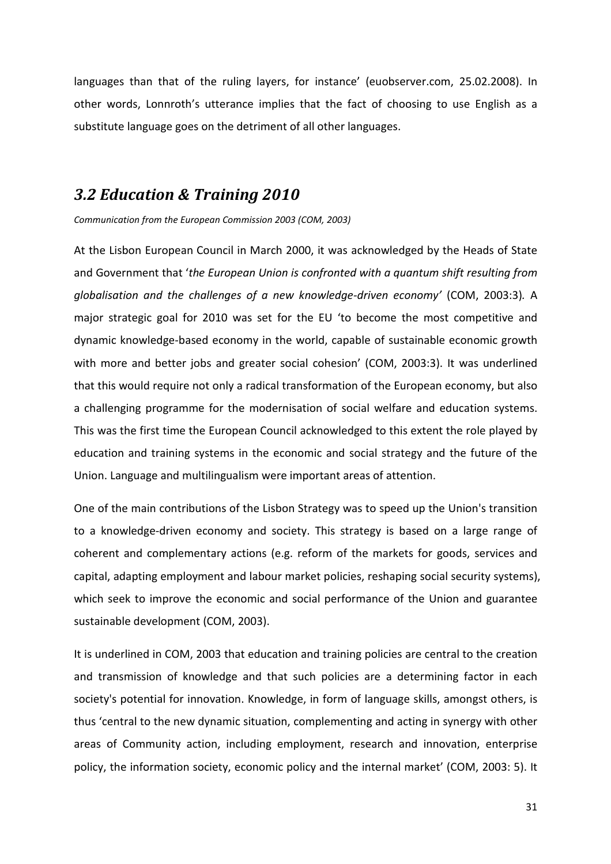languages than that of the ruling layers, for instance' (euobserver.com, 25.02.2008). In other words, Lonnroth's utterance implies that the fact of choosing to use English as a substitute language goes on the detriment of all other languages.

#### *3.2 Education & Training 2010*

*Communication from the European Commission 2003 (COM, 2003)*

At the Lisbon European Council in March 2000, it was acknowledged by the Heads of State and Government that '*the European Union is confronted with a quantum shift resulting from globalisation and the challenges of a new knowledge-driven economy'* (COM, 2003:3)*.* A major strategic goal for 2010 was set for the EU 'to become the most competitive and dynamic knowledge-based economy in the world, capable of sustainable economic growth with more and better jobs and greater social cohesion' (COM, 2003:3). It was underlined that this would require not only a radical transformation of the European economy, but also a challenging programme for the modernisation of social welfare and education systems. This was the first time the European Council acknowledged to this extent the role played by education and training systems in the economic and social strategy and the future of the Union. Language and multilingualism were important areas of attention.

One of the main contributions of the Lisbon Strategy was to speed up the Union's transition to a knowledge-driven economy and society. This strategy is based on a large range of coherent and complementary actions (e.g. reform of the markets for goods, services and capital, adapting employment and labour market policies, reshaping social security systems), which seek to improve the economic and social performance of the Union and guarantee sustainable development (COM, 2003).

It is underlined in COM, 2003 that education and training policies are central to the creation and transmission of knowledge and that such policies are a determining factor in each society's potential for innovation. Knowledge, in form of language skills, amongst others, is thus 'central to the new dynamic situation, complementing and acting in synergy with other areas of Community action, including employment, research and innovation, enterprise policy, the information society, economic policy and the internal market' (COM, 2003: 5). It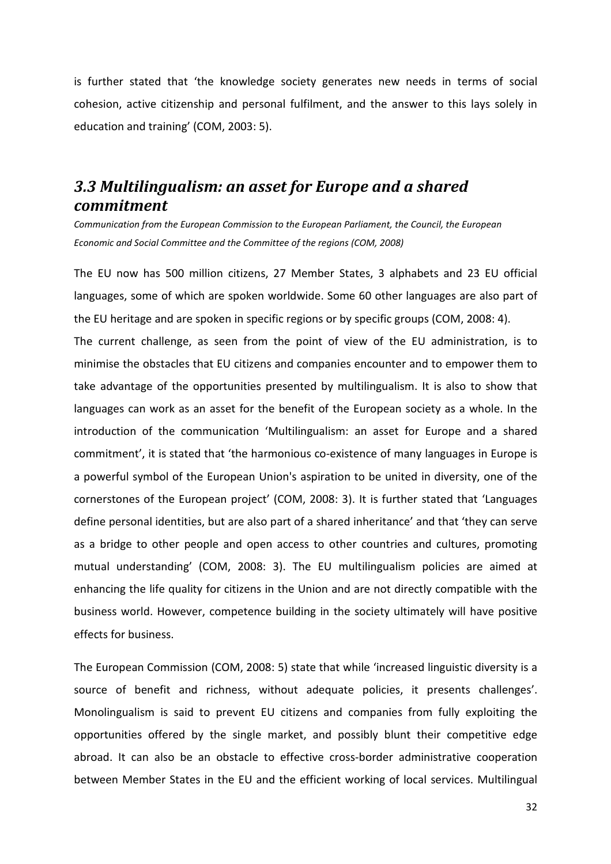is further stated that 'the knowledge society generates new needs in terms of social cohesion, active citizenship and personal fulfilment, and the answer to this lays solely in education and training' (COM, 2003: 5).

#### *3.3 Multilingualism: an asset for Europe and a shared commitment*

*Communication from the European Commission to the European Parliament, the Council, the European Economic and Social Committee and the Committee of the regions (COM, 2008)* 

The EU now has 500 million citizens, 27 Member States, 3 alphabets and 23 EU official languages, some of which are spoken worldwide. Some 60 other languages are also part of the EU heritage and are spoken in specific regions or by specific groups (COM, 2008: 4). The current challenge, as seen from the point of view of the EU administration, is to minimise the obstacles that EU citizens and companies encounter and to empower them to take advantage of the opportunities presented by multilingualism. It is also to show that languages can work as an asset for the benefit of the European society as a whole. In the introduction of the communication 'Multilingualism: an asset for Europe and a shared commitment', it is stated that 'the harmonious co-existence of many languages in Europe is a powerful symbol of the European Union's aspiration to be united in diversity, one of the cornerstones of the European project' (COM, 2008: 3). It is further stated that 'Languages define personal identities, but are also part of a shared inheritance' and that 'they can serve as a bridge to other people and open access to other countries and cultures, promoting mutual understanding' (COM, 2008: 3). The EU multilingualism policies are aimed at enhancing the life quality for citizens in the Union and are not directly compatible with the business world. However, competence building in the society ultimately will have positive effects for business.

The European Commission (COM, 2008: 5) state that while 'increased linguistic diversity is a source of benefit and richness, without adequate policies, it presents challenges'. Monolingualism is said to prevent EU citizens and companies from fully exploiting the opportunities offered by the single market, and possibly blunt their competitive edge abroad. It can also be an obstacle to effective cross-border administrative cooperation between Member States in the EU and the efficient working of local services. Multilingual

32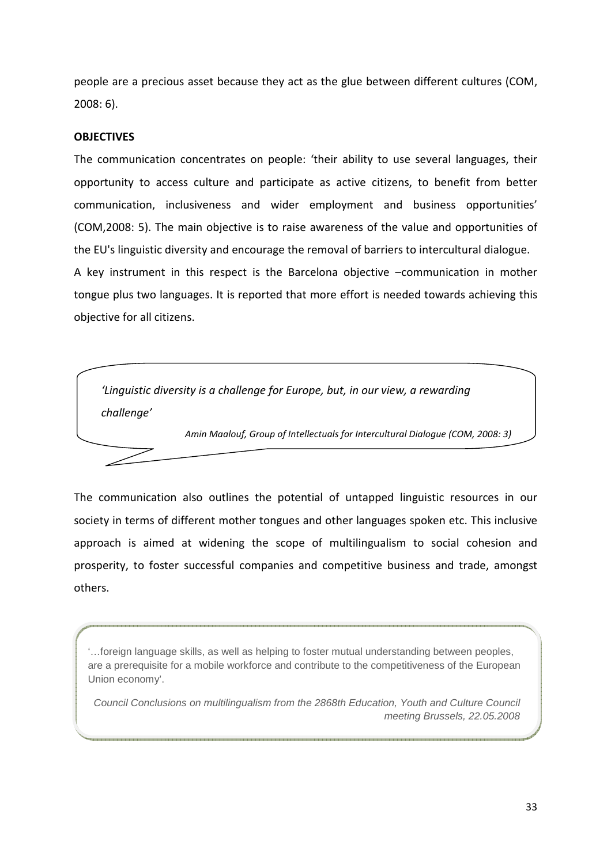people are a precious asset because they act as the glue between different cultures (COM, 2008: 6).

#### **OBJECTIVES**

The communication concentrates on people: 'their ability to use several languages, their opportunity to access culture and participate as active citizens, to benefit from better communication, inclusiveness and wider employment and business opportunities' (COM,2008: 5). The main objective is to raise awareness of the value and opportunities of the EU's linguistic diversity and encourage the removal of barriers to intercultural dialogue. A key instrument in this respect is the Barcelona objective –communication in mother tongue plus two languages. It is reported that more effort is needed towards achieving this objective for all citizens.



The communication also outlines the potential of untapped linguistic resources in our society in terms of different mother tongues and other languages spoken etc. This inclusive approach is aimed at widening the scope of multilingualism to social cohesion and prosperity, to foster successful companies and competitive business and trade, amongst others.

'…foreign language skills, as well as helping to foster mutual understanding between peoples, are a prerequisite for a mobile workforce and contribute to the competitiveness of the European Union economy'.

Council Conclusions on multilingualism from the 2868th Education, Youth and Culture Council meeting Brussels, 22.05.2008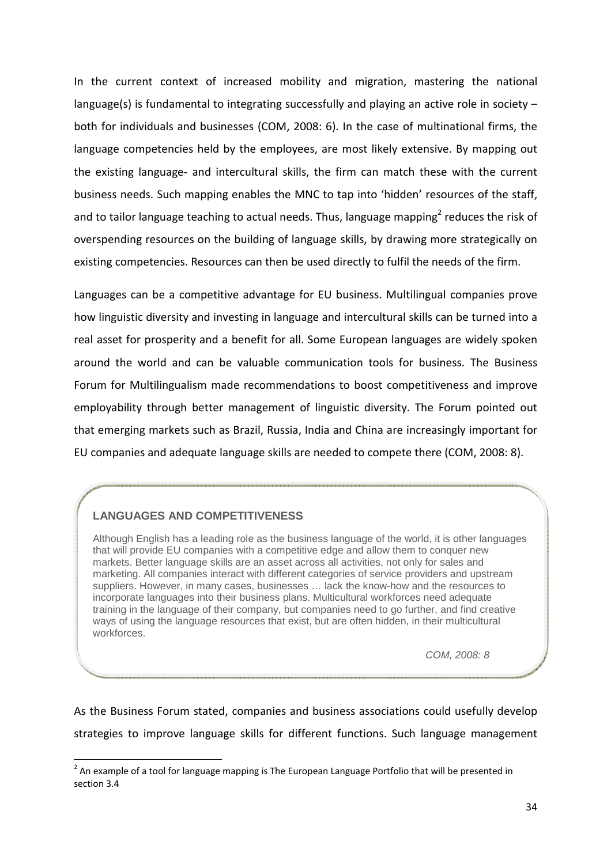In the current context of increased mobility and migration, mastering the national language(s) is fundamental to integrating successfully and playing an active role in society – both for individuals and businesses (COM, 2008: 6). In the case of multinational firms, the language competencies held by the employees, are most likely extensive. By mapping out the existing language- and intercultural skills, the firm can match these with the current business needs. Such mapping enables the MNC to tap into 'hidden' resources of the staff, and to tailor language teaching to actual needs. Thus, language mapping<sup>2</sup> reduces the risk of overspending resources on the building of language skills, by drawing more strategically on existing competencies. Resources can then be used directly to fulfil the needs of the firm.

Languages can be a competitive advantage for EU business. Multilingual companies prove how linguistic diversity and investing in language and intercultural skills can be turned into a real asset for prosperity and a benefit for all. Some European languages are widely spoken around the world and can be valuable communication tools for business. The Business Forum for Multilingualism made recommendations to boost competitiveness and improve employability through better management of linguistic diversity. The Forum pointed out that emerging markets such as Brazil, Russia, India and China are increasingly important for EU companies and adequate language skills are needed to compete there (COM, 2008: 8).

#### **LANGUAGES AND COMPETITIVENESS**

 $\overline{\phantom{0}}$ 

Although English has a leading role as the business language of the world, it is other languages that will provide EU companies with a competitive edge and allow them to conquer new markets. Better language skills are an asset across all activities, not only for sales and marketing. All companies interact with different categories of service providers and upstream suppliers. However, in many cases, businesses … lack the know-how and the resources to incorporate languages into their business plans. Multicultural workforces need adequate training in the language of their company, but companies need to go further, and find creative ways of using the language resources that exist, but are often hidden, in their multicultural workforces.

COM, 2008: 8

As the Business Forum stated, companies and business associations could usefully develop strategies to improve language skills for different functions. Such language management

 $^{2}$  An example of a tool for language mapping is The European Language Portfolio that will be presented in section 3.4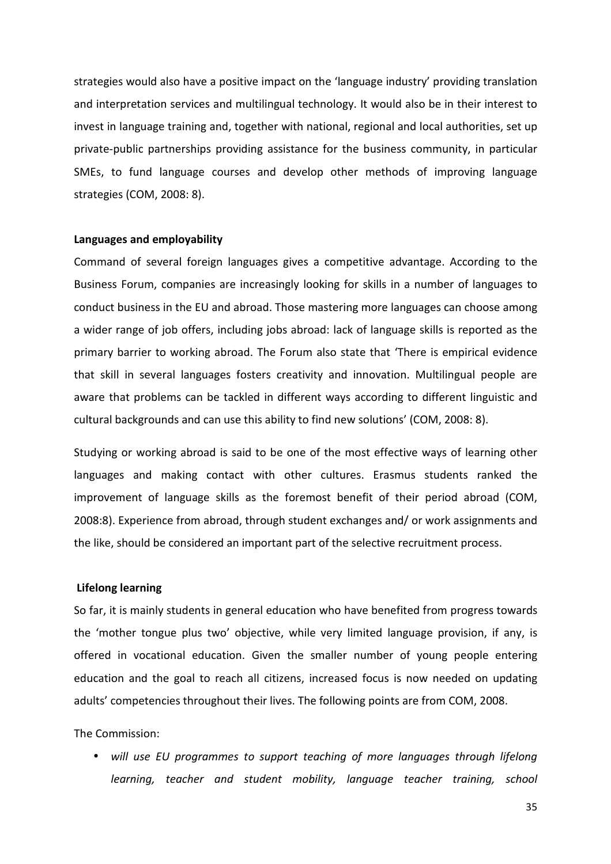strategies would also have a positive impact on the 'language industry' providing translation and interpretation services and multilingual technology. It would also be in their interest to invest in language training and, together with national, regional and local authorities, set up private-public partnerships providing assistance for the business community, in particular SMEs, to fund language courses and develop other methods of improving language strategies (COM, 2008: 8).

#### **Languages and employability**

Command of several foreign languages gives a competitive advantage. According to the Business Forum, companies are increasingly looking for skills in a number of languages to conduct business in the EU and abroad. Those mastering more languages can choose among a wider range of job offers, including jobs abroad: lack of language skills is reported as the primary barrier to working abroad. The Forum also state that 'There is empirical evidence that skill in several languages fosters creativity and innovation. Multilingual people are aware that problems can be tackled in different ways according to different linguistic and cultural backgrounds and can use this ability to find new solutions' (COM, 2008: 8).

Studying or working abroad is said to be one of the most effective ways of learning other languages and making contact with other cultures. Erasmus students ranked the improvement of language skills as the foremost benefit of their period abroad (COM, 2008:8). Experience from abroad, through student exchanges and/ or work assignments and the like, should be considered an important part of the selective recruitment process.

#### **Lifelong learning**

So far, it is mainly students in general education who have benefited from progress towards the 'mother tongue plus two' objective, while very limited language provision, if any, is offered in vocational education. Given the smaller number of young people entering education and the goal to reach all citizens, increased focus is now needed on updating adults' competencies throughout their lives. The following points are from COM, 2008.

#### The Commission:

• *will use EU programmes to support teaching of more languages through lifelong learning, teacher and student mobility, language teacher training, school*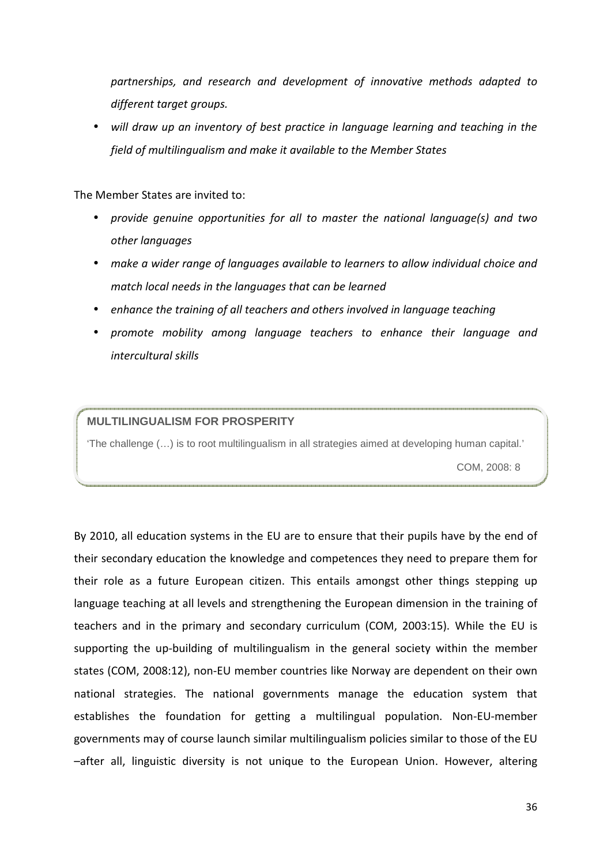*partnerships, and research and development of innovative methods adapted to different target groups.* 

• *will draw up an inventory of best practice in language learning and teaching in the field of multilingualism and make it available to the Member States*

The Member States are invited to:

- *provide genuine opportunities for all to master the national language(s) and two other languages*
- *make a wider range of languages available to learners to allow individual choice and match local needs in the languages that can be learned*
- *enhance the training of all teachers and others involved in language teaching*
- *promote mobility among language teachers to enhance their language and intercultural skills*

#### **MULTILINGUALISM FOR PROSPERITY**

'The challenge (…) is to root multilingualism in all strategies aimed at developing human capital.'

COM, 2008: 8

By 2010, all education systems in the EU are to ensure that their pupils have by the end of their secondary education the knowledge and competences they need to prepare them for their role as a future European citizen. This entails amongst other things stepping up language teaching at all levels and strengthening the European dimension in the training of teachers and in the primary and secondary curriculum (COM, 2003:15). While the EU is supporting the up-building of multilingualism in the general society within the member states (COM, 2008:12), non-EU member countries like Norway are dependent on their own national strategies. The national governments manage the education system that establishes the foundation for getting a multilingual population. Non-EU-member governments may of course launch similar multilingualism policies similar to those of the EU –after all, linguistic diversity is not unique to the European Union. However, altering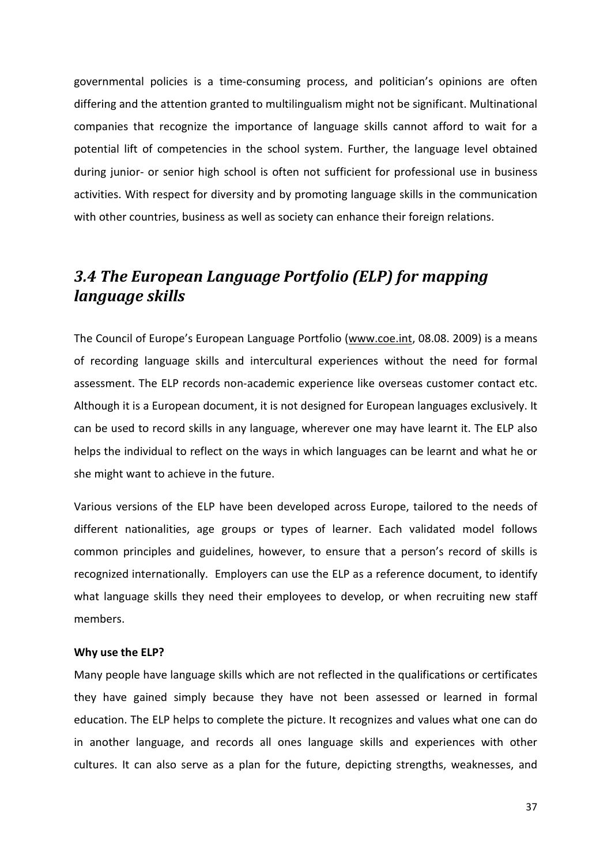governmental policies is a time-consuming process, and politician's opinions are often differing and the attention granted to multilingualism might not be significant. Multinational companies that recognize the importance of language skills cannot afford to wait for a potential lift of competencies in the school system. Further, the language level obtained during junior- or senior high school is often not sufficient for professional use in business activities. With respect for diversity and by promoting language skills in the communication with other countries, business as well as society can enhance their foreign relations.

## *3.4 The European Language Portfolio (ELP) for mapping language skills*

The Council of Europe's European Language Portfolio (www.coe.int, 08.08. 2009) is a means of recording language skills and intercultural experiences without the need for formal assessment. The ELP records non-academic experience like overseas customer contact etc. Although it is a European document, it is not designed for European languages exclusively. It can be used to record skills in any language, wherever one may have learnt it. The ELP also helps the individual to reflect on the ways in which languages can be learnt and what he or she might want to achieve in the future.

Various versions of the ELP have been developed across Europe, tailored to the needs of different nationalities, age groups or types of learner. Each validated model follows common principles and guidelines, however, to ensure that a person's record of skills is recognized internationally. Employers can use the ELP as a reference document, to identify what language skills they need their employees to develop, or when recruiting new staff members.

#### **Why use the ELP?**

Many people have language skills which are not reflected in the qualifications or certificates they have gained simply because they have not been assessed or learned in formal education. The ELP helps to complete the picture. It recognizes and values what one can do in another language, and records all ones language skills and experiences with other cultures. It can also serve as a plan for the future, depicting strengths, weaknesses, and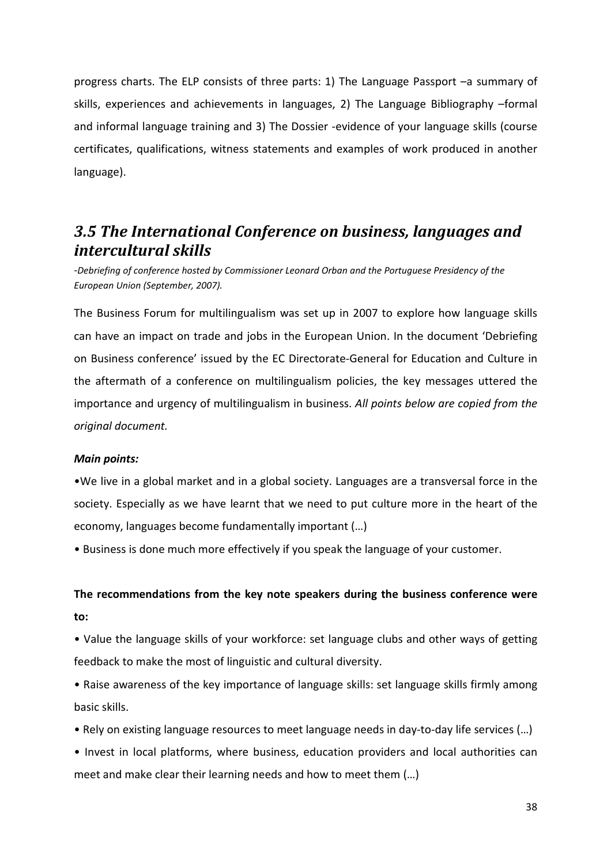progress charts. The ELP consists of three parts: 1) The Language Passport –a summary of skills, experiences and achievements in languages, 2) The Language Bibliography –formal and informal language training and 3) The Dossier -evidence of your language skills (course certificates, qualifications, witness statements and examples of work produced in another language).

## *3.5 The International Conference on business, languages and intercultural skills*

*-Debriefing of conference hosted by Commissioner Leonard Orban and the Portuguese Presidency of the European Union (September, 2007).*

The Business Forum for multilingualism was set up in 2007 to explore how language skills can have an impact on trade and jobs in the European Union. In the document 'Debriefing on Business conference' issued by the EC Directorate-General for Education and Culture in the aftermath of a conference on multilingualism policies, the key messages uttered the importance and urgency of multilingualism in business. *All points below are copied from the original document.*

#### *Main points:*

•We live in a global market and in a global society. Languages are a transversal force in the society. Especially as we have learnt that we need to put culture more in the heart of the economy, languages become fundamentally important (…)

• Business is done much more effectively if you speak the language of your customer.

#### **The recommendations from the key note speakers during the business conference were to:**

• Value the language skills of your workforce: set language clubs and other ways of getting feedback to make the most of linguistic and cultural diversity.

• Raise awareness of the key importance of language skills: set language skills firmly among basic skills.

- Rely on existing language resources to meet language needs in day-to-day life services (…)
- Invest in local platforms, where business, education providers and local authorities can meet and make clear their learning needs and how to meet them (…)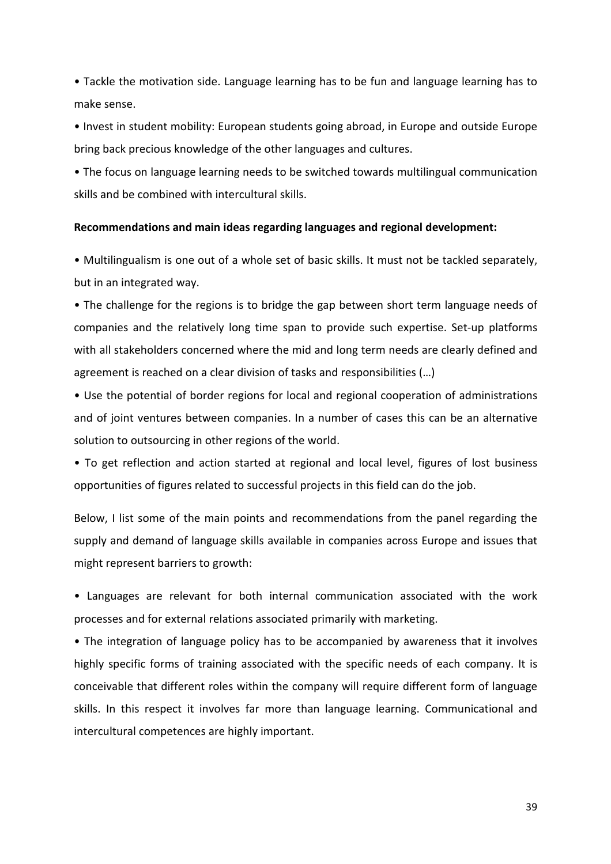• Tackle the motivation side. Language learning has to be fun and language learning has to make sense.

• Invest in student mobility: European students going abroad, in Europe and outside Europe bring back precious knowledge of the other languages and cultures.

• The focus on language learning needs to be switched towards multilingual communication skills and be combined with intercultural skills.

#### **Recommendations and main ideas regarding languages and regional development:**

• Multilingualism is one out of a whole set of basic skills. It must not be tackled separately, but in an integrated way.

• The challenge for the regions is to bridge the gap between short term language needs of companies and the relatively long time span to provide such expertise. Set-up platforms with all stakeholders concerned where the mid and long term needs are clearly defined and agreement is reached on a clear division of tasks and responsibilities (…)

• Use the potential of border regions for local and regional cooperation of administrations and of joint ventures between companies. In a number of cases this can be an alternative solution to outsourcing in other regions of the world.

• To get reflection and action started at regional and local level, figures of lost business opportunities of figures related to successful projects in this field can do the job.

Below, I list some of the main points and recommendations from the panel regarding the supply and demand of language skills available in companies across Europe and issues that might represent barriers to growth:

• Languages are relevant for both internal communication associated with the work processes and for external relations associated primarily with marketing.

• The integration of language policy has to be accompanied by awareness that it involves highly specific forms of training associated with the specific needs of each company. It is conceivable that different roles within the company will require different form of language skills. In this respect it involves far more than language learning. Communicational and intercultural competences are highly important.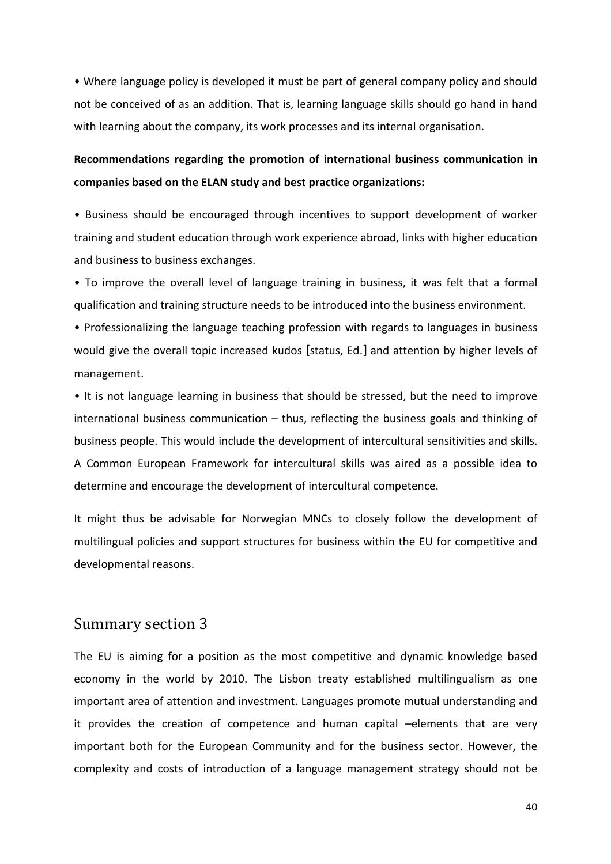• Where language policy is developed it must be part of general company policy and should not be conceived of as an addition. That is, learning language skills should go hand in hand with learning about the company, its work processes and its internal organisation.

### **Recommendations regarding the promotion of international business communication in companies based on the ELAN study and best practice organizations:**

• Business should be encouraged through incentives to support development of worker training and student education through work experience abroad, links with higher education and business to business exchanges.

• To improve the overall level of language training in business, it was felt that a formal qualification and training structure needs to be introduced into the business environment.

• Professionalizing the language teaching profession with regards to languages in business would give the overall topic increased kudos [status, Ed.] and attention by higher levels of management.

• It is not language learning in business that should be stressed, but the need to improve international business communication – thus, reflecting the business goals and thinking of business people. This would include the development of intercultural sensitivities and skills. A Common European Framework for intercultural skills was aired as a possible idea to determine and encourage the development of intercultural competence.

It might thus be advisable for Norwegian MNCs to closely follow the development of multilingual policies and support structures for business within the EU for competitive and developmental reasons.

#### Summary section 3

The EU is aiming for a position as the most competitive and dynamic knowledge based economy in the world by 2010. The Lisbon treaty established multilingualism as one important area of attention and investment. Languages promote mutual understanding and it provides the creation of competence and human capital –elements that are very important both for the European Community and for the business sector. However, the complexity and costs of introduction of a language management strategy should not be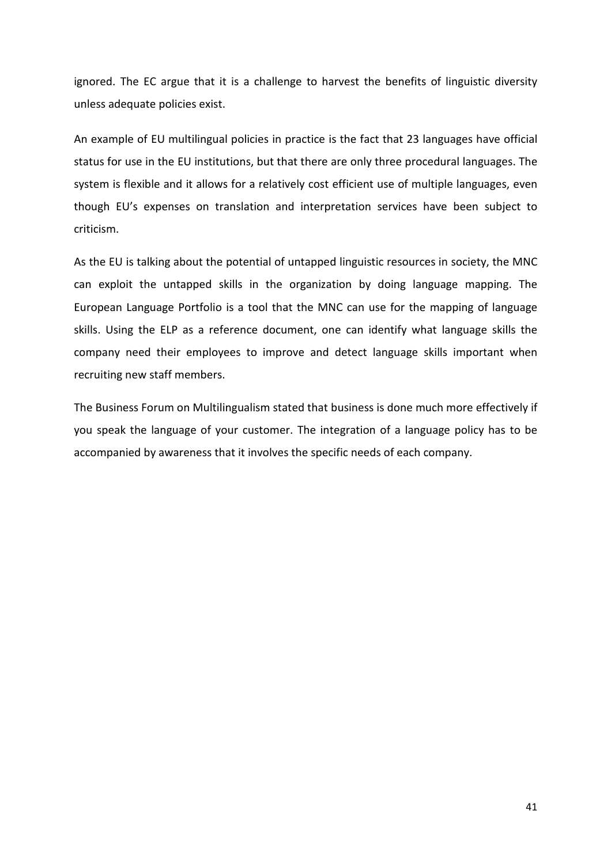ignored. The EC argue that it is a challenge to harvest the benefits of linguistic diversity unless adequate policies exist.

An example of EU multilingual policies in practice is the fact that 23 languages have official status for use in the EU institutions, but that there are only three procedural languages. The system is flexible and it allows for a relatively cost efficient use of multiple languages, even though EU's expenses on translation and interpretation services have been subject to criticism.

As the EU is talking about the potential of untapped linguistic resources in society, the MNC can exploit the untapped skills in the organization by doing language mapping. The European Language Portfolio is a tool that the MNC can use for the mapping of language skills. Using the ELP as a reference document, one can identify what language skills the company need their employees to improve and detect language skills important when recruiting new staff members.

The Business Forum on Multilingualism stated that business is done much more effectively if you speak the language of your customer. The integration of a language policy has to be accompanied by awareness that it involves the specific needs of each company.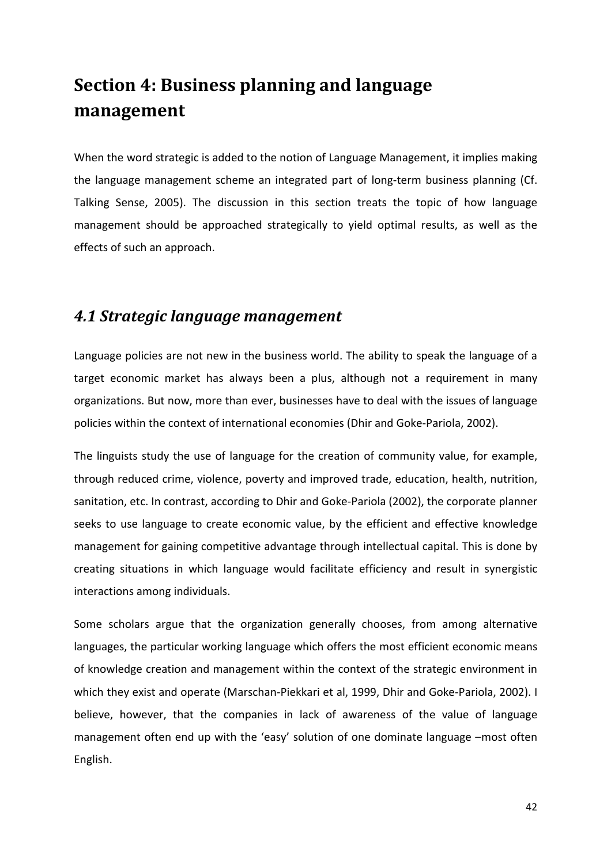# **Section 4: Business planning and language management**

When the word strategic is added to the notion of Language Management, it implies making the language management scheme an integrated part of long-term business planning (Cf. Talking Sense, 2005). The discussion in this section treats the topic of how language management should be approached strategically to yield optimal results, as well as the effects of such an approach.

## *4.1 Strategic language management*

Language policies are not new in the business world. The ability to speak the language of a target economic market has always been a plus, although not a requirement in many organizations. But now, more than ever, businesses have to deal with the issues of language policies within the context of international economies (Dhir and Goke-Pariola, 2002).

The linguists study the use of language for the creation of community value, for example, through reduced crime, violence, poverty and improved trade, education, health, nutrition, sanitation, etc. In contrast, according to Dhir and Goke-Pariola (2002), the corporate planner seeks to use language to create economic value, by the efficient and effective knowledge management for gaining competitive advantage through intellectual capital. This is done by creating situations in which language would facilitate efficiency and result in synergistic interactions among individuals.

Some scholars argue that the organization generally chooses, from among alternative languages, the particular working language which offers the most efficient economic means of knowledge creation and management within the context of the strategic environment in which they exist and operate (Marschan-Piekkari et al, 1999, Dhir and Goke-Pariola, 2002). I believe, however, that the companies in lack of awareness of the value of language management often end up with the 'easy' solution of one dominate language –most often English.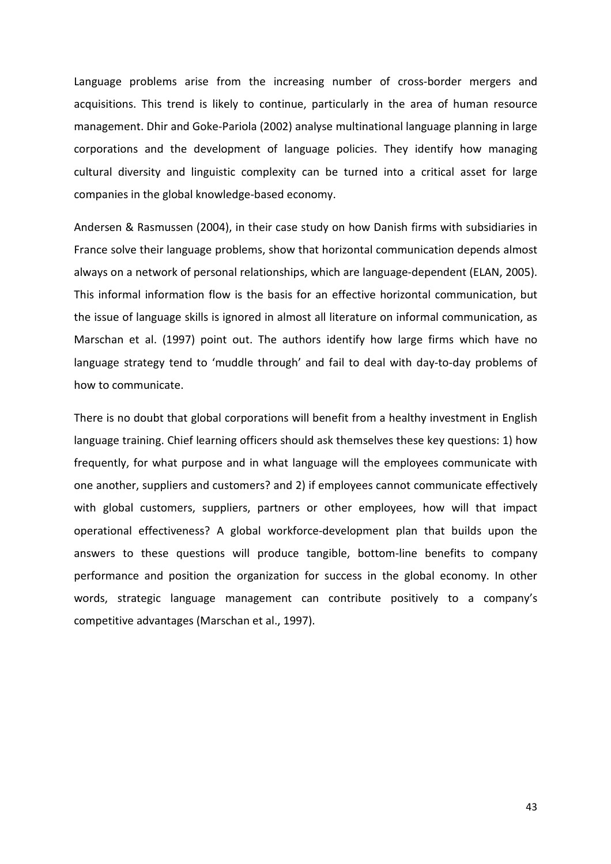Language problems arise from the increasing number of cross-border mergers and acquisitions. This trend is likely to continue, particularly in the area of human resource management. Dhir and Goke-Pariola (2002) analyse multinational language planning in large corporations and the development of language policies. They identify how managing cultural diversity and linguistic complexity can be turned into a critical asset for large companies in the global knowledge-based economy.

Andersen & Rasmussen (2004), in their case study on how Danish firms with subsidiaries in France solve their language problems, show that horizontal communication depends almost always on a network of personal relationships, which are language-dependent (ELAN, 2005). This informal information flow is the basis for an effective horizontal communication, but the issue of language skills is ignored in almost all literature on informal communication, as Marschan et al. (1997) point out. The authors identify how large firms which have no language strategy tend to 'muddle through' and fail to deal with day-to-day problems of how to communicate.

There is no doubt that global corporations will benefit from a healthy investment in English language training. Chief learning officers should ask themselves these key questions: 1) how frequently, for what purpose and in what language will the employees communicate with one another, suppliers and customers? and 2) if employees cannot communicate effectively with global customers, suppliers, partners or other employees, how will that impact operational effectiveness? A global workforce-development plan that builds upon the answers to these questions will produce tangible, bottom-line benefits to company performance and position the organization for success in the global economy. In other words, strategic language management can contribute positively to a company's competitive advantages (Marschan et al., 1997).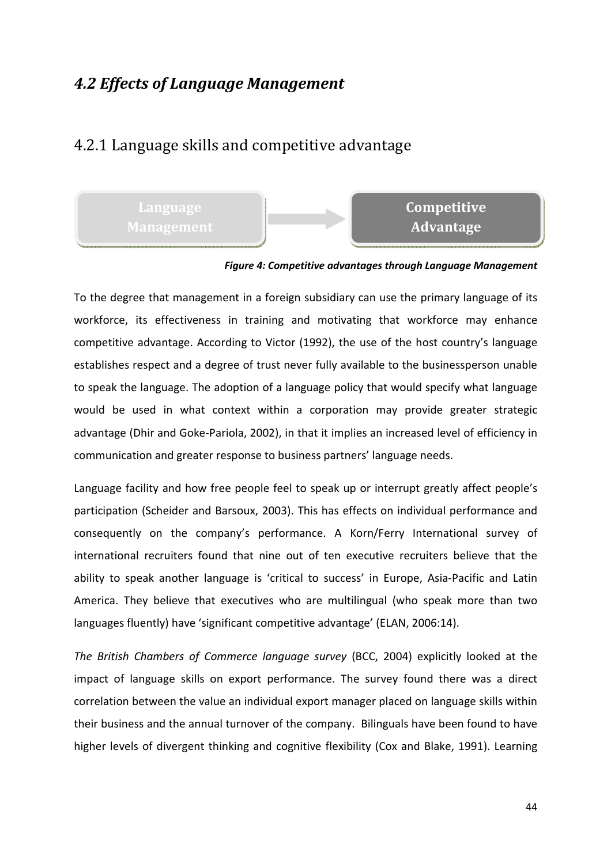## *4.2 Effects of Language Management*

### 4.2.1 Language skills and competitive advantage

**Language** 

## **Competitive Advantage**

#### *Figure 4: Competitive advantages through Language Management*

To the degree that management in a foreign subsidiary can use the primary language of its workforce, its effectiveness in training and motivating that workforce may enhance competitive advantage. According to Victor (1992), the use of the host country's language establishes respect and a degree of trust never fully available to the businessperson unable to speak the language. The adoption of a language policy that would specify what language would be used in what context within a corporation may provide greater strategic advantage (Dhir and Goke-Pariola, 2002), in that it implies an increased level of efficiency in communication and greater response to business partners' language needs.

Language facility and how free people feel to speak up or interrupt greatly affect people's participation (Scheider and Barsoux, 2003). This has effects on individual performance and consequently on the company's performance. A Korn/Ferry International survey of international recruiters found that nine out of ten executive recruiters believe that the ability to speak another language is 'critical to success' in Europe, Asia-Pacific and Latin America. They believe that executives who are multilingual (who speak more than two languages fluently) have 'significant competitive advantage' (ELAN, 2006:14).

*The British Chambers of Commerce language survey* (BCC, 2004) explicitly looked at the impact of language skills on export performance. The survey found there was a direct correlation between the value an individual export manager placed on language skills within their business and the annual turnover of the company. Bilinguals have been found to have higher levels of divergent thinking and cognitive flexibility (Cox and Blake, 1991). Learning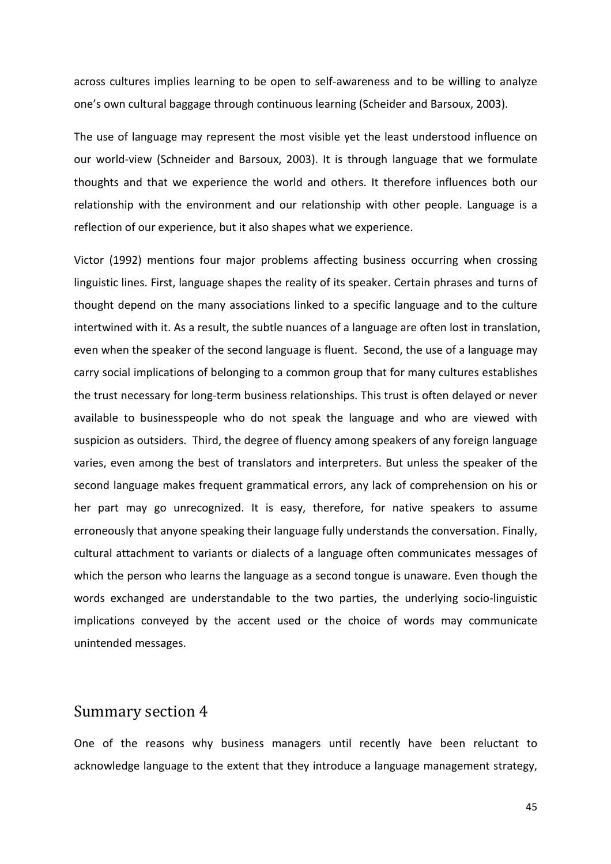across cultures implies learning to be open to self-awareness and to be willing to analyze one's own cultural baggage through continuous learning (Scheider and Barsoux, 2003).

The use of language may represent the most visible yet the least understood influence on our world-view (Schneider and Barsoux, 2003). It is through language that we formulate thoughts and that we experience the world and others. It therefore influences both our relationship with the environment and our relationship with other people. Language is a reflection of our experience, but it also shapes what we experience.

Victor (1992) mentions four major problems affecting business occurring when crossing linguistic lines. First, language shapes the reality of its speaker. Certain phrases and turns of thought depend on the many associations linked to a specific language and to the culture intertwined with it. As a result, the subtle nuances of a language are often lost in translation, even when the speaker of the second language is fluent. Second, the use of a language may carry social implications of belonging to a common group that for many cultures establishes the trust necessary for long-term business relationships. This trust is often delayed or never available to businesspeople who do not speak the language and who are viewed with suspicion as outsiders. Third, the degree of fluency among speakers of any foreign language varies, even among the best of translators and interpreters. But unless the speaker of the second language makes frequent grammatical errors, any lack of comprehension on his or her part may go unrecognized. It is easy, therefore, for native speakers to assume erroneously that anyone speaking their language fully understands the conversation. Finally, cultural attachment to variants or dialects of a language often communicates messages of which the person who learns the language as a second tongue is unaware. Even though the words exchanged are understandable to the two parties, the underlying socio-linguistic implications conveyed by the accent used or the choice of words may communicate unintended messages.

#### Summary section 4

One of the reasons why business managers until recently have been reluctant to acknowledge language to the extent that they introduce a language management strategy,

45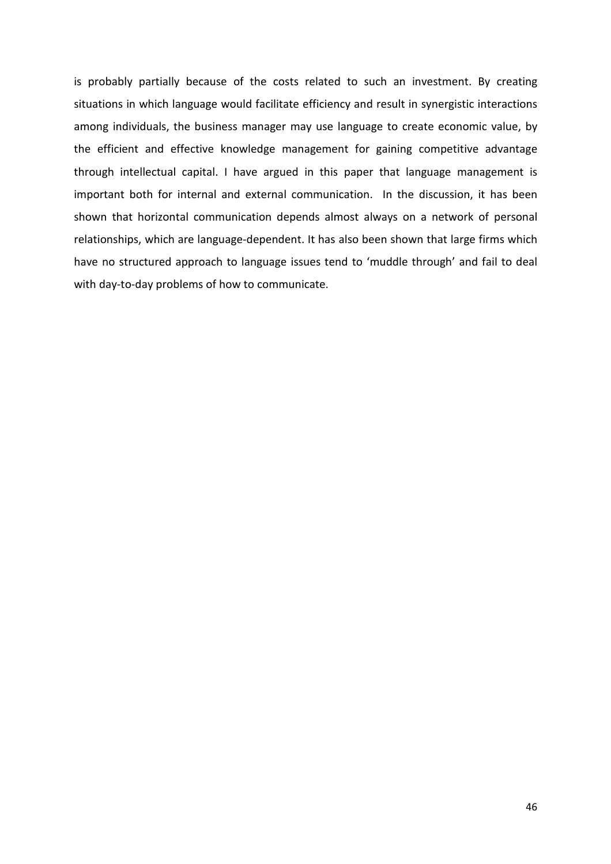is probably partially because of the costs related to such an investment. By creating situations in which language would facilitate efficiency and result in synergistic interactions among individuals, the business manager may use language to create economic value, by the efficient and effective knowledge management for gaining competitive advantage through intellectual capital. I have argued in this paper that language management is important both for internal and external communication. In the discussion, it has been shown that horizontal communication depends almost always on a network of personal relationships, which are language-dependent. It has also been shown that large firms which have no structured approach to language issues tend to 'muddle through' and fail to deal with day-to-day problems of how to communicate.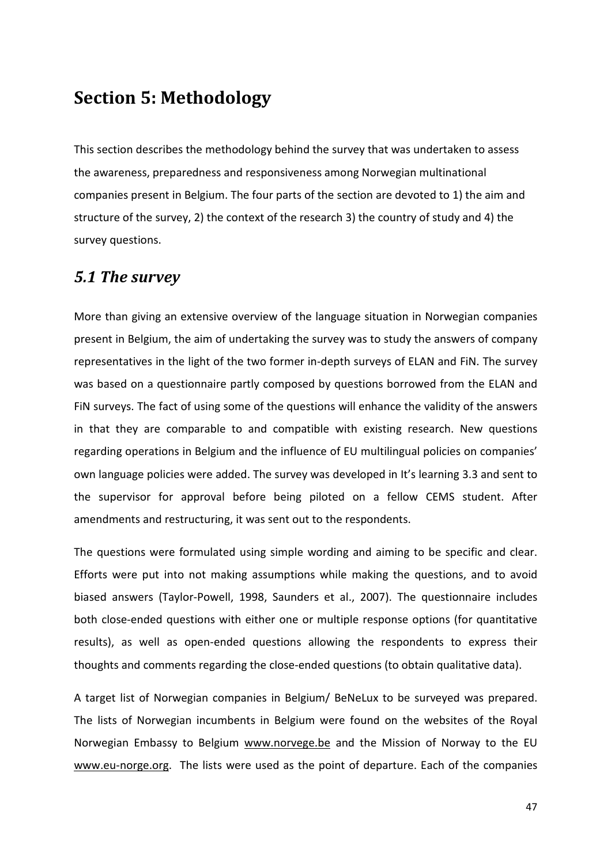## **Section 5: Methodology**

This section describes the methodology behind the survey that was undertaken to assess the awareness, preparedness and responsiveness among Norwegian multinational companies present in Belgium. The four parts of the section are devoted to 1) the aim and structure of the survey, 2) the context of the research 3) the country of study and 4) the survey questions.

### *5.1 The survey*

More than giving an extensive overview of the language situation in Norwegian companies present in Belgium, the aim of undertaking the survey was to study the answers of company representatives in the light of the two former in-depth surveys of ELAN and FiN. The survey was based on a questionnaire partly composed by questions borrowed from the ELAN and FiN surveys. The fact of using some of the questions will enhance the validity of the answers in that they are comparable to and compatible with existing research. New questions regarding operations in Belgium and the influence of EU multilingual policies on companies' own language policies were added. The survey was developed in It's learning 3.3 and sent to the supervisor for approval before being piloted on a fellow CEMS student. After amendments and restructuring, it was sent out to the respondents.

The questions were formulated using simple wording and aiming to be specific and clear. Efforts were put into not making assumptions while making the questions, and to avoid biased answers (Taylor-Powell, 1998, Saunders et al., 2007). The questionnaire includes both close-ended questions with either one or multiple response options (for quantitative results), as well as open-ended questions allowing the respondents to express their thoughts and comments regarding the close-ended questions (to obtain qualitative data).

A target list of Norwegian companies in Belgium/ BeNeLux to be surveyed was prepared. The lists of Norwegian incumbents in Belgium were found on the websites of the Royal Norwegian Embassy to Belgium www.norvege.be and the Mission of Norway to the EU www.eu-norge.org. The lists were used as the point of departure. Each of the companies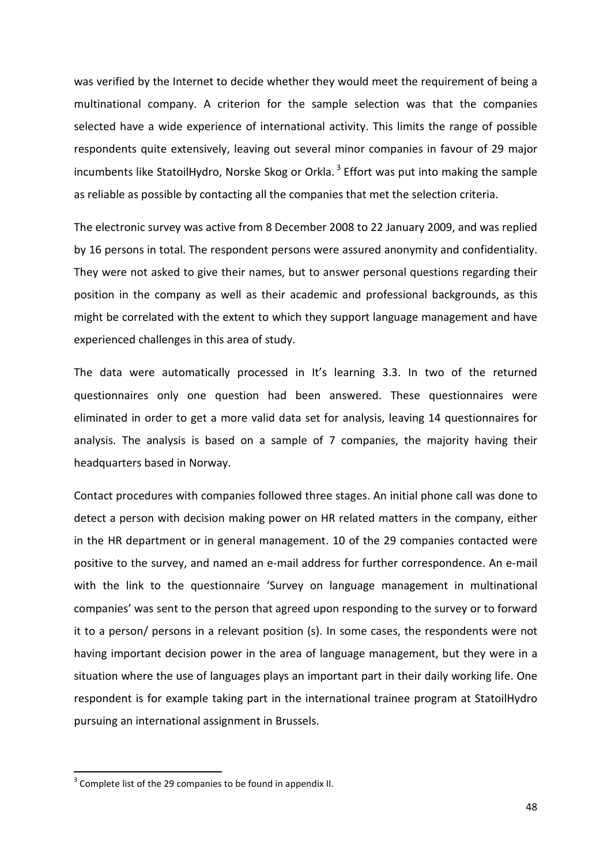was verified by the Internet to decide whether they would meet the requirement of being a multinational company. A criterion for the sample selection was that the companies selected have a wide experience of international activity. This limits the range of possible respondents quite extensively, leaving out several minor companies in favour of 29 major incumbents like StatoilHydro, Norske Skog or Orkla.<sup>3</sup> Effort was put into making the sample as reliable as possible by contacting all the companies that met the selection criteria.

The electronic survey was active from 8 December 2008 to 22 January 2009, and was replied by 16 persons in total. The respondent persons were assured anonymity and confidentiality. They were not asked to give their names, but to answer personal questions regarding their position in the company as well as their academic and professional backgrounds, as this might be correlated with the extent to which they support language management and have experienced challenges in this area of study.

The data were automatically processed in It's learning 3.3. In two of the returned questionnaires only one question had been answered. These questionnaires were eliminated in order to get a more valid data set for analysis, leaving 14 questionnaires for analysis. The analysis is based on a sample of 7 companies, the majority having their headquarters based in Norway.

Contact procedures with companies followed three stages. An initial phone call was done to detect a person with decision making power on HR related matters in the company, either in the HR department or in general management. 10 of the 29 companies contacted were positive to the survey, and named an e-mail address for further correspondence. An e-mail with the link to the questionnaire 'Survey on language management in multinational companies' was sent to the person that agreed upon responding to the survey or to forward it to a person/ persons in a relevant position (s). In some cases, the respondents were not having important decision power in the area of language management, but they were in a situation where the use of languages plays an important part in their daily working life. One respondent is for example taking part in the international trainee program at StatoilHydro pursuing an international assignment in Brussels.

 $\overline{a}$ 

 $3$  Complete list of the 29 companies to be found in appendix II.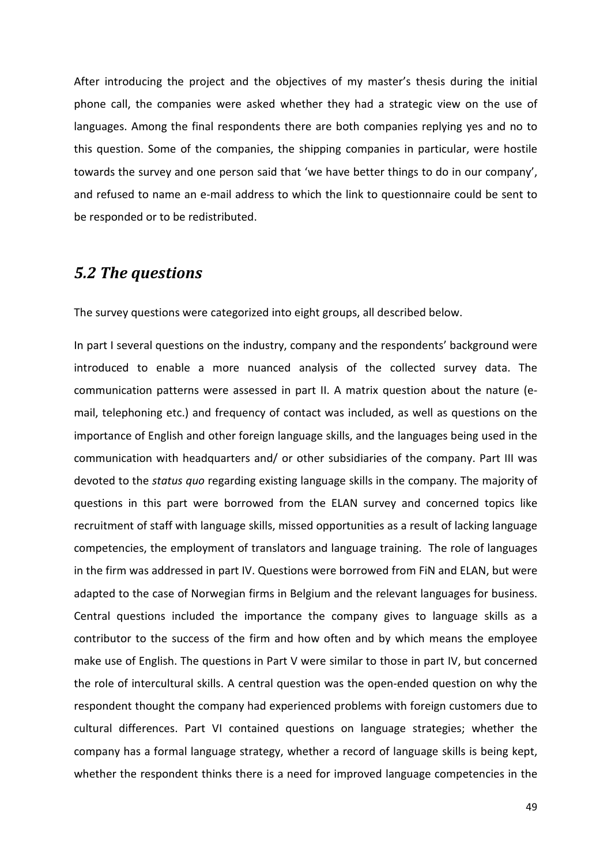After introducing the project and the objectives of my master's thesis during the initial phone call, the companies were asked whether they had a strategic view on the use of languages. Among the final respondents there are both companies replying yes and no to this question. Some of the companies, the shipping companies in particular, were hostile towards the survey and one person said that 'we have better things to do in our company', and refused to name an e-mail address to which the link to questionnaire could be sent to be responded or to be redistributed.

### *5.2 The questions*

The survey questions were categorized into eight groups, all described below.

In part I several questions on the industry, company and the respondents' background were introduced to enable a more nuanced analysis of the collected survey data. The communication patterns were assessed in part II. A matrix question about the nature (email, telephoning etc.) and frequency of contact was included, as well as questions on the importance of English and other foreign language skills, and the languages being used in the communication with headquarters and/ or other subsidiaries of the company. Part III was devoted to the *status quo* regarding existing language skills in the company. The majority of questions in this part were borrowed from the ELAN survey and concerned topics like recruitment of staff with language skills, missed opportunities as a result of lacking language competencies, the employment of translators and language training. The role of languages in the firm was addressed in part IV. Questions were borrowed from FiN and ELAN, but were adapted to the case of Norwegian firms in Belgium and the relevant languages for business. Central questions included the importance the company gives to language skills as a contributor to the success of the firm and how often and by which means the employee make use of English. The questions in Part V were similar to those in part IV, but concerned the role of intercultural skills. A central question was the open-ended question on why the respondent thought the company had experienced problems with foreign customers due to cultural differences. Part VI contained questions on language strategies; whether the company has a formal language strategy, whether a record of language skills is being kept, whether the respondent thinks there is a need for improved language competencies in the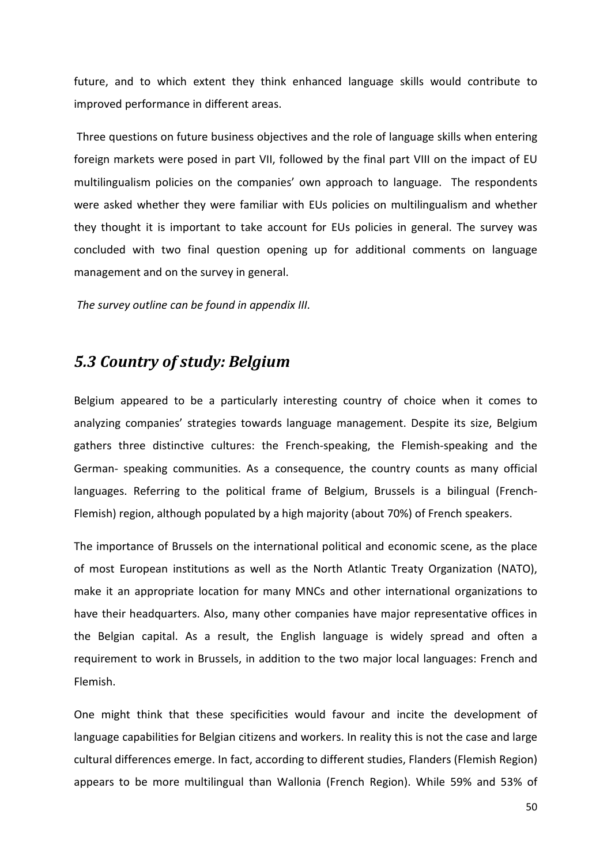future, and to which extent they think enhanced language skills would contribute to improved performance in different areas.

 Three questions on future business objectives and the role of language skills when entering foreign markets were posed in part VII, followed by the final part VIII on the impact of EU multilingualism policies on the companies' own approach to language. The respondents were asked whether they were familiar with EUs policies on multilingualism and whether they thought it is important to take account for EUs policies in general. The survey was concluded with two final question opening up for additional comments on language management and on the survey in general.

 *The survey outline can be found in appendix III.* 

#### *5.3 Country of study: Belgium*

Belgium appeared to be a particularly interesting country of choice when it comes to analyzing companies' strategies towards language management. Despite its size, Belgium gathers three distinctive cultures: the French-speaking, the Flemish-speaking and the German- speaking communities. As a consequence, the country counts as many official languages. Referring to the political frame of Belgium, Brussels is a bilingual (French-Flemish) region, although populated by a high majority (about 70%) of French speakers.

The importance of Brussels on the international political and economic scene, as the place of most European institutions as well as the North Atlantic Treaty Organization (NATO), make it an appropriate location for many MNCs and other international organizations to have their headquarters. Also, many other companies have major representative offices in the Belgian capital. As a result, the English language is widely spread and often a requirement to work in Brussels, in addition to the two major local languages: French and Flemish.

One might think that these specificities would favour and incite the development of language capabilities for Belgian citizens and workers. In reality this is not the case and large cultural differences emerge. In fact, according to different studies, Flanders (Flemish Region) appears to be more multilingual than Wallonia (French Region). While 59% and 53% of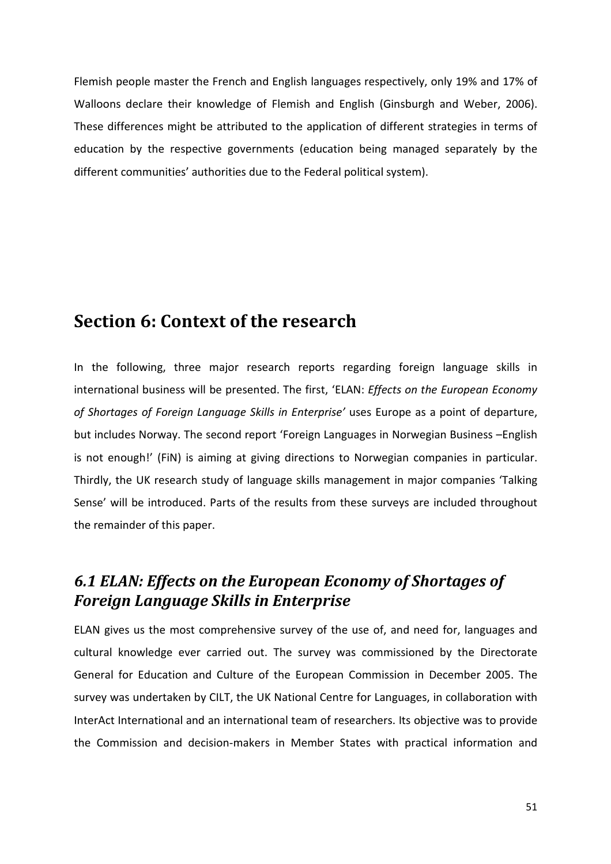Flemish people master the French and English languages respectively, only 19% and 17% of Walloons declare their knowledge of Flemish and English (Ginsburgh and Weber, 2006). These differences might be attributed to the application of different strategies in terms of education by the respective governments (education being managed separately by the different communities' authorities due to the Federal political system).

## **Section 6: Context of the research**

In the following, three major research reports regarding foreign language skills in international business will be presented. The first, 'ELAN: *Effects on the European Economy of Shortages of Foreign Language Skills in Enterprise'* uses Europe as a point of departure, but includes Norway. The second report 'Foreign Languages in Norwegian Business –English is not enough!' (FiN) is aiming at giving directions to Norwegian companies in particular. Thirdly, the UK research study of language skills management in major companies 'Talking Sense' will be introduced. Parts of the results from these surveys are included throughout the remainder of this paper.

## *6.1 ELAN: Effects on the European Economy of Shortages of Foreign Language Skills in Enterprise*

ELAN gives us the most comprehensive survey of the use of, and need for, languages and cultural knowledge ever carried out. The survey was commissioned by the Directorate General for Education and Culture of the European Commission in December 2005. The survey was undertaken by CILT, the UK National Centre for Languages, in collaboration with InterAct International and an international team of researchers. Its objective was to provide the Commission and decision-makers in Member States with practical information and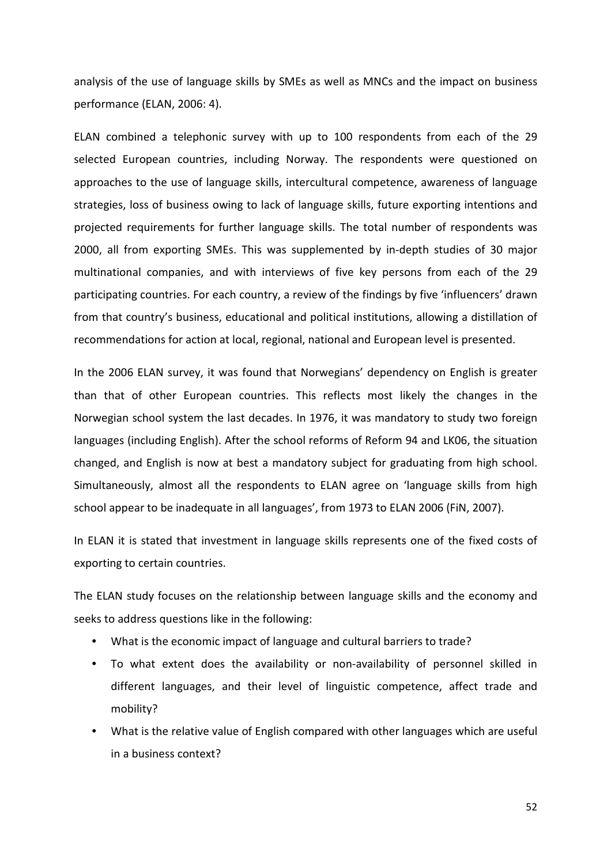analysis of the use of language skills by SMEs as well as MNCs and the impact on business performance (ELAN, 2006: 4).

ELAN combined a telephonic survey with up to 100 respondents from each of the 29 selected European countries, including Norway. The respondents were questioned on approaches to the use of language skills, intercultural competence, awareness of language strategies, loss of business owing to lack of language skills, future exporting intentions and projected requirements for further language skills. The total number of respondents was 2000, all from exporting SMEs. This was supplemented by in-depth studies of 30 major multinational companies, and with interviews of five key persons from each of the 29 participating countries. For each country, a review of the findings by five 'influencers' drawn from that country's business, educational and political institutions, allowing a distillation of recommendations for action at local, regional, national and European level is presented.

In the 2006 ELAN survey, it was found that Norwegians' dependency on English is greater than that of other European countries. This reflects most likely the changes in the Norwegian school system the last decades. In 1976, it was mandatory to study two foreign languages (including English). After the school reforms of Reform 94 and LK06, the situation changed, and English is now at best a mandatory subject for graduating from high school. Simultaneously, almost all the respondents to ELAN agree on 'language skills from high school appear to be inadequate in all languages', from 1973 to ELAN 2006 (FiN, 2007).

In ELAN it is stated that investment in language skills represents one of the fixed costs of exporting to certain countries.

The ELAN study focuses on the relationship between language skills and the economy and seeks to address questions like in the following:

- What is the economic impact of language and cultural barriers to trade?
- To what extent does the availability or non-availability of personnel skilled in different languages, and their level of linguistic competence, affect trade and mobility?
- What is the relative value of English compared with other languages which are useful in a business context?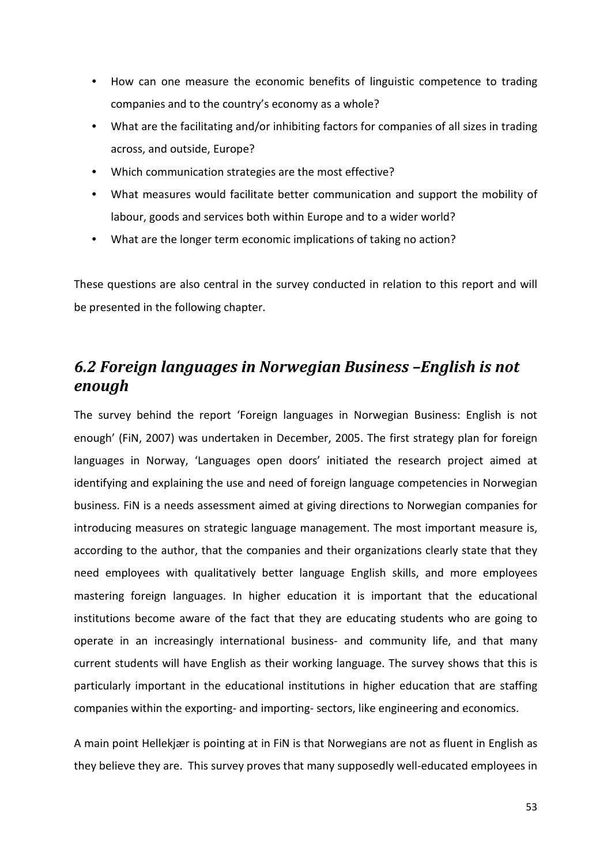- How can one measure the economic benefits of linguistic competence to trading companies and to the country's economy as a whole?
- What are the facilitating and/or inhibiting factors for companies of all sizes in trading across, and outside, Europe?
- Which communication strategies are the most effective?
- What measures would facilitate better communication and support the mobility of labour, goods and services both within Europe and to a wider world?
- What are the longer term economic implications of taking no action?

These questions are also central in the survey conducted in relation to this report and will be presented in the following chapter.

## *6.2 Foreign languages in Norwegian Business –English is not enough*

The survey behind the report 'Foreign languages in Norwegian Business: English is not enough' (FiN, 2007) was undertaken in December, 2005. The first strategy plan for foreign languages in Norway, 'Languages open doors' initiated the research project aimed at identifying and explaining the use and need of foreign language competencies in Norwegian business. FiN is a needs assessment aimed at giving directions to Norwegian companies for introducing measures on strategic language management. The most important measure is, according to the author, that the companies and their organizations clearly state that they need employees with qualitatively better language English skills, and more employees mastering foreign languages. In higher education it is important that the educational institutions become aware of the fact that they are educating students who are going to operate in an increasingly international business- and community life, and that many current students will have English as their working language. The survey shows that this is particularly important in the educational institutions in higher education that are staffing companies within the exporting- and importing- sectors, like engineering and economics.

A main point Hellekjær is pointing at in FiN is that Norwegians are not as fluent in English as they believe they are. This survey proves that many supposedly well-educated employees in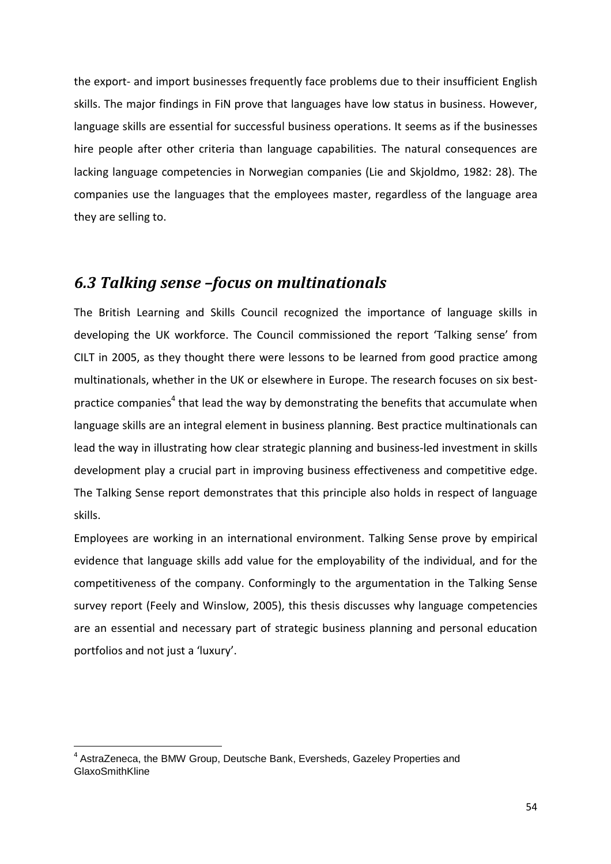the export- and import businesses frequently face problems due to their insufficient English skills. The major findings in FiN prove that languages have low status in business. However, language skills are essential for successful business operations. It seems as if the businesses hire people after other criteria than language capabilities. The natural consequences are lacking language competencies in Norwegian companies (Lie and Skjoldmo, 1982: 28). The companies use the languages that the employees master, regardless of the language area they are selling to.

## *6.3 Talking sense –focus on multinationals*

The British Learning and Skills Council recognized the importance of language skills in developing the UK workforce. The Council commissioned the report 'Talking sense' from CILT in 2005, as they thought there were lessons to be learned from good practice among multinationals, whether in the UK or elsewhere in Europe. The research focuses on six bestpractice companies<sup>4</sup> that lead the way by demonstrating the benefits that accumulate when language skills are an integral element in business planning. Best practice multinationals can lead the way in illustrating how clear strategic planning and business-led investment in skills development play a crucial part in improving business effectiveness and competitive edge. The Talking Sense report demonstrates that this principle also holds in respect of language skills.

Employees are working in an international environment. Talking Sense prove by empirical evidence that language skills add value for the employability of the individual, and for the competitiveness of the company. Conformingly to the argumentation in the Talking Sense survey report (Feely and Winslow, 2005), this thesis discusses why language competencies are an essential and necessary part of strategic business planning and personal education portfolios and not just a 'luxury'.

 $\overline{\phantom{0}}$ 

<sup>&</sup>lt;sup>4</sup> AstraZeneca, the BMW Group, Deutsche Bank, Eversheds, Gazeley Properties and GlaxoSmithKline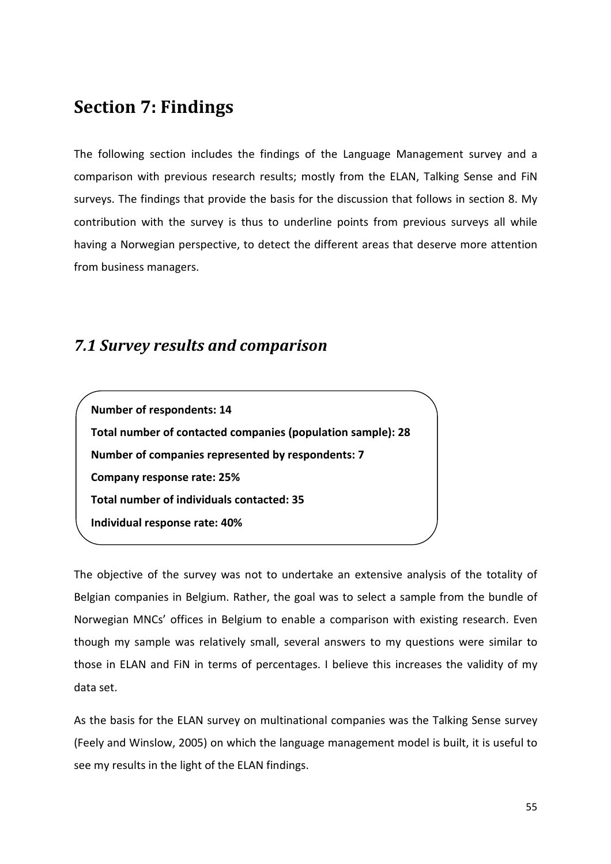# **Section 7: Findings**

The following section includes the findings of the Language Management survey and a comparison with previous research results; mostly from the ELAN, Talking Sense and FiN surveys. The findings that provide the basis for the discussion that follows in section 8. My contribution with the survey is thus to underline points from previous surveys all while having a Norwegian perspective, to detect the different areas that deserve more attention from business managers.

## *7.1 Survey results and comparison*

**Number of respondents: 14 Total number of contacted companies (population sample): 28 Number of companies represented by respondents: 7 Company response rate: 25% Total number of individuals contacted: 35 Individual response rate: 40%** 

The objective of the survey was not to undertake an extensive analysis of the totality of Belgian companies in Belgium. Rather, the goal was to select a sample from the bundle of Norwegian MNCs' offices in Belgium to enable a comparison with existing research. Even though my sample was relatively small, several answers to my questions were similar to those in ELAN and FiN in terms of percentages. I believe this increases the validity of my data set.

As the basis for the ELAN survey on multinational companies was the Talking Sense survey (Feely and Winslow, 2005) on which the language management model is built, it is useful to see my results in the light of the ELAN findings.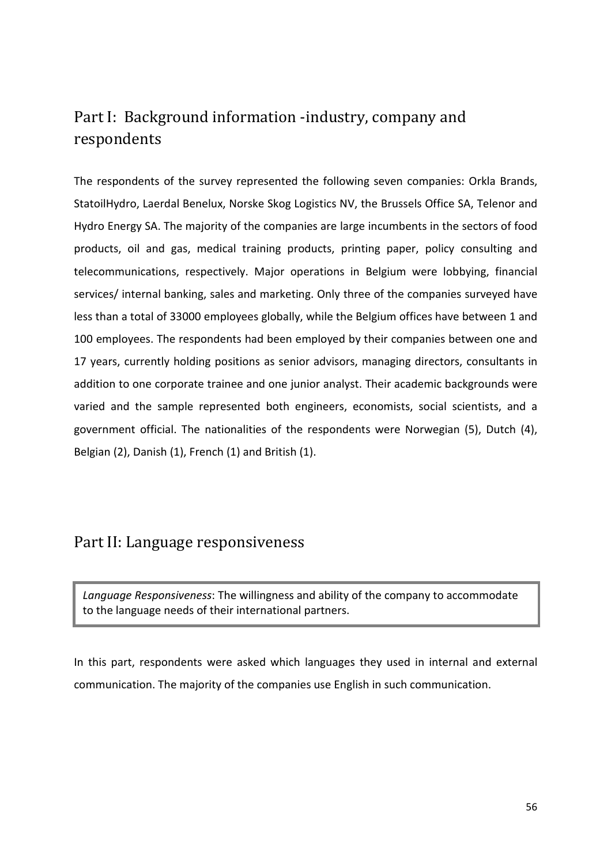## Part I: Background information -industry, company and respondents

The respondents of the survey represented the following seven companies: Orkla Brands, StatoilHydro, Laerdal Benelux, Norske Skog Logistics NV, the Brussels Office SA, Telenor and Hydro Energy SA. The majority of the companies are large incumbents in the sectors of food products, oil and gas, medical training products, printing paper, policy consulting and telecommunications, respectively. Major operations in Belgium were lobbying, financial services/ internal banking, sales and marketing. Only three of the companies surveyed have less than a total of 33000 employees globally, while the Belgium offices have between 1 and 100 employees. The respondents had been employed by their companies between one and 17 years, currently holding positions as senior advisors, managing directors, consultants in addition to one corporate trainee and one junior analyst. Their academic backgrounds were varied and the sample represented both engineers, economists, social scientists, and a government official. The nationalities of the respondents were Norwegian (5), Dutch (4), Belgian (2), Danish (1), French (1) and British (1).

#### Part II: Language responsiveness

*Language Responsiveness*: The willingness and ability of the company to accommodate to the language needs of their international partners.

In this part, respondents were asked which languages they used in internal and external communication. The majority of the companies use English in such communication.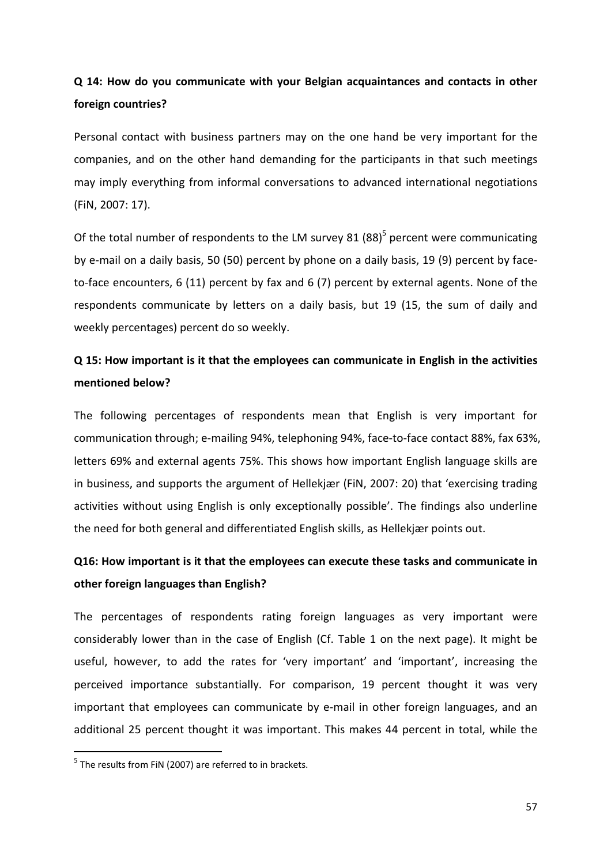## **Q 14: How do you communicate with your Belgian acquaintances and contacts in other foreign countries?**

Personal contact with business partners may on the one hand be very important for the companies, and on the other hand demanding for the participants in that such meetings may imply everything from informal conversations to advanced international negotiations (FiN, 2007: 17).

Of the total number of respondents to the LM survey 81  $(88)^5$  percent were communicating by e-mail on a daily basis, 50 (50) percent by phone on a daily basis, 19 (9) percent by faceto-face encounters, 6 (11) percent by fax and 6 (7) percent by external agents. None of the respondents communicate by letters on a daily basis, but 19 (15, the sum of daily and weekly percentages) percent do so weekly.

## **Q 15: How important is it that the employees can communicate in English in the activities mentioned below?**

The following percentages of respondents mean that English is very important for communication through; e-mailing 94%, telephoning 94%, face-to-face contact 88%, fax 63%, letters 69% and external agents 75%. This shows how important English language skills are in business, and supports the argument of Hellekjær (FiN, 2007: 20) that 'exercising trading activities without using English is only exceptionally possible'. The findings also underline the need for both general and differentiated English skills, as Hellekjær points out.

## **Q16: How important is it that the employees can execute these tasks and communicate in other foreign languages than English?**

The percentages of respondents rating foreign languages as very important were considerably lower than in the case of English (Cf. Table 1 on the next page). It might be useful, however, to add the rates for 'very important' and 'important', increasing the perceived importance substantially. For comparison, 19 percent thought it was very important that employees can communicate by e-mail in other foreign languages, and an additional 25 percent thought it was important. This makes 44 percent in total, while the

l

<sup>&</sup>lt;sup>5</sup> The results from FiN (2007) are referred to in brackets.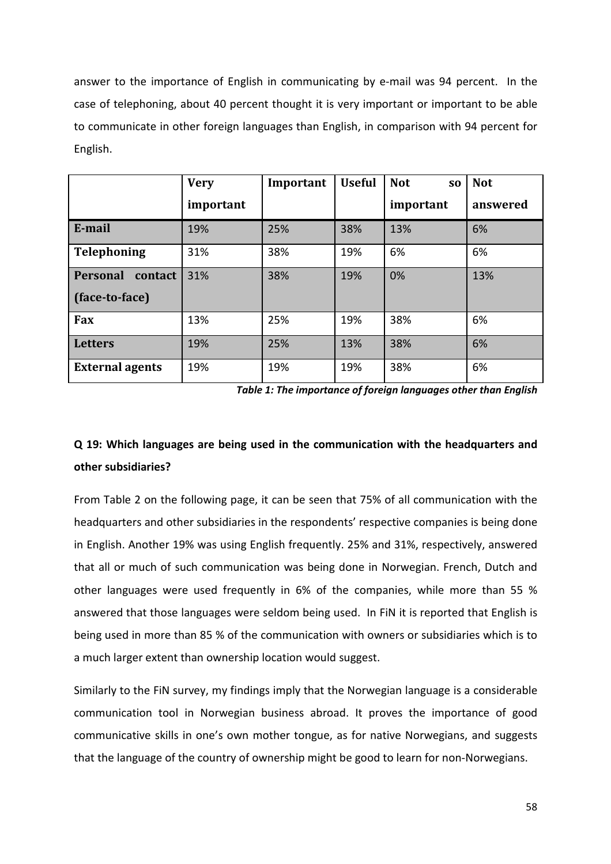answer to the importance of English in communicating by e-mail was 94 percent. In the case of telephoning, about 40 percent thought it is very important or important to be able to communicate in other foreign languages than English, in comparison with 94 percent for English.

|                            | <b>Very</b> | Important | <b>Useful</b> | <b>Not</b><br>S <sub>0</sub> | <b>Not</b> |  |
|----------------------------|-------------|-----------|---------------|------------------------------|------------|--|
|                            | important   |           |               | important                    | answered   |  |
| E-mail                     | 19%         | 25%       | 38%           | 13%                          | 6%         |  |
| <b>Telephoning</b>         | 31%         | 38%       | 19%           | 6%                           | 6%         |  |
| <b>Personal</b><br>contact | 31%         | 38%       | 19%           | 0%                           | 13%        |  |
| (face-to-face)             |             |           |               |                              |            |  |
| Fax                        | 13%         | 25%       | 19%           | 38%                          | 6%         |  |
| <b>Letters</b>             | 19%         | 25%       | 13%           | 38%                          | 6%         |  |
| <b>External agents</b>     | 19%         | 19%       | 19%           | 38%                          | 6%         |  |

*Table 1: The importance of foreign languages other than English* 

## **Q 19: Which languages are being used in the communication with the headquarters and other subsidiaries?**

From Table 2 on the following page, it can be seen that 75% of all communication with the headquarters and other subsidiaries in the respondents' respective companies is being done in English. Another 19% was using English frequently. 25% and 31%, respectively, answered that all or much of such communication was being done in Norwegian. French, Dutch and other languages were used frequently in 6% of the companies, while more than 55 % answered that those languages were seldom being used. In FiN it is reported that English is being used in more than 85 % of the communication with owners or subsidiaries which is to a much larger extent than ownership location would suggest.

Similarly to the FiN survey, my findings imply that the Norwegian language is a considerable communication tool in Norwegian business abroad. It proves the importance of good communicative skills in one's own mother tongue, as for native Norwegians, and suggests that the language of the country of ownership might be good to learn for non-Norwegians.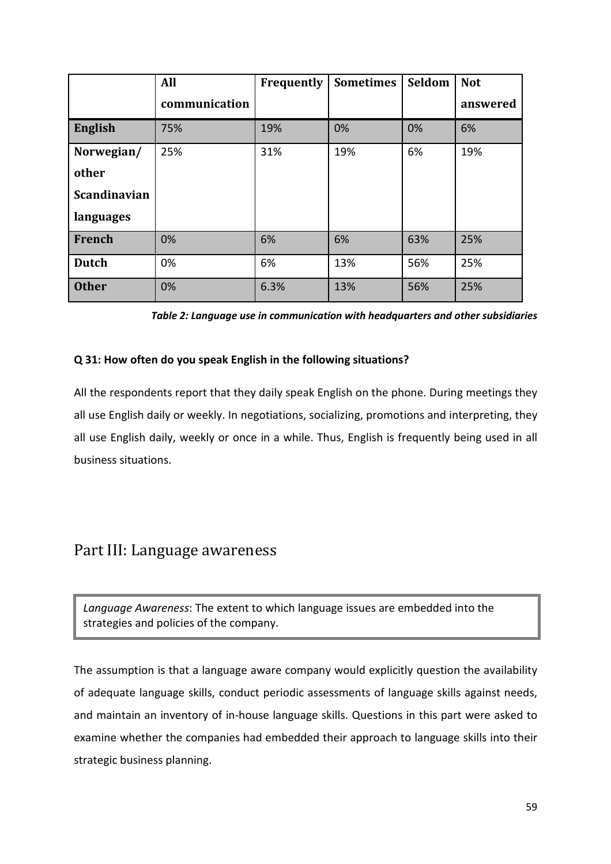|                     | <b>All</b>    | Frequently | <b>Sometimes</b> |     | <b>Not</b> |  |
|---------------------|---------------|------------|------------------|-----|------------|--|
|                     | communication |            |                  |     | answered   |  |
| <b>English</b>      | 75%           | 19%        | 0%               | 0%  | 6%         |  |
| Norwegian/          | 25%           | 31%        | 19%              | 6%  | 19%        |  |
| other               |               |            |                  |     |            |  |
| <b>Scandinavian</b> |               |            |                  |     |            |  |
| languages           |               |            |                  |     |            |  |
| French              | 0%            | 6%         | 6%               | 63% | 25%        |  |
| <b>Dutch</b>        | 0%            | 6%         | 13%              | 56% | 25%        |  |
| <b>Other</b>        | 0%            | 6.3%       | 13%              | 56% | 25%        |  |

*Table 2: Language use in communication with headquarters and other subsidiaries* 

#### **Q 31: How often do you speak English in the following situations?**

All the respondents report that they daily speak English on the phone. During meetings they all use English daily or weekly. In negotiations, socializing, promotions and interpreting, they all use English daily, weekly or once in a while. Thus, English is frequently being used in all business situations.

## Part III: Language awareness

*Language Awareness*: The extent to which language issues are embedded into the strategies and policies of the company.

The assumption is that a language aware company would explicitly question the availability of adequate language skills, conduct periodic assessments of language skills against needs, and maintain an inventory of in-house language skills. Questions in this part were asked to examine whether the companies had embedded their approach to language skills into their strategic business planning.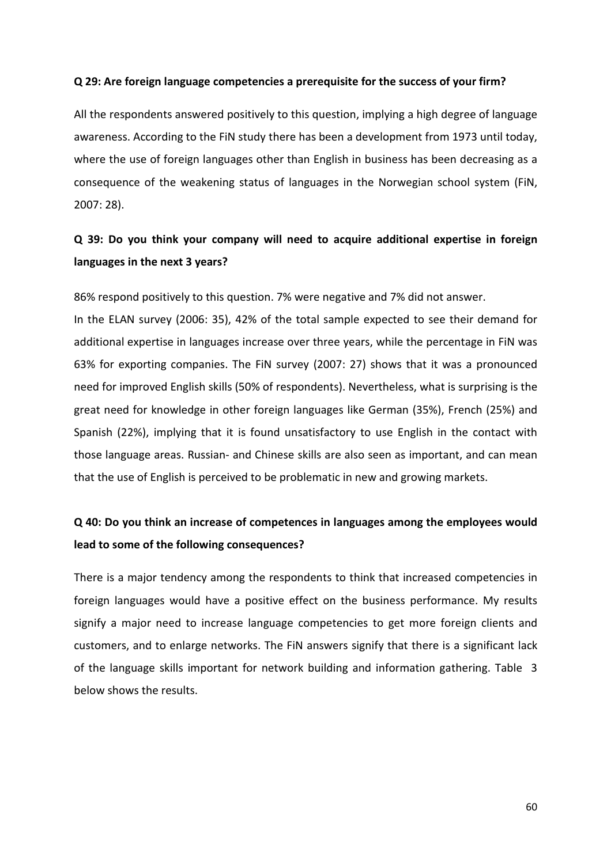#### **Q 29: Are foreign language competencies a prerequisite for the success of your firm?**

All the respondents answered positively to this question, implying a high degree of language awareness. According to the FiN study there has been a development from 1973 until today, where the use of foreign languages other than English in business has been decreasing as a consequence of the weakening status of languages in the Norwegian school system (FiN, 2007: 28).

### **Q 39: Do you think your company will need to acquire additional expertise in foreign languages in the next 3 years?**

86% respond positively to this question. 7% were negative and 7% did not answer.

In the ELAN survey (2006: 35), 42% of the total sample expected to see their demand for additional expertise in languages increase over three years, while the percentage in FiN was 63% for exporting companies. The FiN survey (2007: 27) shows that it was a pronounced need for improved English skills (50% of respondents). Nevertheless, what is surprising is the great need for knowledge in other foreign languages like German (35%), French (25%) and Spanish (22%), implying that it is found unsatisfactory to use English in the contact with those language areas. Russian- and Chinese skills are also seen as important, and can mean that the use of English is perceived to be problematic in new and growing markets.

### **Q 40: Do you think an increase of competences in languages among the employees would lead to some of the following consequences?**

There is a major tendency among the respondents to think that increased competencies in foreign languages would have a positive effect on the business performance. My results signify a major need to increase language competencies to get more foreign clients and customers, and to enlarge networks. The FiN answers signify that there is a significant lack of the language skills important for network building and information gathering. Table 3 below shows the results.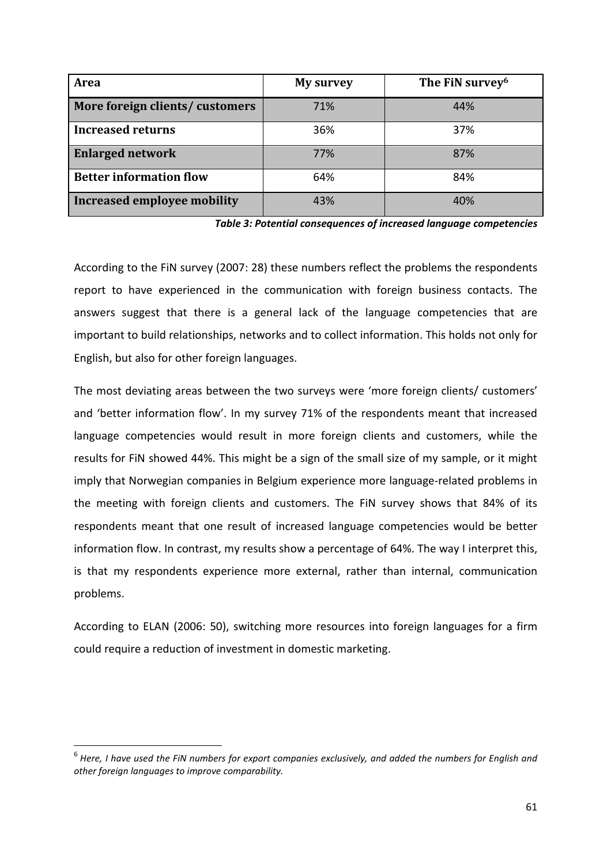| Area                               | <b>My survey</b> | The FiN survey <sup>6</sup> |
|------------------------------------|------------------|-----------------------------|
| More foreign clients/customers     | 71%              | 44%                         |
| <b>Increased returns</b>           | 36%              | 37%                         |
| <b>Enlarged network</b>            | 77%              | 87%                         |
| <b>Better information flow</b>     | 64%              | 84%                         |
| <b>Increased employee mobility</b> | 43%              | 40%                         |

*Table 3: Potential consequences of increased language competencies* 

According to the FiN survey (2007: 28) these numbers reflect the problems the respondents report to have experienced in the communication with foreign business contacts. The answers suggest that there is a general lack of the language competencies that are important to build relationships, networks and to collect information. This holds not only for English, but also for other foreign languages.

The most deviating areas between the two surveys were 'more foreign clients/ customers' and 'better information flow'. In my survey 71% of the respondents meant that increased language competencies would result in more foreign clients and customers, while the results for FiN showed 44%. This might be a sign of the small size of my sample, or it might imply that Norwegian companies in Belgium experience more language-related problems in the meeting with foreign clients and customers. The FiN survey shows that 84% of its respondents meant that one result of increased language competencies would be better information flow. In contrast, my results show a percentage of 64%. The way I interpret this, is that my respondents experience more external, rather than internal, communication problems.

According to ELAN (2006: 50), switching more resources into foreign languages for a firm could require a reduction of investment in domestic marketing.

l

 $^6$  Here, I have used the FiN numbers for export companies exclusively, and added the numbers for English and *other foreign languages to improve comparability.*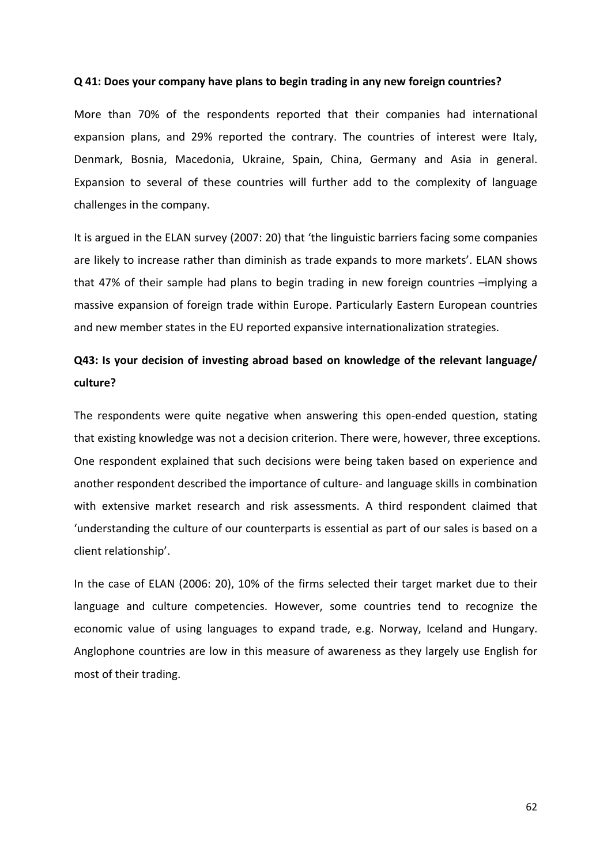#### **Q 41: Does your company have plans to begin trading in any new foreign countries?**

More than 70% of the respondents reported that their companies had international expansion plans, and 29% reported the contrary. The countries of interest were Italy, Denmark, Bosnia, Macedonia, Ukraine, Spain, China, Germany and Asia in general. Expansion to several of these countries will further add to the complexity of language challenges in the company.

It is argued in the ELAN survey (2007: 20) that 'the linguistic barriers facing some companies are likely to increase rather than diminish as trade expands to more markets'. ELAN shows that 47% of their sample had plans to begin trading in new foreign countries –implying a massive expansion of foreign trade within Europe. Particularly Eastern European countries and new member states in the EU reported expansive internationalization strategies.

### **Q43: Is your decision of investing abroad based on knowledge of the relevant language/ culture?**

The respondents were quite negative when answering this open-ended question, stating that existing knowledge was not a decision criterion. There were, however, three exceptions. One respondent explained that such decisions were being taken based on experience and another respondent described the importance of culture- and language skills in combination with extensive market research and risk assessments. A third respondent claimed that 'understanding the culture of our counterparts is essential as part of our sales is based on a client relationship'.

In the case of ELAN (2006: 20), 10% of the firms selected their target market due to their language and culture competencies. However, some countries tend to recognize the economic value of using languages to expand trade, e.g. Norway, Iceland and Hungary. Anglophone countries are low in this measure of awareness as they largely use English for most of their trading.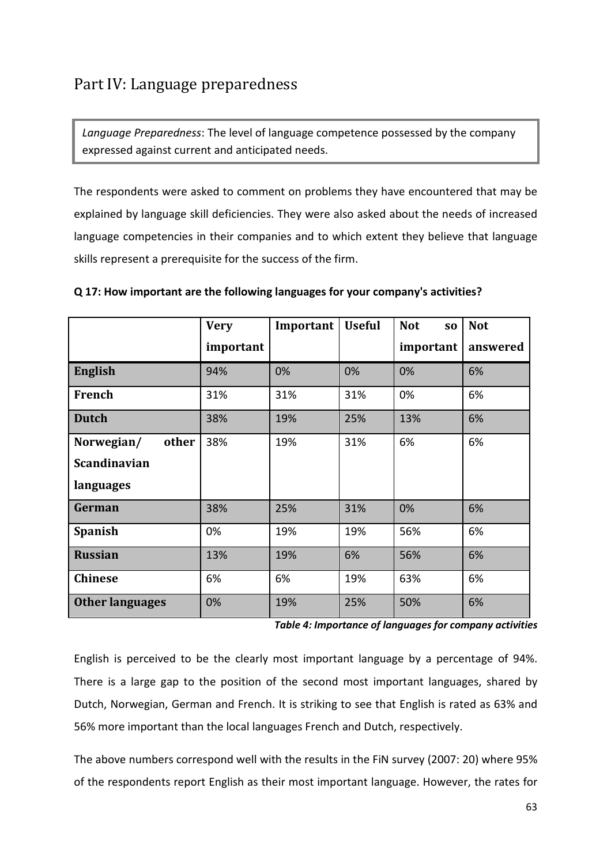## Part IV: Language preparedness

*Language Preparedness*: The level of language competence possessed by the company expressed against current and anticipated needs.

The respondents were asked to comment on problems they have encountered that may be explained by language skill deficiencies. They were also asked about the needs of increased language competencies in their companies and to which extent they believe that language skills represent a prerequisite for the success of the firm.

|                        | <b>Very</b> | Important | <b>Useful</b> | <b>Not</b><br>S <sub>0</sub> | <b>Not</b> |
|------------------------|-------------|-----------|---------------|------------------------------|------------|
|                        | important   |           |               | important                    | answered   |
| <b>English</b>         | 94%         | 0%        | 0%            | 0%                           | 6%         |
| French                 | 31%         | 31%       | 31%           | 0%                           | 6%         |
| <b>Dutch</b>           | 38%         | 19%       | 25%           | 13%                          | 6%         |
| Norwegian/<br>other    | 38%         | 19%       | 31%           | 6%                           | 6%         |
| <b>Scandinavian</b>    |             |           |               |                              |            |
| languages              |             |           |               |                              |            |
| German                 | 38%         | 25%       | 31%           | 0%                           | 6%         |
| <b>Spanish</b>         | 0%          | 19%       | 19%           | 56%                          | 6%         |
| <b>Russian</b>         | 13%         | 19%       | 6%            | 56%                          | 6%         |
| <b>Chinese</b>         | 6%          | 6%        | 19%           | 63%                          | 6%         |
| <b>Other languages</b> | 0%          | 19%       | 25%           | 50%                          | 6%         |

#### **Q 17: How important are the following languages for your company's activities?**

*Table 4: Importance of languages for company activities* 

English is perceived to be the clearly most important language by a percentage of 94%. There is a large gap to the position of the second most important languages, shared by Dutch, Norwegian, German and French. It is striking to see that English is rated as 63% and 56% more important than the local languages French and Dutch, respectively.

The above numbers correspond well with the results in the FiN survey (2007: 20) where 95% of the respondents report English as their most important language. However, the rates for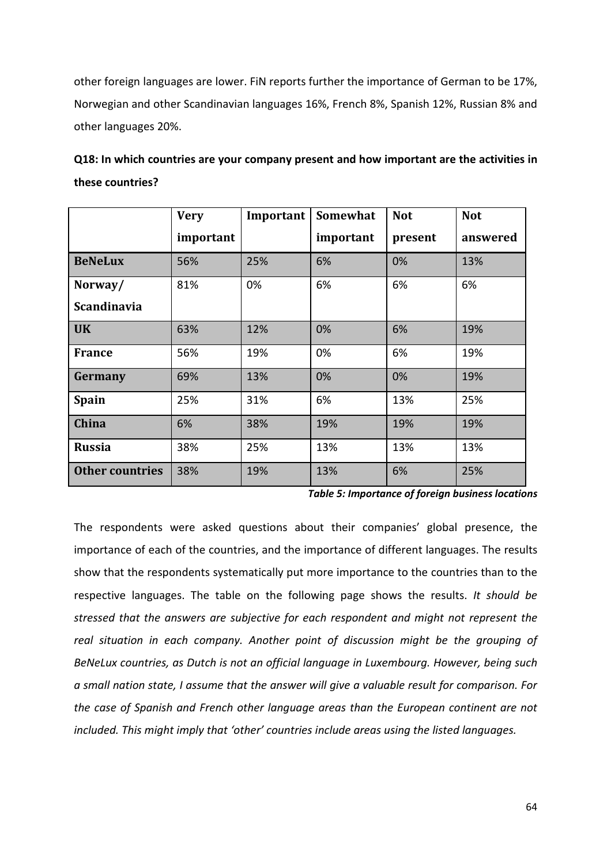other foreign languages are lower. FiN reports further the importance of German to be 17%, Norwegian and other Scandinavian languages 16%, French 8%, Spanish 12%, Russian 8% and other languages 20%.

| Q18: In which countries are your company present and how important are the activities in |
|------------------------------------------------------------------------------------------|
| these countries?                                                                         |

|                        | <b>Very</b> | Important | Somewhat  | <b>Not</b> | <b>Not</b> |
|------------------------|-------------|-----------|-----------|------------|------------|
|                        | important   |           | important | present    | answered   |
| <b>BeNeLux</b>         | 56%         | 25%       | 6%        | 0%         | 13%        |
| Norway/                | 81%         | 0%        | 6%        | 6%         | 6%         |
| <b>Scandinavia</b>     |             |           |           |            |            |
| <b>UK</b>              | 63%         | 12%       | 0%        | 6%         | 19%        |
| <b>France</b>          | 56%         | 19%       | 0%        | 6%         | 19%        |
| Germany                | 69%         | 13%       | 0%        | 0%         | 19%        |
| <b>Spain</b>           | 25%         | 31%       | 6%        | 13%        | 25%        |
| China                  | 6%          | 38%       | 19%       | 19%        | 19%        |
| <b>Russia</b>          | 38%         | 25%       | 13%       | 13%        | 13%        |
| <b>Other countries</b> | 38%         | 19%       | 13%       | 6%         | 25%        |

*Table 5: Importance of foreign business locations* 

The respondents were asked questions about their companies' global presence, the importance of each of the countries, and the importance of different languages. The results show that the respondents systematically put more importance to the countries than to the respective languages. The table on the following page shows the results. *It should be stressed that the answers are subjective for each respondent and might not represent the real situation in each company. Another point of discussion might be the grouping of BeNeLux countries, as Dutch is not an official language in Luxembourg. However, being such a small nation state, I assume that the answer will give a valuable result for comparison. For the case of Spanish and French other language areas than the European continent are not included. This might imply that 'other' countries include areas using the listed languages.*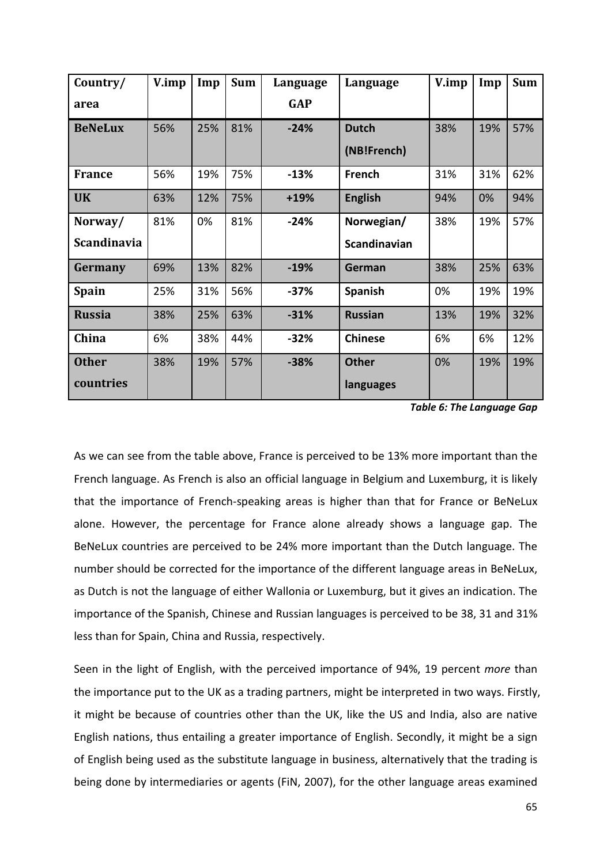| Country/           | V.imp | Imp | <b>Sum</b> | Language   | Language       | V.imp | Imp | <b>Sum</b> |
|--------------------|-------|-----|------------|------------|----------------|-------|-----|------------|
| area               |       |     |            | <b>GAP</b> |                |       |     |            |
| <b>BeNeLux</b>     | 56%   | 25% | 81%        | $-24%$     | <b>Dutch</b>   | 38%   | 19% | 57%        |
|                    |       |     |            |            | (NB!French)    |       |     |            |
| <b>France</b>      | 56%   | 19% | 75%        | $-13%$     | French         | 31%   | 31% | 62%        |
| <b>UK</b>          | 63%   | 12% | 75%        | $+19%$     | <b>English</b> | 94%   | 0%  | 94%        |
| Norway/            | 81%   | 0%  | 81%        | $-24%$     | Norwegian/     | 38%   | 19% | 57%        |
| <b>Scandinavia</b> |       |     |            |            | Scandinavian   |       |     |            |
| Germany            | 69%   | 13% | 82%        | $-19%$     | German         | 38%   | 25% | 63%        |
| Spain              | 25%   | 31% | 56%        | $-37%$     | Spanish        | 0%    | 19% | 19%        |
| <b>Russia</b>      | 38%   | 25% | 63%        | $-31%$     | <b>Russian</b> | 13%   | 19% | 32%        |
| China              | 6%    | 38% | 44%        | $-32%$     | <b>Chinese</b> | 6%    | 6%  | 12%        |
| <b>Other</b>       | 38%   | 19% | 57%        | $-38%$     | <b>Other</b>   | 0%    | 19% | 19%        |
| countries          |       |     |            |            | languages      |       |     |            |

*Table 6: The Language Gap* 

As we can see from the table above, France is perceived to be 13% more important than the French language. As French is also an official language in Belgium and Luxemburg, it is likely that the importance of French-speaking areas is higher than that for France or BeNeLux alone. However, the percentage for France alone already shows a language gap. The BeNeLux countries are perceived to be 24% more important than the Dutch language. The number should be corrected for the importance of the different language areas in BeNeLux, as Dutch is not the language of either Wallonia or Luxemburg, but it gives an indication. The importance of the Spanish, Chinese and Russian languages is perceived to be 38, 31 and 31% less than for Spain, China and Russia, respectively.

Seen in the light of English, with the perceived importance of 94%, 19 percent *more* than the importance put to the UK as a trading partners, might be interpreted in two ways. Firstly, it might be because of countries other than the UK, like the US and India, also are native English nations, thus entailing a greater importance of English. Secondly, it might be a sign of English being used as the substitute language in business, alternatively that the trading is being done by intermediaries or agents (FiN, 2007), for the other language areas examined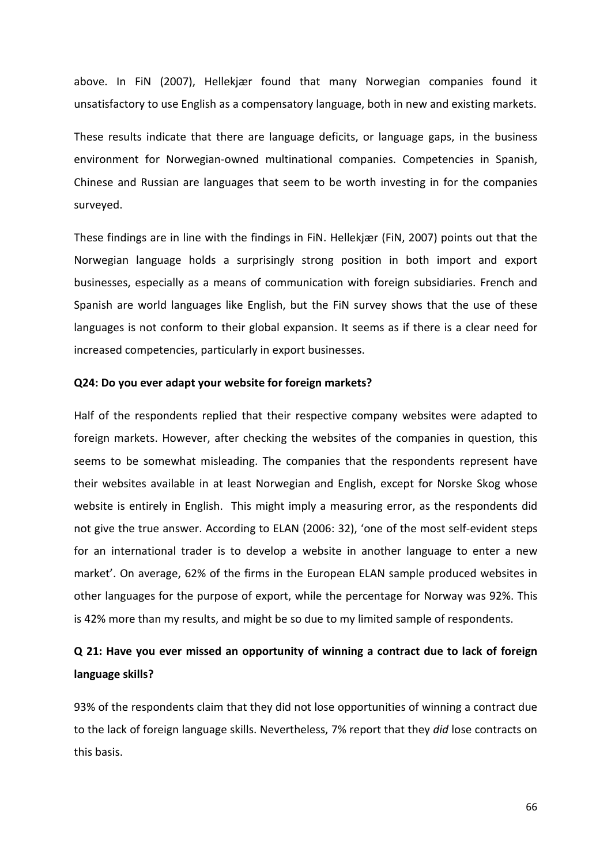above. In FiN (2007), Hellekjær found that many Norwegian companies found it unsatisfactory to use English as a compensatory language, both in new and existing markets.

These results indicate that there are language deficits, or language gaps, in the business environment for Norwegian-owned multinational companies. Competencies in Spanish, Chinese and Russian are languages that seem to be worth investing in for the companies surveyed.

These findings are in line with the findings in FiN. Hellekjær (FiN, 2007) points out that the Norwegian language holds a surprisingly strong position in both import and export businesses, especially as a means of communication with foreign subsidiaries. French and Spanish are world languages like English, but the FiN survey shows that the use of these languages is not conform to their global expansion. It seems as if there is a clear need for increased competencies, particularly in export businesses.

#### **Q24: Do you ever adapt your website for foreign markets?**

Half of the respondents replied that their respective company websites were adapted to foreign markets. However, after checking the websites of the companies in question, this seems to be somewhat misleading. The companies that the respondents represent have their websites available in at least Norwegian and English, except for Norske Skog whose website is entirely in English. This might imply a measuring error, as the respondents did not give the true answer. According to ELAN (2006: 32), 'one of the most self-evident steps for an international trader is to develop a website in another language to enter a new market'. On average, 62% of the firms in the European ELAN sample produced websites in other languages for the purpose of export, while the percentage for Norway was 92%. This is 42% more than my results, and might be so due to my limited sample of respondents.

### **Q 21: Have you ever missed an opportunity of winning a contract due to lack of foreign language skills?**

93% of the respondents claim that they did not lose opportunities of winning a contract due to the lack of foreign language skills. Nevertheless, 7% report that they *did* lose contracts on this basis.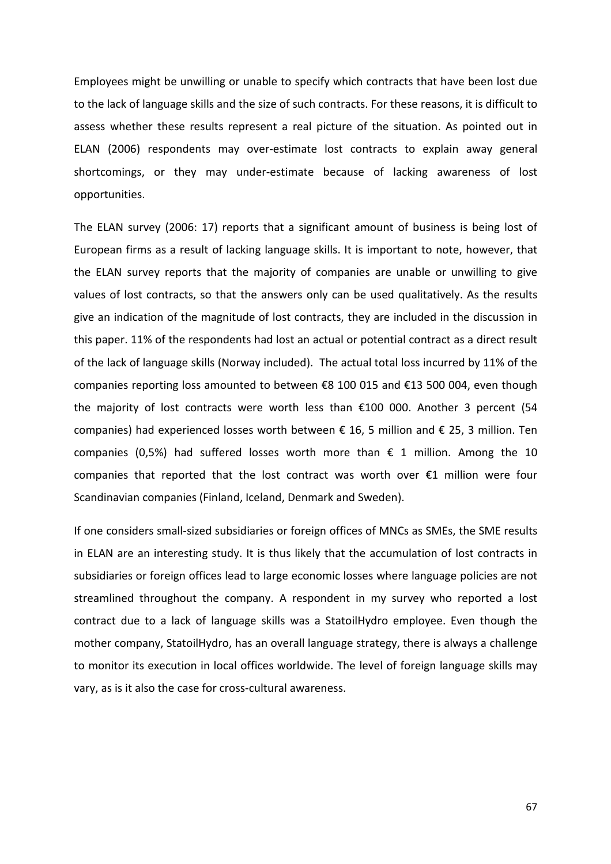Employees might be unwilling or unable to specify which contracts that have been lost due to the lack of language skills and the size of such contracts. For these reasons, it is difficult to assess whether these results represent a real picture of the situation. As pointed out in ELAN (2006) respondents may over-estimate lost contracts to explain away general shortcomings, or they may under-estimate because of lacking awareness of lost opportunities.

The ELAN survey (2006: 17) reports that a significant amount of business is being lost of European firms as a result of lacking language skills. It is important to note, however, that the ELAN survey reports that the majority of companies are unable or unwilling to give values of lost contracts, so that the answers only can be used qualitatively. As the results give an indication of the magnitude of lost contracts, they are included in the discussion in this paper. 11% of the respondents had lost an actual or potential contract as a direct result of the lack of language skills (Norway included). The actual total loss incurred by 11% of the companies reporting loss amounted to between €8 100 015 and €13 500 004, even though the majority of lost contracts were worth less than €100 000. Another 3 percent (54 companies) had experienced losses worth between  $\epsilon$  16, 5 million and  $\epsilon$  25, 3 million. Ten companies (0,5%) had suffered losses worth more than  $\epsilon$  1 million. Among the 10 companies that reported that the lost contract was worth over €1 million were four Scandinavian companies (Finland, Iceland, Denmark and Sweden).

If one considers small-sized subsidiaries or foreign offices of MNCs as SMEs, the SME results in ELAN are an interesting study. It is thus likely that the accumulation of lost contracts in subsidiaries or foreign offices lead to large economic losses where language policies are not streamlined throughout the company. A respondent in my survey who reported a lost contract due to a lack of language skills was a StatoilHydro employee. Even though the mother company, StatoilHydro, has an overall language strategy, there is always a challenge to monitor its execution in local offices worldwide. The level of foreign language skills may vary, as is it also the case for cross-cultural awareness.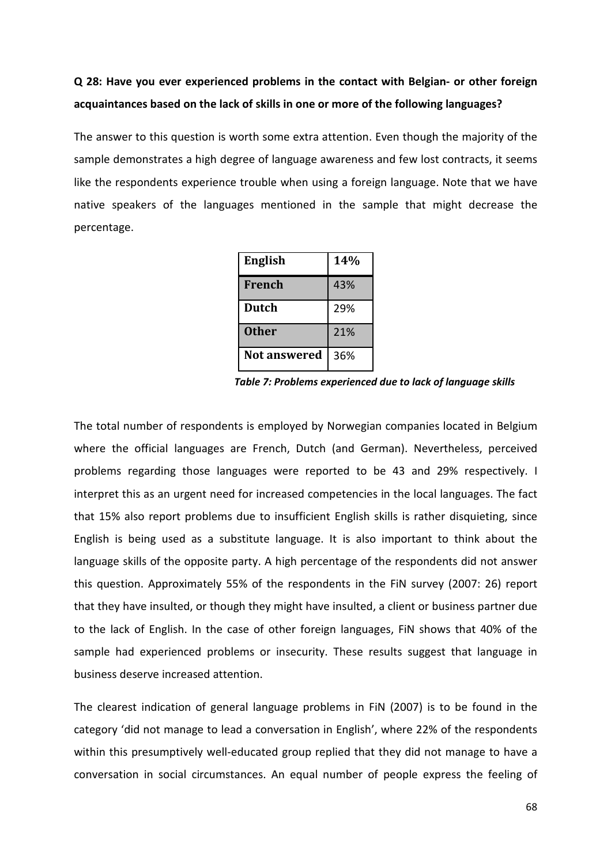## **Q 28: Have you ever experienced problems in the contact with Belgian- or other foreign acquaintances based on the lack of skills in one or more of the following languages?**

The answer to this question is worth some extra attention. Even though the majority of the sample demonstrates a high degree of language awareness and few lost contracts, it seems like the respondents experience trouble when using a foreign language. Note that we have native speakers of the languages mentioned in the sample that might decrease the percentage.

| English       | <b>14%</b> |
|---------------|------------|
| <b>French</b> | 43%        |
| <b>Dutch</b>  | 29%        |
| <b>Other</b>  | 21%        |
| Not answered  | 36%        |

 *Table 7: Problems experienced due to lack of language skills* 

The total number of respondents is employed by Norwegian companies located in Belgium where the official languages are French, Dutch (and German). Nevertheless, perceived problems regarding those languages were reported to be 43 and 29% respectively. I interpret this as an urgent need for increased competencies in the local languages. The fact that 15% also report problems due to insufficient English skills is rather disquieting, since English is being used as a substitute language. It is also important to think about the language skills of the opposite party. A high percentage of the respondents did not answer this question. Approximately 55% of the respondents in the FiN survey (2007: 26) report that they have insulted, or though they might have insulted, a client or business partner due to the lack of English. In the case of other foreign languages, FiN shows that 40% of the sample had experienced problems or insecurity. These results suggest that language in business deserve increased attention.

The clearest indication of general language problems in FiN (2007) is to be found in the category 'did not manage to lead a conversation in English', where 22% of the respondents within this presumptively well-educated group replied that they did not manage to have a conversation in social circumstances. An equal number of people express the feeling of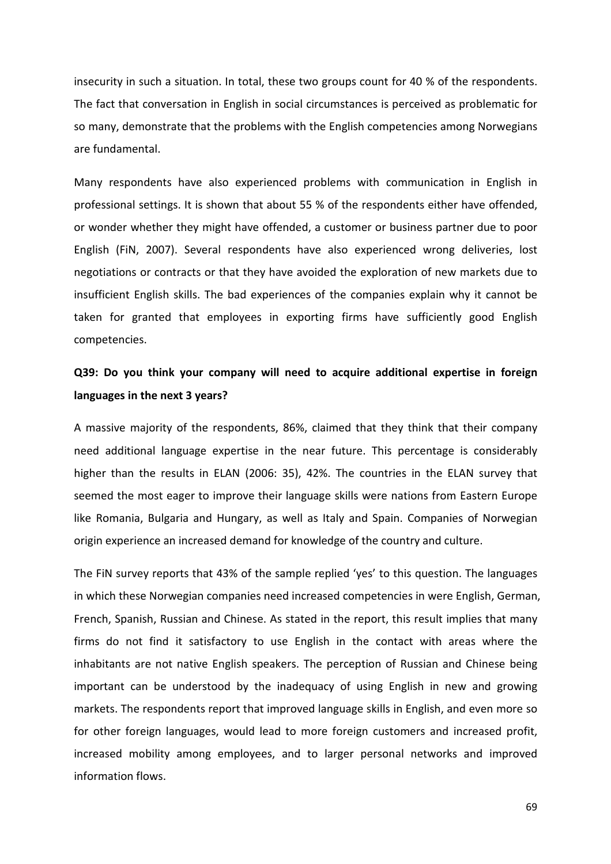insecurity in such a situation. In total, these two groups count for 40 % of the respondents. The fact that conversation in English in social circumstances is perceived as problematic for so many, demonstrate that the problems with the English competencies among Norwegians are fundamental.

Many respondents have also experienced problems with communication in English in professional settings. It is shown that about 55 % of the respondents either have offended, or wonder whether they might have offended, a customer or business partner due to poor English (FiN, 2007). Several respondents have also experienced wrong deliveries, lost negotiations or contracts or that they have avoided the exploration of new markets due to insufficient English skills. The bad experiences of the companies explain why it cannot be taken for granted that employees in exporting firms have sufficiently good English competencies.

### **Q39: Do you think your company will need to acquire additional expertise in foreign languages in the next 3 years?**

A massive majority of the respondents, 86%, claimed that they think that their company need additional language expertise in the near future. This percentage is considerably higher than the results in ELAN (2006: 35), 42%. The countries in the ELAN survey that seemed the most eager to improve their language skills were nations from Eastern Europe like Romania, Bulgaria and Hungary, as well as Italy and Spain. Companies of Norwegian origin experience an increased demand for knowledge of the country and culture.

The FiN survey reports that 43% of the sample replied 'yes' to this question. The languages in which these Norwegian companies need increased competencies in were English, German, French, Spanish, Russian and Chinese. As stated in the report, this result implies that many firms do not find it satisfactory to use English in the contact with areas where the inhabitants are not native English speakers. The perception of Russian and Chinese being important can be understood by the inadequacy of using English in new and growing markets. The respondents report that improved language skills in English, and even more so for other foreign languages, would lead to more foreign customers and increased profit, increased mobility among employees, and to larger personal networks and improved information flows.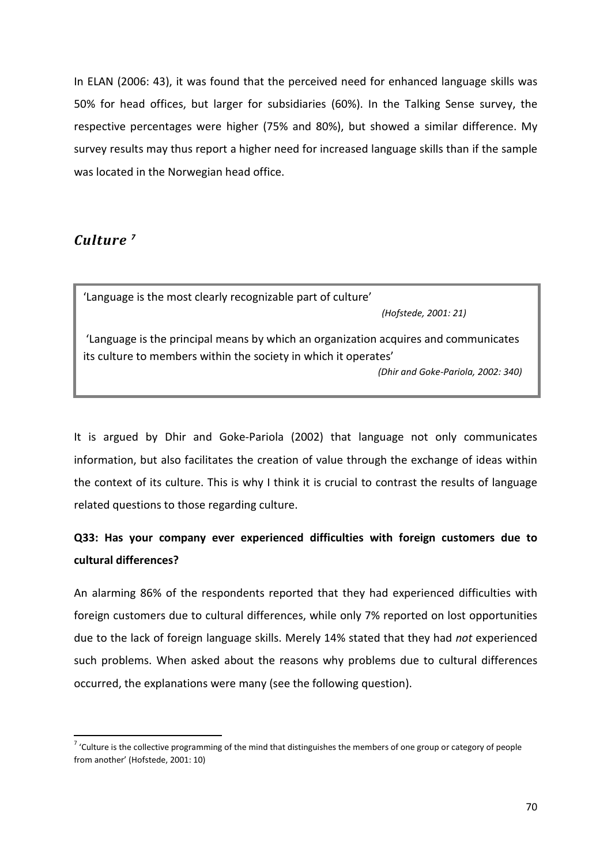In ELAN (2006: 43), it was found that the perceived need for enhanced language skills was 50% for head offices, but larger for subsidiaries (60%). In the Talking Sense survey, the respective percentages were higher (75% and 80%), but showed a similar difference. My survey results may thus report a higher need for increased language skills than if the sample was located in the Norwegian head office.

#### *Culture <sup>7</sup>*

l

'Language is the most clearly recognizable part of culture' *(Hofstede, 2001: 21)*

 'Language is the principal means by which an organization acquires and communicates its culture to members within the society in which it operates'

*(Dhir and Goke-Pariola, 2002: 340)*

It is argued by Dhir and Goke-Pariola (2002) that language not only communicates information, but also facilitates the creation of value through the exchange of ideas within the context of its culture. This is why I think it is crucial to contrast the results of language related questions to those regarding culture.

## **Q33: Has your company ever experienced difficulties with foreign customers due to cultural differences?**

An alarming 86% of the respondents reported that they had experienced difficulties with foreign customers due to cultural differences, while only 7% reported on lost opportunities due to the lack of foreign language skills. Merely 14% stated that they had *not* experienced such problems. When asked about the reasons why problems due to cultural differences occurred, the explanations were many (see the following question).

<sup>&</sup>lt;sup>7</sup> 'Culture is the collective programming of the mind that distinguishes the members of one group or category of people from another' (Hofstede, 2001: 10)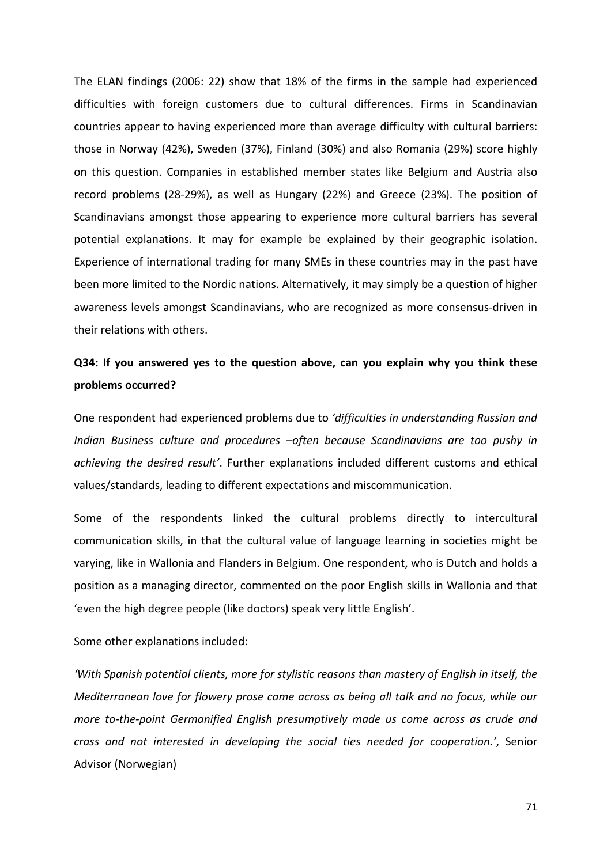The ELAN findings (2006: 22) show that 18% of the firms in the sample had experienced difficulties with foreign customers due to cultural differences. Firms in Scandinavian countries appear to having experienced more than average difficulty with cultural barriers: those in Norway (42%), Sweden (37%), Finland (30%) and also Romania (29%) score highly on this question. Companies in established member states like Belgium and Austria also record problems (28-29%), as well as Hungary (22%) and Greece (23%). The position of Scandinavians amongst those appearing to experience more cultural barriers has several potential explanations. It may for example be explained by their geographic isolation. Experience of international trading for many SMEs in these countries may in the past have been more limited to the Nordic nations. Alternatively, it may simply be a question of higher awareness levels amongst Scandinavians, who are recognized as more consensus-driven in their relations with others.

## **Q34: If you answered yes to the question above, can you explain why you think these problems occurred?**

One respondent had experienced problems due to *'difficulties in understanding Russian and Indian Business culture and procedures –often because Scandinavians are too pushy in achieving the desired result'*. Further explanations included different customs and ethical values/standards, leading to different expectations and miscommunication.

Some of the respondents linked the cultural problems directly to intercultural communication skills, in that the cultural value of language learning in societies might be varying, like in Wallonia and Flanders in Belgium. One respondent, who is Dutch and holds a position as a managing director, commented on the poor English skills in Wallonia and that 'even the high degree people (like doctors) speak very little English'.

Some other explanations included:

*'With Spanish potential clients, more for stylistic reasons than mastery of English in itself, the Mediterranean love for flowery prose came across as being all talk and no focus, while our more to-the-point Germanified English presumptively made us come across as crude and crass and not interested in developing the social ties needed for cooperation.'*, Senior Advisor (Norwegian)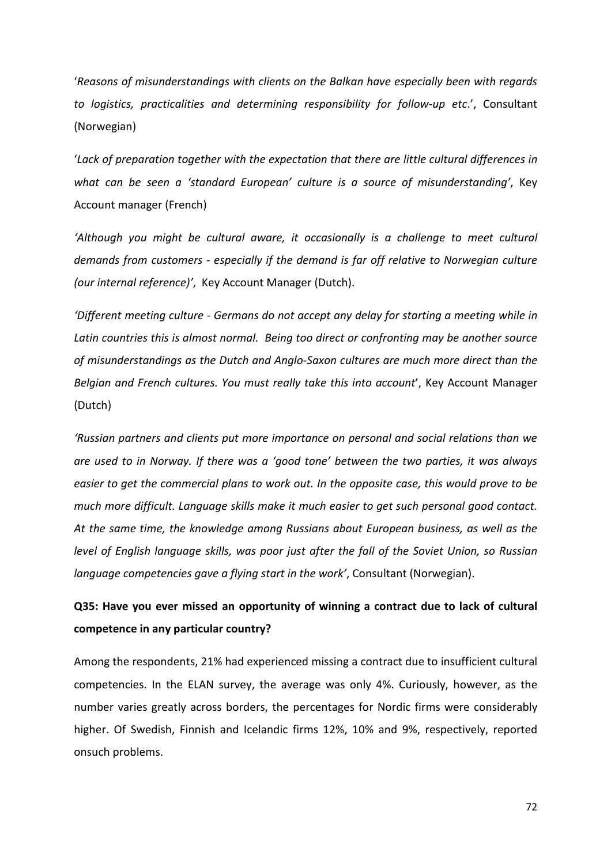'*Reasons of misunderstandings with clients on the Balkan have especially been with regards to logistics, practicalities and determining responsibility for follow-up etc*.', Consultant (Norwegian)

'*Lack of preparation together with the expectation that there are little cultural differences in what can be seen a 'standard European' culture is a source of misunderstanding'*, Key Account manager (French)

*'Although you might be cultural aware, it occasionally is a challenge to meet cultural demands from customers - especially if the demand is far off relative to Norwegian culture (our internal reference)'*, Key Account Manager (Dutch).

*'Different meeting culture - Germans do not accept any delay for starting a meeting while in Latin countries this is almost normal. Being too direct or confronting may be another source of misunderstandings as the Dutch and Anglo-Saxon cultures are much more direct than the Belgian and French cultures. You must really take this into account*', Key Account Manager (Dutch)

*'Russian partners and clients put more importance on personal and social relations than we are used to in Norway. If there was a 'good tone' between the two parties, it was always easier to get the commercial plans to work out. In the opposite case, this would prove to be much more difficult. Language skills make it much easier to get such personal good contact. At the same time, the knowledge among Russians about European business, as well as the level of English language skills, was poor just after the fall of the Soviet Union, so Russian language competencies gave a flying start in the work'*, Consultant (Norwegian).

### **Q35: Have you ever missed an opportunity of winning a contract due to lack of cultural competence in any particular country?**

Among the respondents, 21% had experienced missing a contract due to insufficient cultural competencies. In the ELAN survey, the average was only 4%. Curiously, however, as the number varies greatly across borders, the percentages for Nordic firms were considerably higher. Of Swedish, Finnish and Icelandic firms 12%, 10% and 9%, respectively, reported onsuch problems.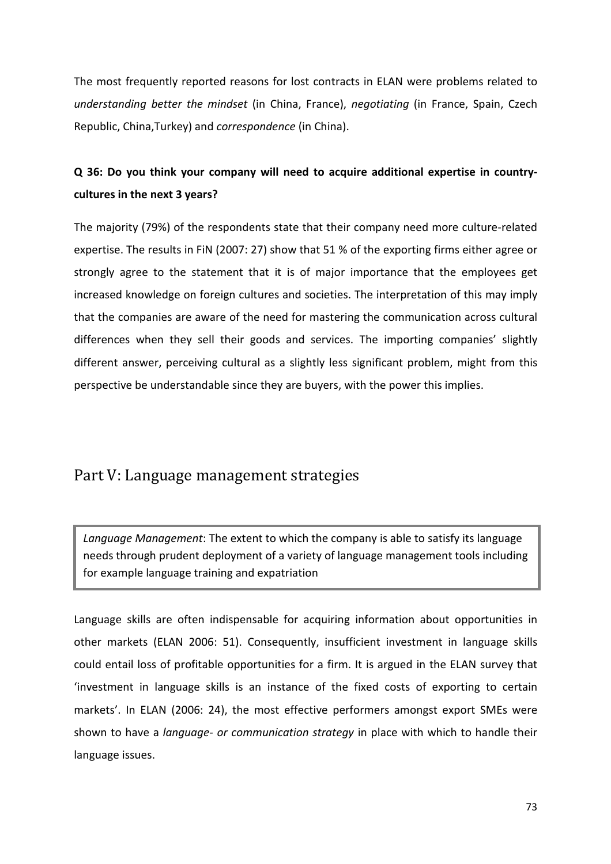The most frequently reported reasons for lost contracts in ELAN were problems related to *understanding better the mindset* (in China, France), *negotiating* (in France, Spain, Czech Republic, China,Turkey) and *correspondence* (in China).

## **Q 36: Do you think your company will need to acquire additional expertise in countrycultures in the next 3 years?**

The majority (79%) of the respondents state that their company need more culture-related expertise. The results in FiN (2007: 27) show that 51 % of the exporting firms either agree or strongly agree to the statement that it is of major importance that the employees get increased knowledge on foreign cultures and societies. The interpretation of this may imply that the companies are aware of the need for mastering the communication across cultural differences when they sell their goods and services. The importing companies' slightly different answer, perceiving cultural as a slightly less significant problem, might from this perspective be understandable since they are buyers, with the power this implies.

## Part V: Language management strategies

*Language Management*: The extent to which the company is able to satisfy its language needs through prudent deployment of a variety of language management tools including for example language training and expatriation

Language skills are often indispensable for acquiring information about opportunities in other markets (ELAN 2006: 51). Consequently, insufficient investment in language skills could entail loss of profitable opportunities for a firm. It is argued in the ELAN survey that 'investment in language skills is an instance of the fixed costs of exporting to certain markets'. In ELAN (2006: 24), the most effective performers amongst export SMEs were shown to have a *language- or communication strategy* in place with which to handle their language issues.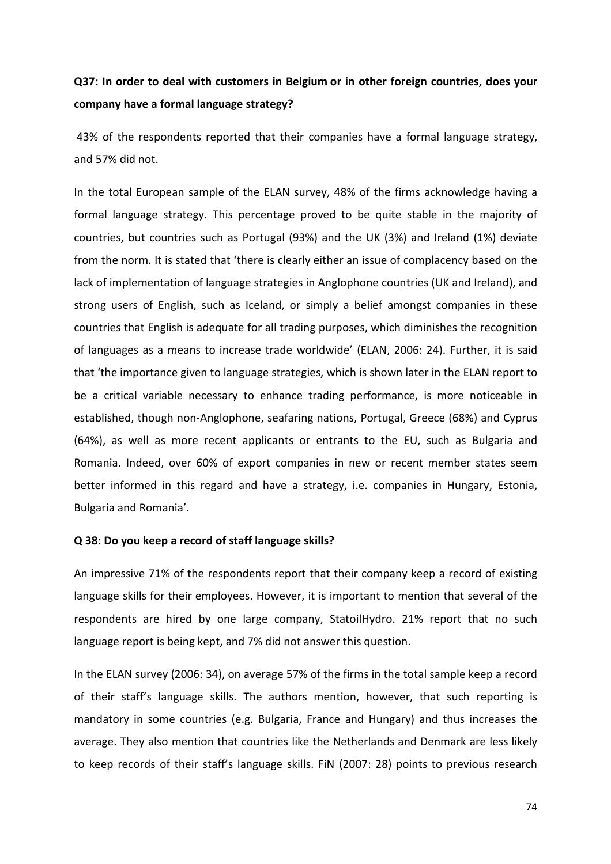## **Q37: In order to deal with customers in Belgium or in other foreign countries, does your company have a formal language strategy?**

 43% of the respondents reported that their companies have a formal language strategy, and 57% did not.

In the total European sample of the ELAN survey, 48% of the firms acknowledge having a formal language strategy. This percentage proved to be quite stable in the majority of countries, but countries such as Portugal (93%) and the UK (3%) and Ireland (1%) deviate from the norm. It is stated that 'there is clearly either an issue of complacency based on the lack of implementation of language strategies in Anglophone countries (UK and Ireland), and strong users of English, such as Iceland, or simply a belief amongst companies in these countries that English is adequate for all trading purposes, which diminishes the recognition of languages as a means to increase trade worldwide' (ELAN, 2006: 24). Further, it is said that 'the importance given to language strategies, which is shown later in the ELAN report to be a critical variable necessary to enhance trading performance, is more noticeable in established, though non-Anglophone, seafaring nations, Portugal, Greece (68%) and Cyprus (64%), as well as more recent applicants or entrants to the EU, such as Bulgaria and Romania. Indeed, over 60% of export companies in new or recent member states seem better informed in this regard and have a strategy, i.e. companies in Hungary, Estonia, Bulgaria and Romania'.

#### **Q 38: Do you keep a record of staff language skills?**

An impressive 71% of the respondents report that their company keep a record of existing language skills for their employees. However, it is important to mention that several of the respondents are hired by one large company, StatoilHydro. 21% report that no such language report is being kept, and 7% did not answer this question.

In the ELAN survey (2006: 34), on average 57% of the firms in the total sample keep a record of their staff's language skills. The authors mention, however, that such reporting is mandatory in some countries (e.g. Bulgaria, France and Hungary) and thus increases the average. They also mention that countries like the Netherlands and Denmark are less likely to keep records of their staff's language skills. FiN (2007: 28) points to previous research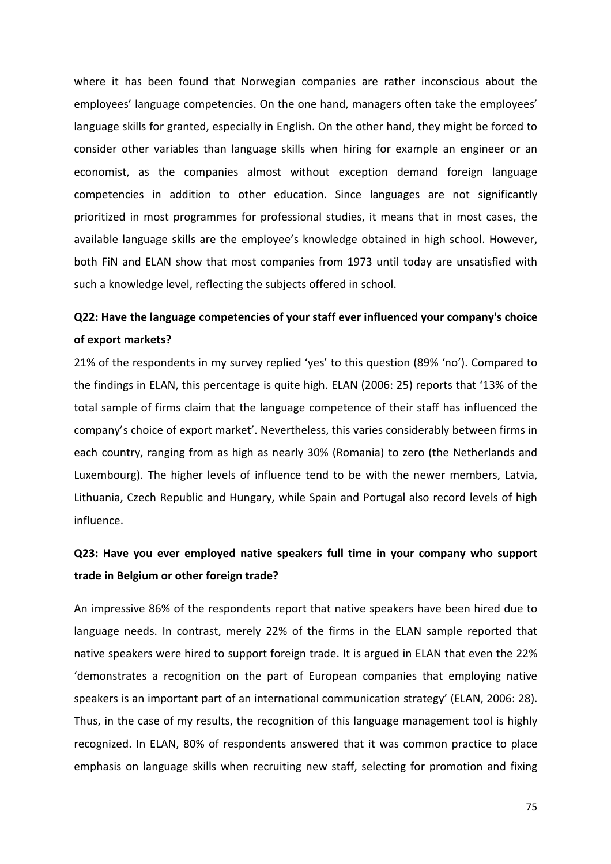where it has been found that Norwegian companies are rather inconscious about the employees' language competencies. On the one hand, managers often take the employees' language skills for granted, especially in English. On the other hand, they might be forced to consider other variables than language skills when hiring for example an engineer or an economist, as the companies almost without exception demand foreign language competencies in addition to other education. Since languages are not significantly prioritized in most programmes for professional studies, it means that in most cases, the available language skills are the employee's knowledge obtained in high school. However, both FiN and ELAN show that most companies from 1973 until today are unsatisfied with such a knowledge level, reflecting the subjects offered in school.

## **Q22: Have the language competencies of your staff ever influenced your company's choice of export markets?**

21% of the respondents in my survey replied 'yes' to this question (89% 'no'). Compared to the findings in ELAN, this percentage is quite high. ELAN (2006: 25) reports that '13% of the total sample of firms claim that the language competence of their staff has influenced the company's choice of export market'. Nevertheless, this varies considerably between firms in each country, ranging from as high as nearly 30% (Romania) to zero (the Netherlands and Luxembourg). The higher levels of influence tend to be with the newer members, Latvia, Lithuania, Czech Republic and Hungary, while Spain and Portugal also record levels of high influence.

## **Q23: Have you ever employed native speakers full time in your company who support trade in Belgium or other foreign trade?**

An impressive 86% of the respondents report that native speakers have been hired due to language needs. In contrast, merely 22% of the firms in the ELAN sample reported that native speakers were hired to support foreign trade. It is argued in ELAN that even the 22% 'demonstrates a recognition on the part of European companies that employing native speakers is an important part of an international communication strategy' (ELAN, 2006: 28). Thus, in the case of my results, the recognition of this language management tool is highly recognized. In ELAN, 80% of respondents answered that it was common practice to place emphasis on language skills when recruiting new staff, selecting for promotion and fixing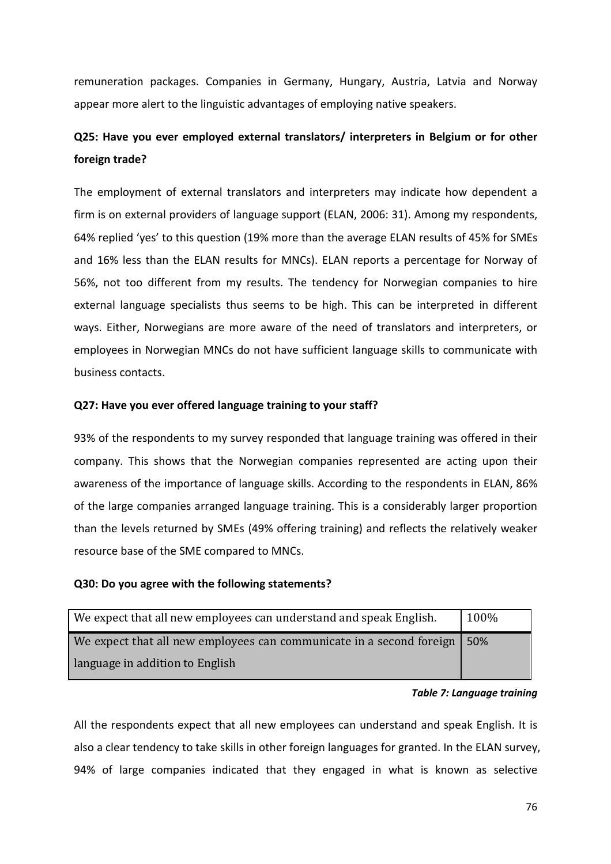remuneration packages. Companies in Germany, Hungary, Austria, Latvia and Norway appear more alert to the linguistic advantages of employing native speakers.

## **Q25: Have you ever employed external translators/ interpreters in Belgium or for other foreign trade?**

The employment of external translators and interpreters may indicate how dependent a firm is on external providers of language support (ELAN, 2006: 31). Among my respondents, 64% replied 'yes' to this question (19% more than the average ELAN results of 45% for SMEs and 16% less than the ELAN results for MNCs). ELAN reports a percentage for Norway of 56%, not too different from my results. The tendency for Norwegian companies to hire external language specialists thus seems to be high. This can be interpreted in different ways. Either, Norwegians are more aware of the need of translators and interpreters, or employees in Norwegian MNCs do not have sufficient language skills to communicate with business contacts.

#### **Q27: Have you ever offered language training to your staff?**

93% of the respondents to my survey responded that language training was offered in their company. This shows that the Norwegian companies represented are acting upon their awareness of the importance of language skills. According to the respondents in ELAN, 86% of the large companies arranged language training. This is a considerably larger proportion than the levels returned by SMEs (49% offering training) and reflects the relatively weaker resource base of the SME compared to MNCs.

#### **Q30: Do you agree with the following statements?**

| We expect that all new employees can understand and speak English.   | 100% |
|----------------------------------------------------------------------|------|
| We expect that all new employees can communicate in a second foreign | .50% |
| language in addition to English                                      |      |

#### *Table 7: Language training*

All the respondents expect that all new employees can understand and speak English. It is also a clear tendency to take skills in other foreign languages for granted. In the ELAN survey, 94% of large companies indicated that they engaged in what is known as selective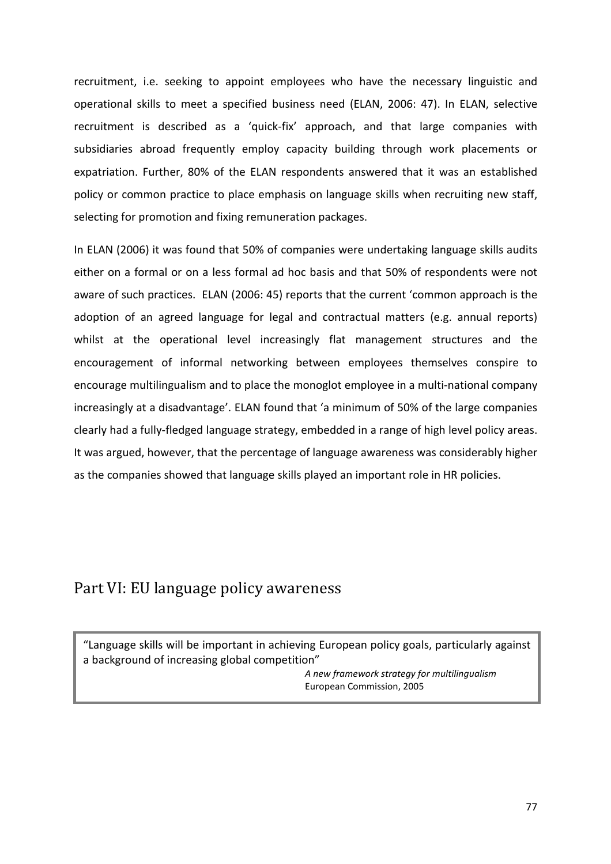recruitment, i.e. seeking to appoint employees who have the necessary linguistic and operational skills to meet a specified business need (ELAN, 2006: 47). In ELAN, selective recruitment is described as a 'quick-fix' approach, and that large companies with subsidiaries abroad frequently employ capacity building through work placements or expatriation. Further, 80% of the ELAN respondents answered that it was an established policy or common practice to place emphasis on language skills when recruiting new staff, selecting for promotion and fixing remuneration packages.

In ELAN (2006) it was found that 50% of companies were undertaking language skills audits either on a formal or on a less formal ad hoc basis and that 50% of respondents were not aware of such practices. ELAN (2006: 45) reports that the current 'common approach is the adoption of an agreed language for legal and contractual matters (e.g. annual reports) whilst at the operational level increasingly flat management structures and the encouragement of informal networking between employees themselves conspire to encourage multilingualism and to place the monoglot employee in a multi-national company increasingly at a disadvantage'. ELAN found that 'a minimum of 50% of the large companies clearly had a fully-fledged language strategy, embedded in a range of high level policy areas. It was argued, however, that the percentage of language awareness was considerably higher as the companies showed that language skills played an important role in HR policies.

## Part VI: EU language policy awareness

"Language skills will be important in achieving European policy goals, particularly against a background of increasing global competition"

*A new framework strategy for multilingualism*  European Commission, 2005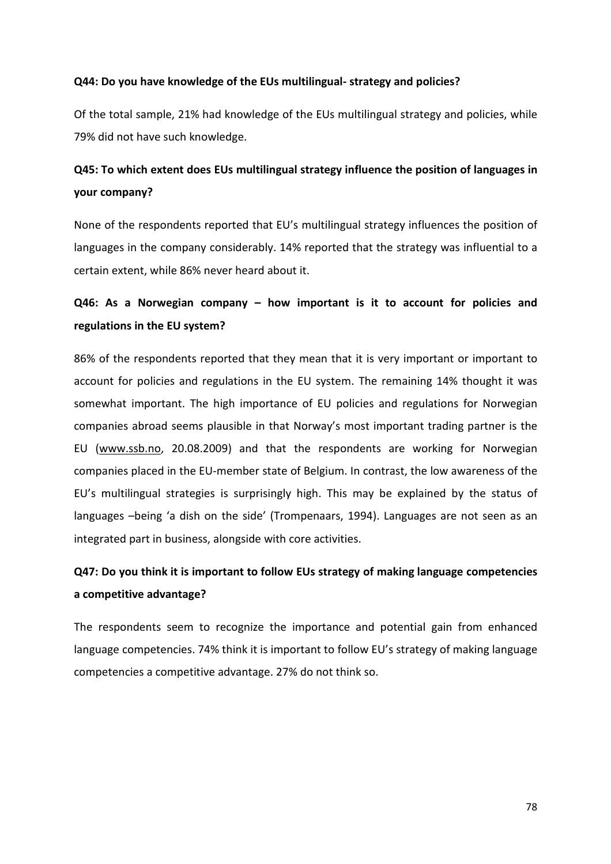#### **Q44: Do you have knowledge of the EUs multilingual- strategy and policies?**

Of the total sample, 21% had knowledge of the EUs multilingual strategy and policies, while 79% did not have such knowledge.

## **Q45: To which extent does EUs multilingual strategy influence the position of languages in your company?**

None of the respondents reported that EU's multilingual strategy influences the position of languages in the company considerably. 14% reported that the strategy was influential to a certain extent, while 86% never heard about it.

## **Q46: As a Norwegian company – how important is it to account for policies and regulations in the EU system?**

86% of the respondents reported that they mean that it is very important or important to account for policies and regulations in the EU system. The remaining 14% thought it was somewhat important. The high importance of EU policies and regulations for Norwegian companies abroad seems plausible in that Norway's most important trading partner is the EU (www.ssb.no, 20.08.2009) and that the respondents are working for Norwegian companies placed in the EU-member state of Belgium. In contrast, the low awareness of the EU's multilingual strategies is surprisingly high. This may be explained by the status of languages –being 'a dish on the side' (Trompenaars, 1994). Languages are not seen as an integrated part in business, alongside with core activities.

## **Q47: Do you think it is important to follow EUs strategy of making language competencies a competitive advantage?**

The respondents seem to recognize the importance and potential gain from enhanced language competencies. 74% think it is important to follow EU's strategy of making language competencies a competitive advantage. 27% do not think so.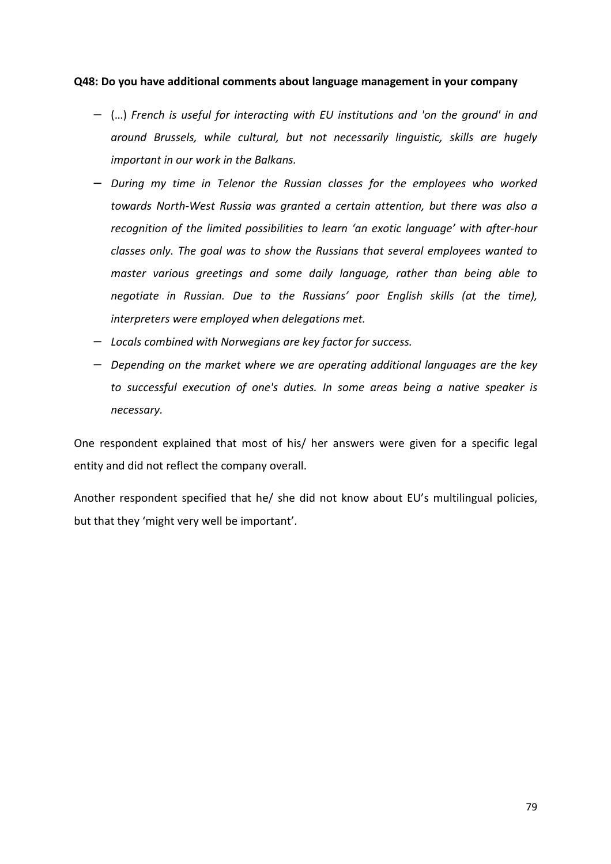#### **Q48: Do you have additional comments about language management in your company**

- − (…) *French is useful for interacting with EU institutions and 'on the ground' in and around Brussels, while cultural, but not necessarily linguistic, skills are hugely important in our work in the Balkans.*
- − *During my time in Telenor the Russian classes for the employees who worked towards North-West Russia was granted a certain attention, but there was also a recognition of the limited possibilities to learn 'an exotic language' with after-hour classes only. The goal was to show the Russians that several employees wanted to master various greetings and some daily language, rather than being able to negotiate in Russian. Due to the Russians' poor English skills (at the time), interpreters were employed when delegations met.*
- − *Locals combined with Norwegians are key factor for success.*
- − *Depending on the market where we are operating additional languages are the key to successful execution of one's duties. In some areas being a native speaker is necessary.*

One respondent explained that most of his/ her answers were given for a specific legal entity and did not reflect the company overall.

Another respondent specified that he/ she did not know about EU's multilingual policies, but that they 'might very well be important'.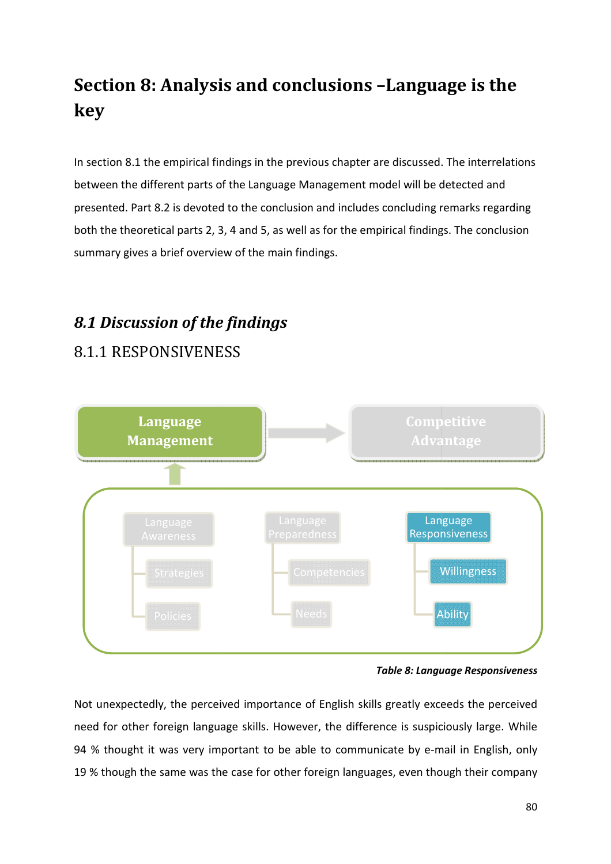# **Section 8: Analysis Analysis and conclusions –Language is the Language key**

In section 8.1 the empirical findings in the previous chapter are discussed. The interrelations between the different parts of the Language Management model will be detected and presented. Part 8.2 is devoted to the conclusion and includes concluding remarks regarding both the theoretical parts 2, 3, 4 and 5, as well as for the empirical findings. The conclusion summary gives a brief overview of the main findings.

# *8.1 Discussion of the f findings*

# 8.1.1 RESPONSIVENESS



*Table 8: Language Responsiveness*

Not unexpectedly, the perceived importance of English skills greatly exceeds the perceived need for other foreign language skills. However, the difference is suspiciously large. While 94 % thought it was very important to be able to communicate by e-mail in English, only 94 % thought it was very important to be able to communicate by e-mail in English, only<br>19 % though the same was the case for other foreign languages, even though their company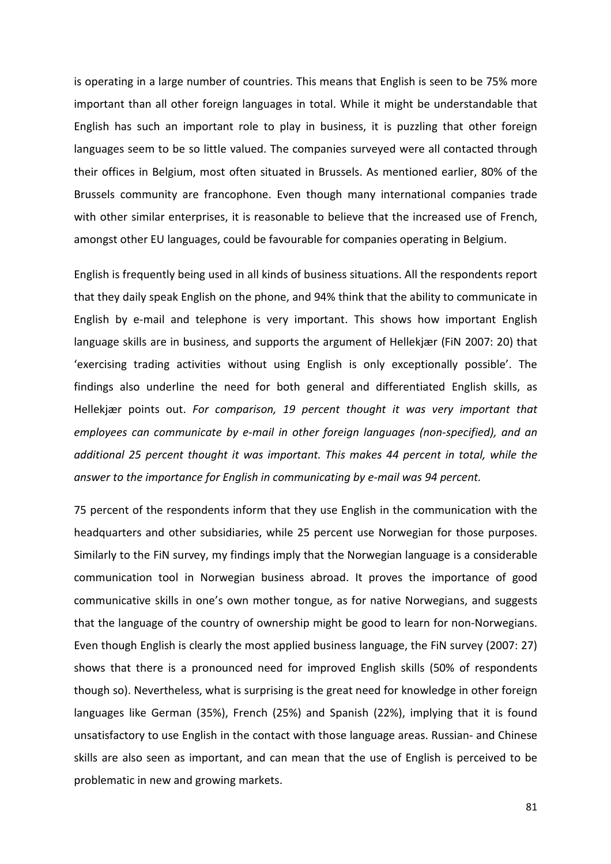is operating in a large number of countries. This means that English is seen to be 75% more important than all other foreign languages in total. While it might be understandable that English has such an important role to play in business, it is puzzling that other foreign languages seem to be so little valued. The companies surveyed were all contacted through their offices in Belgium, most often situated in Brussels. As mentioned earlier, 80% of the Brussels community are francophone. Even though many international companies trade with other similar enterprises, it is reasonable to believe that the increased use of French, amongst other EU languages, could be favourable for companies operating in Belgium.

English is frequently being used in all kinds of business situations. All the respondents report that they daily speak English on the phone, and 94% think that the ability to communicate in English by e-mail and telephone is very important. This shows how important English language skills are in business, and supports the argument of Hellekjær (FiN 2007: 20) that 'exercising trading activities without using English is only exceptionally possible'. The findings also underline the need for both general and differentiated English skills, as Hellekjær points out. *For comparison, 19 percent thought it was very important that employees can communicate by e-mail in other foreign languages (non-specified), and an additional 25 percent thought it was important. This makes 44 percent in total, while the answer to the importance for English in communicating by e-mail was 94 percent.* 

75 percent of the respondents inform that they use English in the communication with the headquarters and other subsidiaries, while 25 percent use Norwegian for those purposes. Similarly to the FiN survey, my findings imply that the Norwegian language is a considerable communication tool in Norwegian business abroad. It proves the importance of good communicative skills in one's own mother tongue, as for native Norwegians, and suggests that the language of the country of ownership might be good to learn for non-Norwegians. Even though English is clearly the most applied business language, the FiN survey (2007: 27) shows that there is a pronounced need for improved English skills (50% of respondents though so). Nevertheless, what is surprising is the great need for knowledge in other foreign languages like German (35%), French (25%) and Spanish (22%), implying that it is found unsatisfactory to use English in the contact with those language areas. Russian- and Chinese skills are also seen as important, and can mean that the use of English is perceived to be problematic in new and growing markets.

81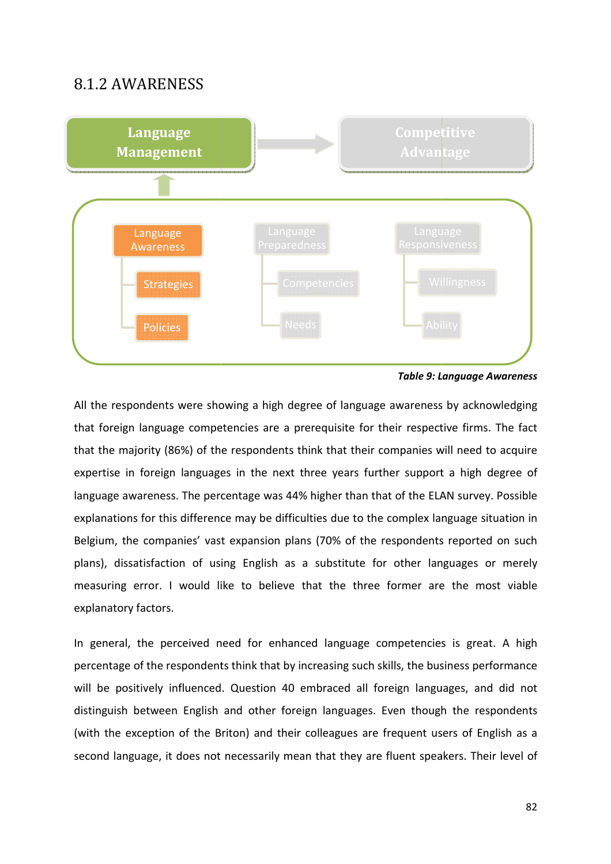## 8.1.2 AWARENESS



*Table 9: Language Awareness*

All the respondents were showing a high degree of language awareness by acknowledging that foreign language competencies are a prerequisite for their respective firms. The fact that the majority (86%) of the respondents think that their companies will need to acquire expertise in foreign languages in the next three years further support a high degree of language awareness. The percentage was 44% higher than that of the ELAN survey. Possible explanations for this difference may be difficulties due to the complex language situation in Belgium, the companies' vast expansion plans (70% of the respondents reported on such plans), dissatisfaction of using English as a substitute for other languages or merely plans), dissatisfaction of using English as a substitute for other languages or merely<br>measuring error. I would like to believe that the three former are the most viable explanatory factors. e respondents were showing a high degree of language awareness by acknowledging<br>
oreign language competencies are a prerequisite for their respective firms. The fact<br>
the majority (86%) of the respondents think that their

In general, the perceived need for enhanced language competencies is great. A high percentage of the respondents think that by increasing such skills, the business performance will be positively influenced. Question 40 embraced all foreign languages, and did not<br>distinguish between English and other foreign languages. Even though the respondents<br>(with the exception of the Briton) and their colle distinguish between English and other foreign languages. Even though the respondents (with the exception of the Briton) and their colleagues are frequent users of English as a second language, it does not necessarily mean that they are fluent speakers. Their level of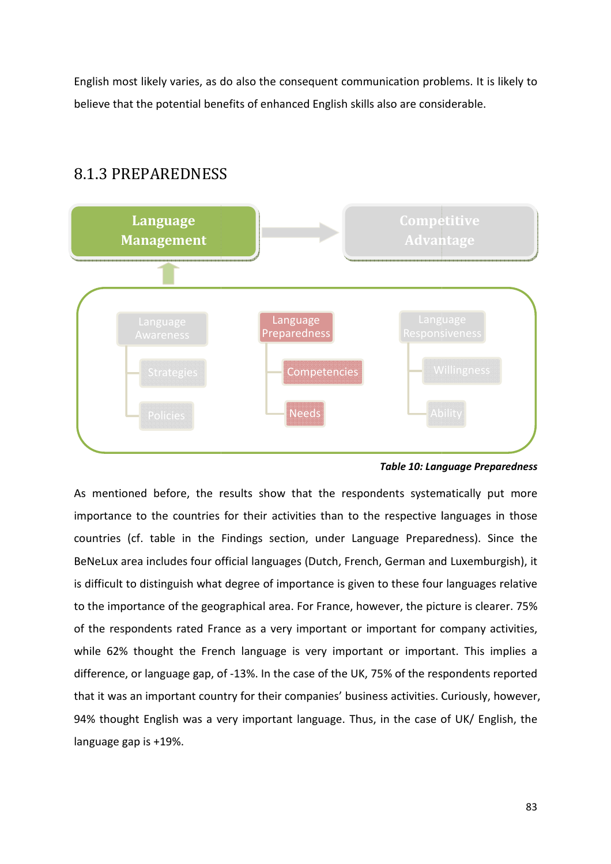English most likely varies, as do also the consequent communication problems. It is likely to believe that the potential benefits of enhanced English skills also are considerable.

## 8.1.3 PREPAREDNESS



*Table 10: Language Preparedness*

As mentioned before, the results show that the respondents systematically put more importance to the countries for their activities than to the respective languages in those countries (cf. table in the Findings section, under Language Preparedness). Since the BeNeLux area includes four official languages (Dutch, French, German and Luxemburgish), it is difficult to distinguish what degree of importance is given to these four languages relative to the importance of the geographical area. For France, however, the picture is clearer. 75% of the respondents rated France as a very important or important for company activities, while 62% thought the French language is very important or important. This implies a difference, or language gap, of -13%. In the case of the UK, 75% of the respondents reported that it was an important country for their companies' business activities. Curiously, however, 94% thought English was a very important language. Thus, in the case of UK/ English, the language gap is +19%. nce of the geographical area. For France, however, the picture is clearer. 75%<br>dents rated France as a very important or important for company activities,<br>bught the French language is very important or important. This impl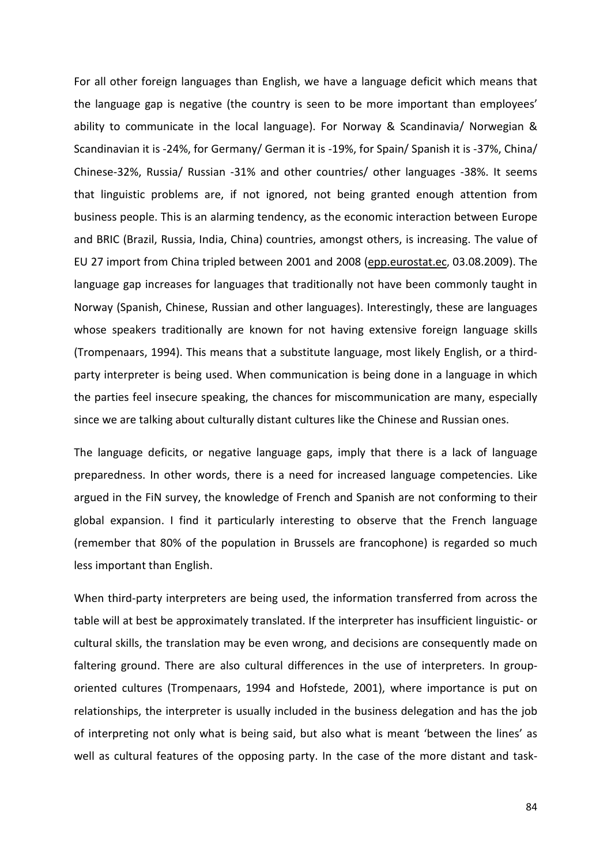For all other foreign languages than English, we have a language deficit which means that the language gap is negative (the country is seen to be more important than employees' ability to communicate in the local language). For Norway & Scandinavia/ Norwegian & Scandinavian it is -24%, for Germany/ German it is -19%, for Spain/ Spanish it is -37%, China/ Chinese-32%, Russia/ Russian -31% and other countries/ other languages -38%. It seems that linguistic problems are, if not ignored, not being granted enough attention from business people. This is an alarming tendency, as the economic interaction between Europe and BRIC (Brazil, Russia, India, China) countries, amongst others, is increasing. The value of EU 27 import from China tripled between 2001 and 2008 (epp.eurostat.ec, 03.08.2009). The language gap increases for languages that traditionally not have been commonly taught in Norway (Spanish, Chinese, Russian and other languages). Interestingly, these are languages whose speakers traditionally are known for not having extensive foreign language skills (Trompenaars, 1994). This means that a substitute language, most likely English, or a thirdparty interpreter is being used. When communication is being done in a language in which the parties feel insecure speaking, the chances for miscommunication are many, especially since we are talking about culturally distant cultures like the Chinese and Russian ones.

The language deficits, or negative language gaps, imply that there is a lack of language preparedness. In other words, there is a need for increased language competencies. Like argued in the FiN survey, the knowledge of French and Spanish are not conforming to their global expansion. I find it particularly interesting to observe that the French language (remember that 80% of the population in Brussels are francophone) is regarded so much less important than English.

When third-party interpreters are being used, the information transferred from across the table will at best be approximately translated. If the interpreter has insufficient linguistic- or cultural skills, the translation may be even wrong, and decisions are consequently made on faltering ground. There are also cultural differences in the use of interpreters. In grouporiented cultures (Trompenaars, 1994 and Hofstede, 2001), where importance is put on relationships, the interpreter is usually included in the business delegation and has the job of interpreting not only what is being said, but also what is meant 'between the lines' as well as cultural features of the opposing party. In the case of the more distant and task-

84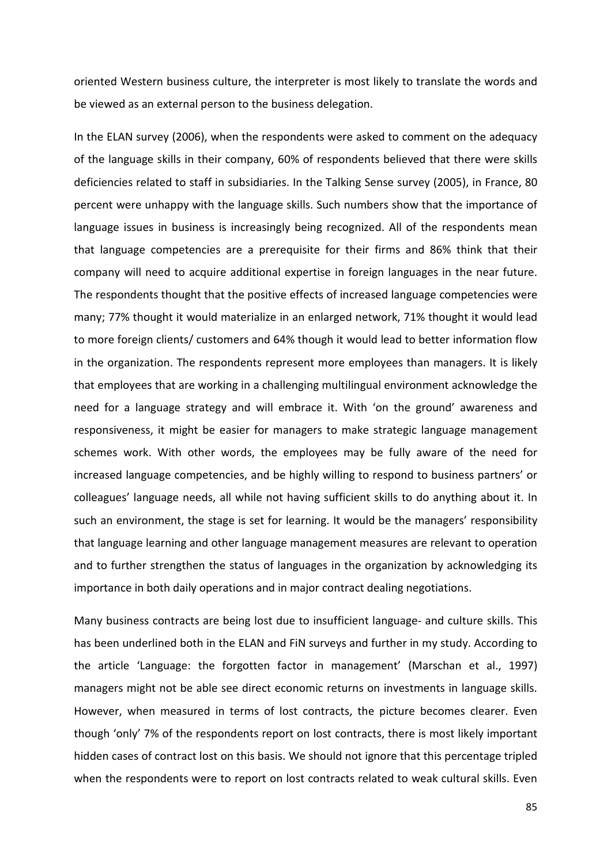oriented Western business culture, the interpreter is most likely to translate the words and be viewed as an external person to the business delegation.

In the ELAN survey (2006), when the respondents were asked to comment on the adequacy of the language skills in their company, 60% of respondents believed that there were skills deficiencies related to staff in subsidiaries. In the Talking Sense survey (2005), in France, 80 percent were unhappy with the language skills. Such numbers show that the importance of language issues in business is increasingly being recognized. All of the respondents mean that language competencies are a prerequisite for their firms and 86% think that their company will need to acquire additional expertise in foreign languages in the near future. The respondents thought that the positive effects of increased language competencies were many; 77% thought it would materialize in an enlarged network, 71% thought it would lead to more foreign clients/ customers and 64% though it would lead to better information flow in the organization. The respondents represent more employees than managers. It is likely that employees that are working in a challenging multilingual environment acknowledge the need for a language strategy and will embrace it. With 'on the ground' awareness and responsiveness, it might be easier for managers to make strategic language management schemes work. With other words, the employees may be fully aware of the need for increased language competencies, and be highly willing to respond to business partners' or colleagues' language needs, all while not having sufficient skills to do anything about it. In such an environment, the stage is set for learning. It would be the managers' responsibility that language learning and other language management measures are relevant to operation and to further strengthen the status of languages in the organization by acknowledging its importance in both daily operations and in major contract dealing negotiations.

Many business contracts are being lost due to insufficient language- and culture skills. This has been underlined both in the ELAN and FiN surveys and further in my study. According to the article 'Language: the forgotten factor in management' (Marschan et al., 1997) managers might not be able see direct economic returns on investments in language skills. However, when measured in terms of lost contracts, the picture becomes clearer. Even though 'only' 7% of the respondents report on lost contracts, there is most likely important hidden cases of contract lost on this basis. We should not ignore that this percentage tripled when the respondents were to report on lost contracts related to weak cultural skills. Even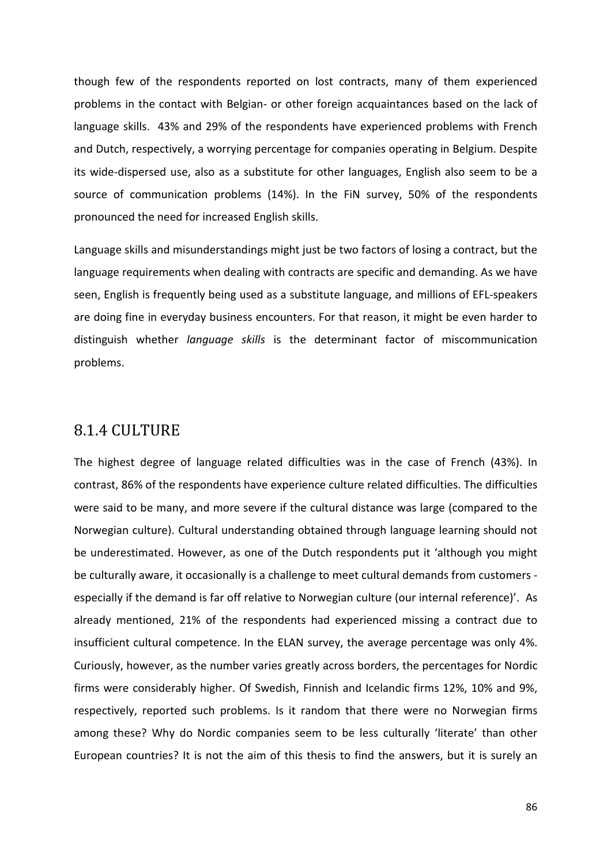though few of the respondents reported on lost contracts, many of them experienced problems in the contact with Belgian- or other foreign acquaintances based on the lack of language skills. 43% and 29% of the respondents have experienced problems with French and Dutch, respectively, a worrying percentage for companies operating in Belgium. Despite its wide-dispersed use, also as a substitute for other languages, English also seem to be a source of communication problems (14%). In the FiN survey, 50% of the respondents pronounced the need for increased English skills.

Language skills and misunderstandings might just be two factors of losing a contract, but the language requirements when dealing with contracts are specific and demanding. As we have seen, English is frequently being used as a substitute language, and millions of EFL-speakers are doing fine in everyday business encounters. For that reason, it might be even harder to distinguish whether *language skills* is the determinant factor of miscommunication problems.

### 8.1.4 CULTURE

The highest degree of language related difficulties was in the case of French (43%). In contrast, 86% of the respondents have experience culture related difficulties. The difficulties were said to be many, and more severe if the cultural distance was large (compared to the Norwegian culture). Cultural understanding obtained through language learning should not be underestimated. However, as one of the Dutch respondents put it 'although you might be culturally aware, it occasionally is a challenge to meet cultural demands from customers especially if the demand is far off relative to Norwegian culture (our internal reference)'. As already mentioned, 21% of the respondents had experienced missing a contract due to insufficient cultural competence. In the ELAN survey, the average percentage was only 4%. Curiously, however, as the number varies greatly across borders, the percentages for Nordic firms were considerably higher. Of Swedish, Finnish and Icelandic firms 12%, 10% and 9%, respectively, reported such problems. Is it random that there were no Norwegian firms among these? Why do Nordic companies seem to be less culturally 'literate' than other European countries? It is not the aim of this thesis to find the answers, but it is surely an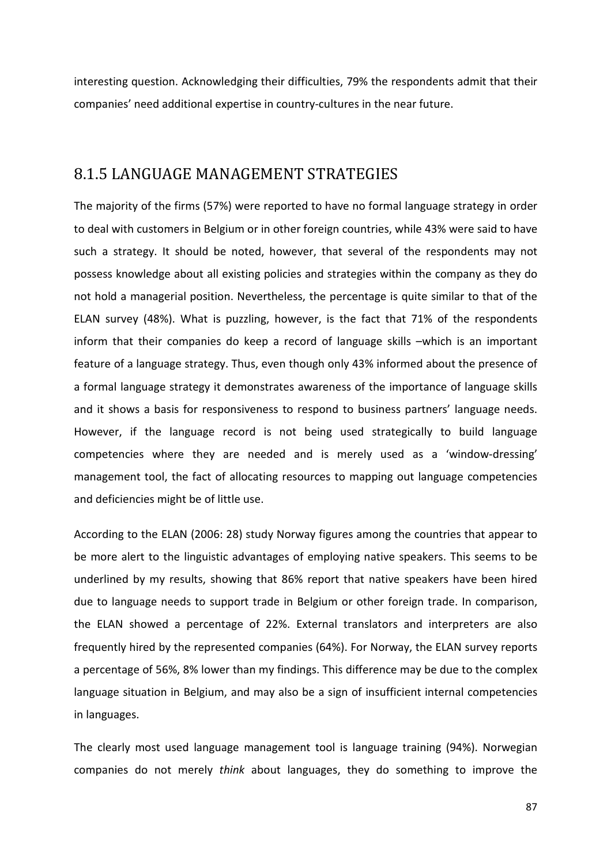interesting question. Acknowledging their difficulties, 79% the respondents admit that their companies' need additional expertise in country-cultures in the near future.

### 8.1.5 LANGUAGE MANAGEMENT STRATEGIES

The majority of the firms (57%) were reported to have no formal language strategy in order to deal with customers in Belgium or in other foreign countries, while 43% were said to have such a strategy. It should be noted, however, that several of the respondents may not possess knowledge about all existing policies and strategies within the company as they do not hold a managerial position. Nevertheless, the percentage is quite similar to that of the ELAN survey (48%). What is puzzling, however, is the fact that 71% of the respondents inform that their companies do keep a record of language skills –which is an important feature of a language strategy. Thus, even though only 43% informed about the presence of a formal language strategy it demonstrates awareness of the importance of language skills and it shows a basis for responsiveness to respond to business partners' language needs. However, if the language record is not being used strategically to build language competencies where they are needed and is merely used as a 'window-dressing' management tool, the fact of allocating resources to mapping out language competencies and deficiencies might be of little use.

According to the ELAN (2006: 28) study Norway figures among the countries that appear to be more alert to the linguistic advantages of employing native speakers. This seems to be underlined by my results, showing that 86% report that native speakers have been hired due to language needs to support trade in Belgium or other foreign trade. In comparison, the ELAN showed a percentage of 22%. External translators and interpreters are also frequently hired by the represented companies (64%). For Norway, the ELAN survey reports a percentage of 56%, 8% lower than my findings. This difference may be due to the complex language situation in Belgium, and may also be a sign of insufficient internal competencies in languages.

The clearly most used language management tool is language training (94%). Norwegian companies do not merely *think* about languages, they do something to improve the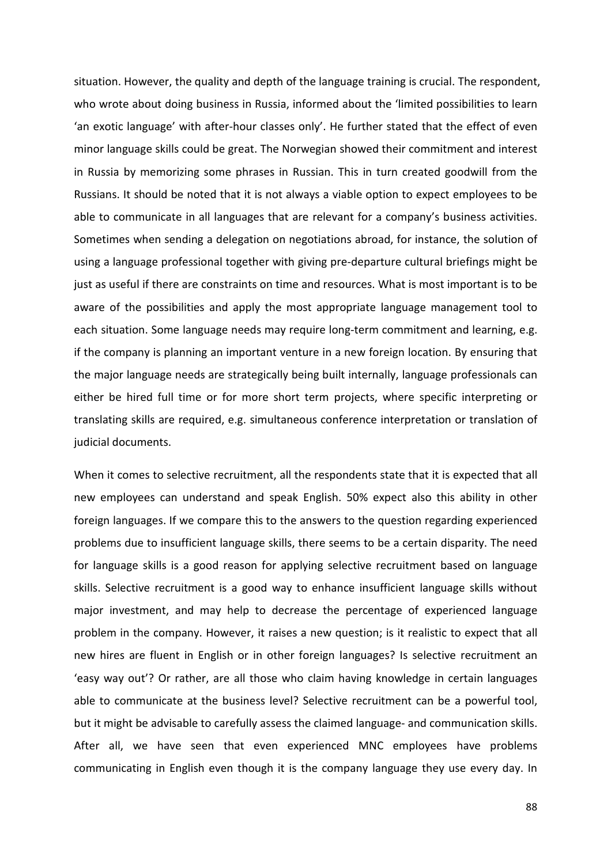situation. However, the quality and depth of the language training is crucial. The respondent, who wrote about doing business in Russia, informed about the 'limited possibilities to learn 'an exotic language' with after-hour classes only'. He further stated that the effect of even minor language skills could be great. The Norwegian showed their commitment and interest in Russia by memorizing some phrases in Russian. This in turn created goodwill from the Russians. It should be noted that it is not always a viable option to expect employees to be able to communicate in all languages that are relevant for a company's business activities. Sometimes when sending a delegation on negotiations abroad, for instance, the solution of using a language professional together with giving pre-departure cultural briefings might be just as useful if there are constraints on time and resources. What is most important is to be aware of the possibilities and apply the most appropriate language management tool to each situation. Some language needs may require long-term commitment and learning, e.g. if the company is planning an important venture in a new foreign location. By ensuring that the major language needs are strategically being built internally, language professionals can either be hired full time or for more short term projects, where specific interpreting or translating skills are required, e.g. simultaneous conference interpretation or translation of judicial documents.

When it comes to selective recruitment, all the respondents state that it is expected that all new employees can understand and speak English. 50% expect also this ability in other foreign languages. If we compare this to the answers to the question regarding experienced problems due to insufficient language skills, there seems to be a certain disparity. The need for language skills is a good reason for applying selective recruitment based on language skills. Selective recruitment is a good way to enhance insufficient language skills without major investment, and may help to decrease the percentage of experienced language problem in the company. However, it raises a new question; is it realistic to expect that all new hires are fluent in English or in other foreign languages? Is selective recruitment an 'easy way out'? Or rather, are all those who claim having knowledge in certain languages able to communicate at the business level? Selective recruitment can be a powerful tool, but it might be advisable to carefully assess the claimed language- and communication skills. After all, we have seen that even experienced MNC employees have problems communicating in English even though it is the company language they use every day. In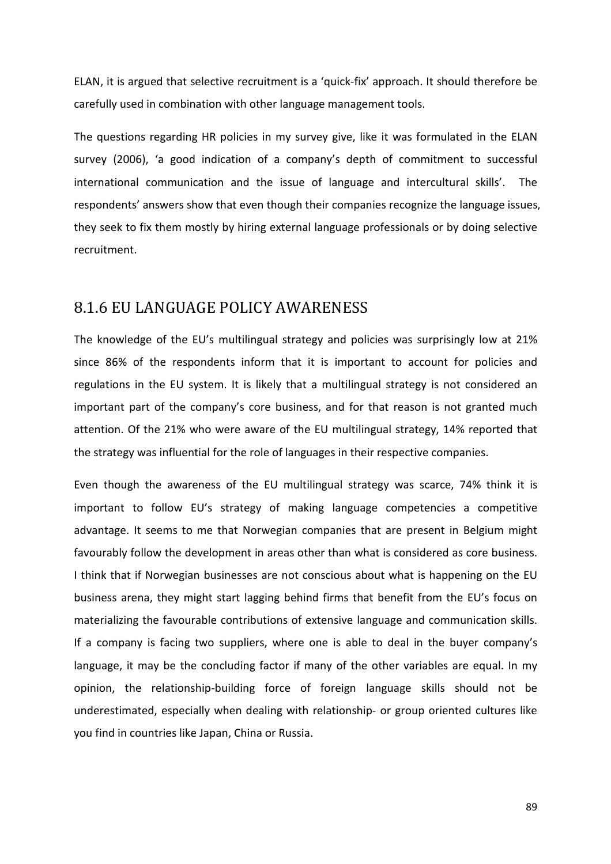ELAN, it is argued that selective recruitment is a 'quick-fix' approach. It should therefore be carefully used in combination with other language management tools.

The questions regarding HR policies in my survey give, like it was formulated in the ELAN survey (2006), 'a good indication of a company's depth of commitment to successful international communication and the issue of language and intercultural skills'. The respondents' answers show that even though their companies recognize the language issues, they seek to fix them mostly by hiring external language professionals or by doing selective recruitment.

### 8.1.6 EU LANGUAGE POLICY AWARENESS

The knowledge of the EU's multilingual strategy and policies was surprisingly low at 21% since 86% of the respondents inform that it is important to account for policies and regulations in the EU system. It is likely that a multilingual strategy is not considered an important part of the company's core business, and for that reason is not granted much attention. Of the 21% who were aware of the EU multilingual strategy, 14% reported that the strategy was influential for the role of languages in their respective companies.

Even though the awareness of the EU multilingual strategy was scarce, 74% think it is important to follow EU's strategy of making language competencies a competitive advantage. It seems to me that Norwegian companies that are present in Belgium might favourably follow the development in areas other than what is considered as core business. I think that if Norwegian businesses are not conscious about what is happening on the EU business arena, they might start lagging behind firms that benefit from the EU's focus on materializing the favourable contributions of extensive language and communication skills. If a company is facing two suppliers, where one is able to deal in the buyer company's language, it may be the concluding factor if many of the other variables are equal. In my opinion, the relationship-building force of foreign language skills should not be underestimated, especially when dealing with relationship- or group oriented cultures like you find in countries like Japan, China or Russia.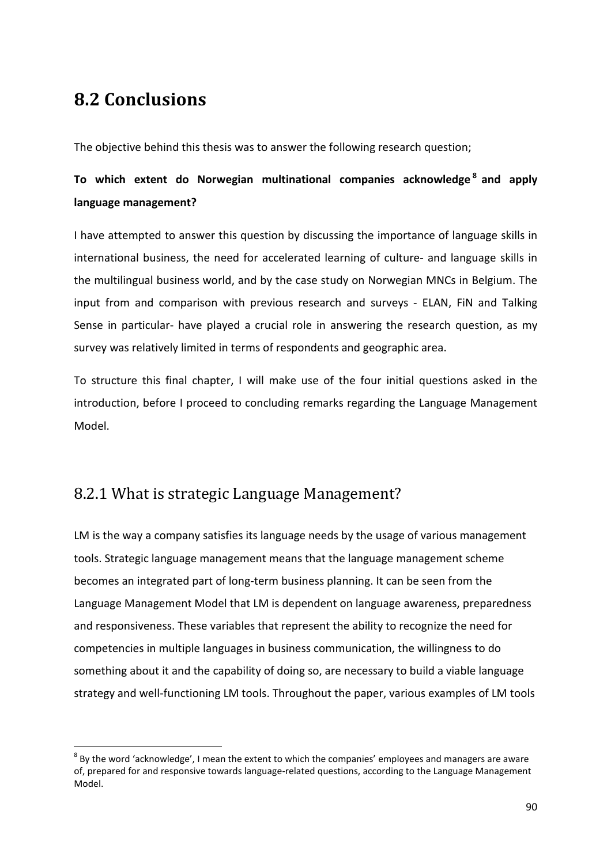# **8.2 Conclusions**

 $\overline{a}$ 

The objective behind this thesis was to answer the following research question;

# **To which extent do Norwegian multinational companies acknowledge <sup>8</sup> and apply language management?**

I have attempted to answer this question by discussing the importance of language skills in international business, the need for accelerated learning of culture- and language skills in the multilingual business world, and by the case study on Norwegian MNCs in Belgium. The input from and comparison with previous research and surveys - ELAN, FiN and Talking Sense in particular- have played a crucial role in answering the research question, as my survey was relatively limited in terms of respondents and geographic area.

To structure this final chapter, I will make use of the four initial questions asked in the introduction, before I proceed to concluding remarks regarding the Language Management Model.

# 8.2.1 What is strategic Language Management?

LM is the way a company satisfies its language needs by the usage of various management tools. Strategic language management means that the language management scheme becomes an integrated part of long-term business planning. It can be seen from the Language Management Model that LM is dependent on language awareness, preparedness and responsiveness. These variables that represent the ability to recognize the need for competencies in multiple languages in business communication, the willingness to do something about it and the capability of doing so, are necessary to build a viable language strategy and well-functioning LM tools. Throughout the paper, various examples of LM tools

 $^8$  By the word 'acknowledge', I mean the extent to which the companies' employees and managers are aware of, prepared for and responsive towards language-related questions, according to the Language Management Model.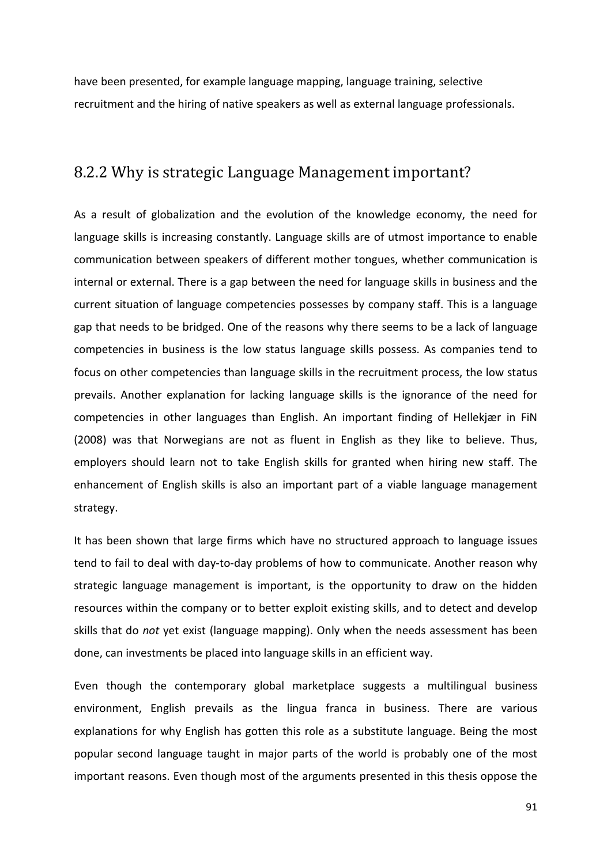have been presented, for example language mapping, language training, selective recruitment and the hiring of native speakers as well as external language professionals.

### 8.2.2 Why is strategic Language Management important?

As a result of globalization and the evolution of the knowledge economy, the need for language skills is increasing constantly. Language skills are of utmost importance to enable communication between speakers of different mother tongues, whether communication is internal or external. There is a gap between the need for language skills in business and the current situation of language competencies possesses by company staff. This is a language gap that needs to be bridged. One of the reasons why there seems to be a lack of language competencies in business is the low status language skills possess. As companies tend to focus on other competencies than language skills in the recruitment process, the low status prevails. Another explanation for lacking language skills is the ignorance of the need for competencies in other languages than English. An important finding of Hellekjær in FiN (2008) was that Norwegians are not as fluent in English as they like to believe. Thus, employers should learn not to take English skills for granted when hiring new staff. The enhancement of English skills is also an important part of a viable language management strategy.

It has been shown that large firms which have no structured approach to language issues tend to fail to deal with day-to-day problems of how to communicate. Another reason why strategic language management is important, is the opportunity to draw on the hidden resources within the company or to better exploit existing skills, and to detect and develop skills that do *not* yet exist (language mapping). Only when the needs assessment has been done, can investments be placed into language skills in an efficient way.

Even though the contemporary global marketplace suggests a multilingual business environment, English prevails as the lingua franca in business. There are various explanations for why English has gotten this role as a substitute language. Being the most popular second language taught in major parts of the world is probably one of the most important reasons. Even though most of the arguments presented in this thesis oppose the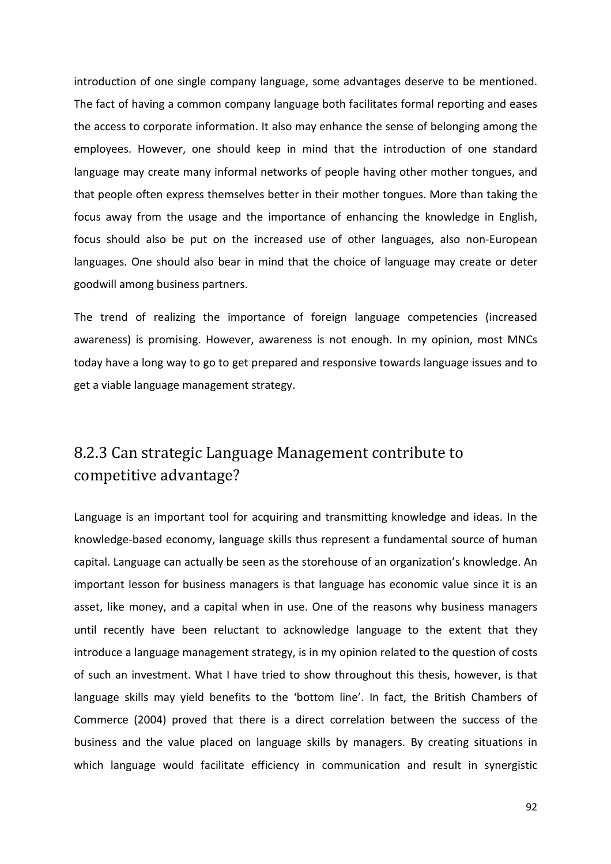introduction of one single company language, some advantages deserve to be mentioned. The fact of having a common company language both facilitates formal reporting and eases the access to corporate information. It also may enhance the sense of belonging among the employees. However, one should keep in mind that the introduction of one standard language may create many informal networks of people having other mother tongues, and that people often express themselves better in their mother tongues. More than taking the focus away from the usage and the importance of enhancing the knowledge in English, focus should also be put on the increased use of other languages, also non-European languages. One should also bear in mind that the choice of language may create or deter goodwill among business partners.

The trend of realizing the importance of foreign language competencies (increased awareness) is promising. However, awareness is not enough. In my opinion, most MNCs today have a long way to go to get prepared and responsive towards language issues and to get a viable language management strategy.

# 8.2.3 Can strategic Language Management contribute to competitive advantage?

Language is an important tool for acquiring and transmitting knowledge and ideas. In the knowledge-based economy, language skills thus represent a fundamental source of human capital. Language can actually be seen as the storehouse of an organization's knowledge. An important lesson for business managers is that language has economic value since it is an asset, like money, and a capital when in use. One of the reasons why business managers until recently have been reluctant to acknowledge language to the extent that they introduce a language management strategy, is in my opinion related to the question of costs of such an investment. What I have tried to show throughout this thesis, however, is that language skills may yield benefits to the 'bottom line'. In fact, the British Chambers of Commerce (2004) proved that there is a direct correlation between the success of the business and the value placed on language skills by managers. By creating situations in which language would facilitate efficiency in communication and result in synergistic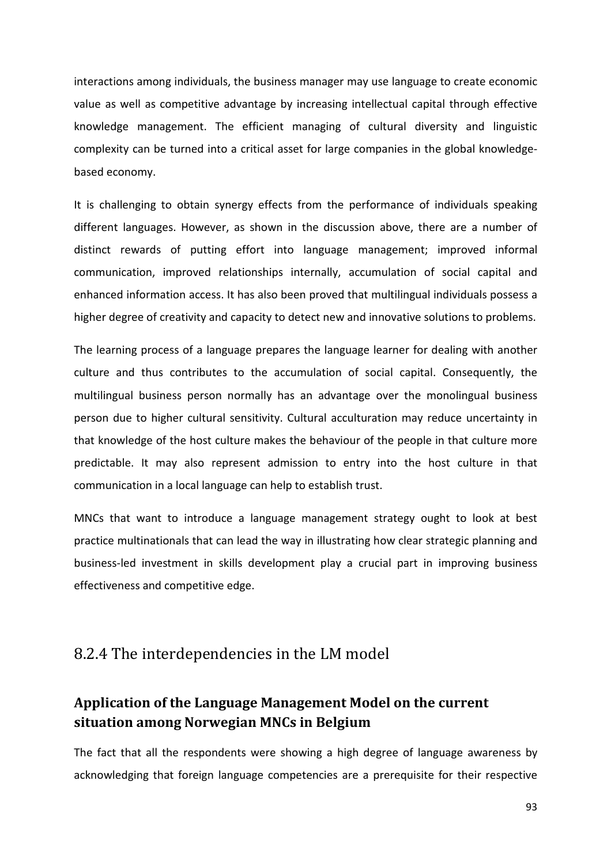interactions among individuals, the business manager may use language to create economic value as well as competitive advantage by increasing intellectual capital through effective knowledge management. The efficient managing of cultural diversity and linguistic complexity can be turned into a critical asset for large companies in the global knowledgebased economy.

It is challenging to obtain synergy effects from the performance of individuals speaking different languages. However, as shown in the discussion above, there are a number of distinct rewards of putting effort into language management; improved informal communication, improved relationships internally, accumulation of social capital and enhanced information access. It has also been proved that multilingual individuals possess a higher degree of creativity and capacity to detect new and innovative solutions to problems.

The learning process of a language prepares the language learner for dealing with another culture and thus contributes to the accumulation of social capital. Consequently, the multilingual business person normally has an advantage over the monolingual business person due to higher cultural sensitivity. Cultural acculturation may reduce uncertainty in that knowledge of the host culture makes the behaviour of the people in that culture more predictable. It may also represent admission to entry into the host culture in that communication in a local language can help to establish trust.

MNCs that want to introduce a language management strategy ought to look at best practice multinationals that can lead the way in illustrating how clear strategic planning and business-led investment in skills development play a crucial part in improving business effectiveness and competitive edge.

### 8.2.4 The interdependencies in the LM model

## **Application of the Language Management Model on the current situation among Norwegian MNCs in Belgium**

The fact that all the respondents were showing a high degree of language awareness by acknowledging that foreign language competencies are a prerequisite for their respective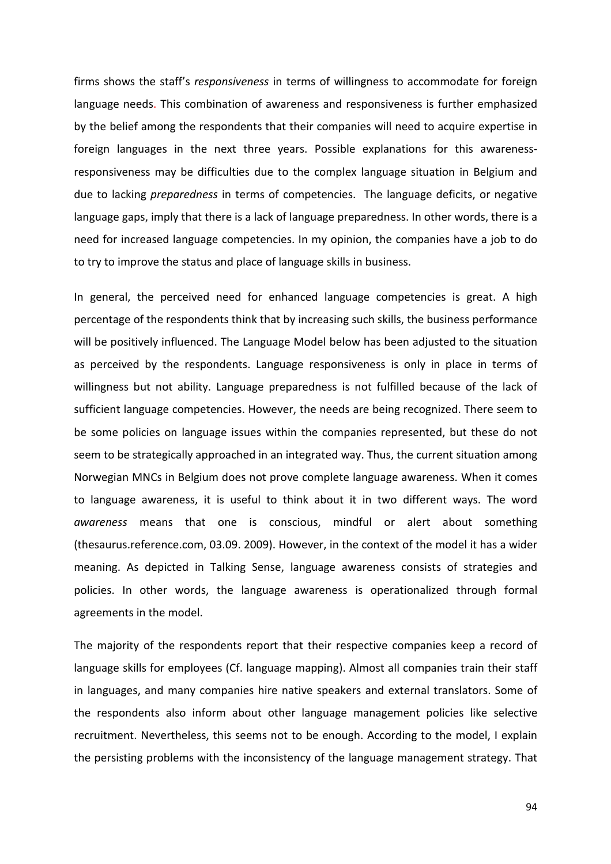firms shows the staff's *responsiveness* in terms of willingness to accommodate for foreign language needs. This combination of awareness and responsiveness is further emphasized by the belief among the respondents that their companies will need to acquire expertise in foreign languages in the next three years. Possible explanations for this awarenessresponsiveness may be difficulties due to the complex language situation in Belgium and due to lacking *preparedness* in terms of competencies. The language deficits, or negative language gaps, imply that there is a lack of language preparedness. In other words, there is a need for increased language competencies. In my opinion, the companies have a job to do to try to improve the status and place of language skills in business.

In general, the perceived need for enhanced language competencies is great. A high percentage of the respondents think that by increasing such skills, the business performance will be positively influenced. The Language Model below has been adjusted to the situation as perceived by the respondents. Language responsiveness is only in place in terms of willingness but not ability. Language preparedness is not fulfilled because of the lack of sufficient language competencies. However, the needs are being recognized. There seem to be some policies on language issues within the companies represented, but these do not seem to be strategically approached in an integrated way. Thus, the current situation among Norwegian MNCs in Belgium does not prove complete language awareness. When it comes to language awareness, it is useful to think about it in two different ways. The word *awareness* means that one is conscious, mindful or alert about something (thesaurus.reference.com, 03.09. 2009). However, in the context of the model it has a wider meaning. As depicted in Talking Sense, language awareness consists of strategies and policies. In other words, the language awareness is operationalized through formal agreements in the model.

The majority of the respondents report that their respective companies keep a record of language skills for employees (Cf. language mapping). Almost all companies train their staff in languages, and many companies hire native speakers and external translators. Some of the respondents also inform about other language management policies like selective recruitment. Nevertheless, this seems not to be enough. According to the model, I explain the persisting problems with the inconsistency of the language management strategy. That

94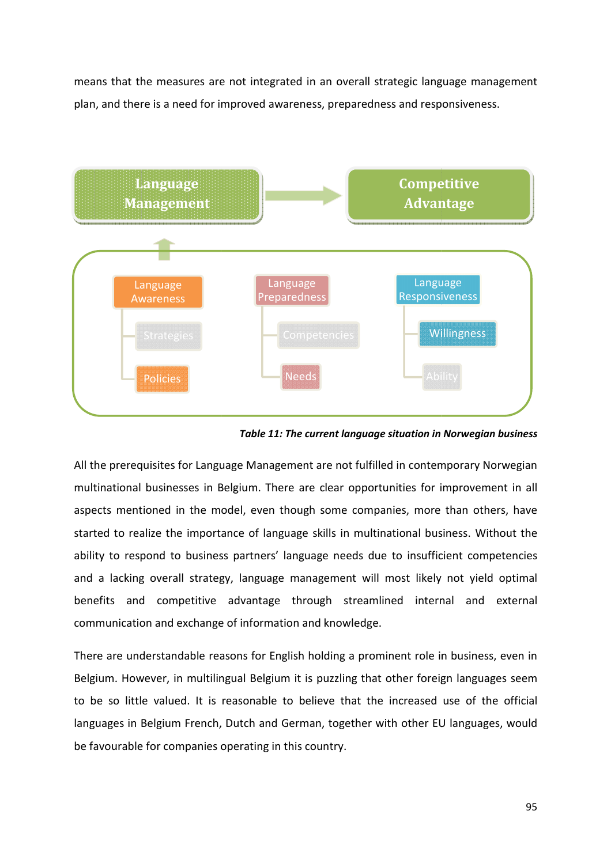means that the measures are not integrated in an overall strategic language management plan, and there is a need for improved awareness, preparedness and responsiveness.



*Table 11: The current language situation in Norwegian business*

All the prerequisites for Language Management are not fulfilled in contemporary Norwegian multinational businesses in Belgium. There are clear opportunities for improvement in all aspects mentioned in the model, even though some companies, more than others, have started to realize the importance of language skills in multinational business. Without the ability to respond to business partners' language needs due to insufficient competencies and a lacking overall strategy, language management will most likely not yield optimal benefits and competitive advantage through streamlined internal and external communication and exchange of information and knowledge. he prerequisites for Language Management are not fulfilled in contemporary Norwegian<br>tinational businesses in Belgium. There are clear opportunities for improvement in all<br>ects mentioned in the model, even though some comp

There are understandable reasons for English holding a prominent role in business, even in Belgium. However, in multilingual Belgium it is puzzling that other foreign languages seem to be so little valued. It is reasonable to believe that the increased use of the official languages in Belgium French, Dutch and German, together with other EU languages, would be favourable for companies operating in this country.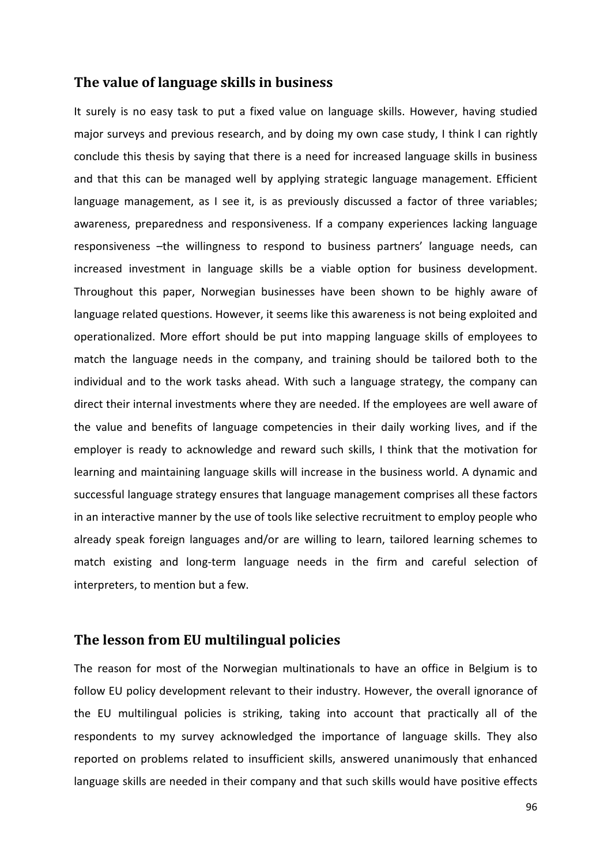### **The value of language skills in business**

It surely is no easy task to put a fixed value on language skills. However, having studied major surveys and previous research, and by doing my own case study, I think I can rightly conclude this thesis by saying that there is a need for increased language skills in business and that this can be managed well by applying strategic language management. Efficient language management, as I see it, is as previously discussed a factor of three variables; awareness, preparedness and responsiveness. If a company experiences lacking language responsiveness –the willingness to respond to business partners' language needs, can increased investment in language skills be a viable option for business development. Throughout this paper, Norwegian businesses have been shown to be highly aware of language related questions. However, it seems like this awareness is not being exploited and operationalized. More effort should be put into mapping language skills of employees to match the language needs in the company, and training should be tailored both to the individual and to the work tasks ahead. With such a language strategy, the company can direct their internal investments where they are needed. If the employees are well aware of the value and benefits of language competencies in their daily working lives, and if the employer is ready to acknowledge and reward such skills, I think that the motivation for learning and maintaining language skills will increase in the business world. A dynamic and successful language strategy ensures that language management comprises all these factors in an interactive manner by the use of tools like selective recruitment to employ people who already speak foreign languages and/or are willing to learn, tailored learning schemes to match existing and long-term language needs in the firm and careful selection of interpreters, to mention but a few.

### **The lesson from EU multilingual policies**

The reason for most of the Norwegian multinationals to have an office in Belgium is to follow EU policy development relevant to their industry. However, the overall ignorance of the EU multilingual policies is striking, taking into account that practically all of the respondents to my survey acknowledged the importance of language skills. They also reported on problems related to insufficient skills, answered unanimously that enhanced language skills are needed in their company and that such skills would have positive effects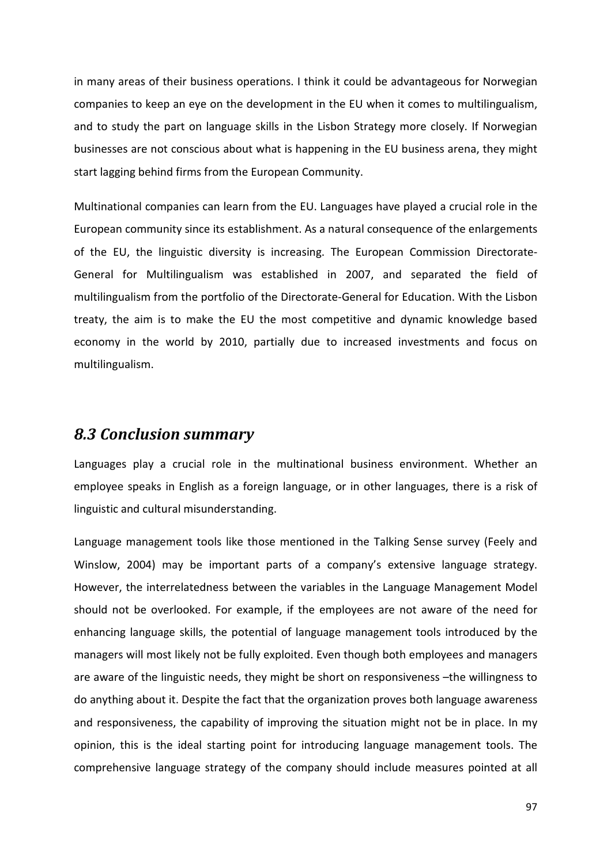in many areas of their business operations. I think it could be advantageous for Norwegian companies to keep an eye on the development in the EU when it comes to multilingualism, and to study the part on language skills in the Lisbon Strategy more closely. If Norwegian businesses are not conscious about what is happening in the EU business arena, they might start lagging behind firms from the European Community.

Multinational companies can learn from the EU. Languages have played a crucial role in the European community since its establishment. As a natural consequence of the enlargements of the EU, the linguistic diversity is increasing. The European Commission Directorate-General for Multilingualism was established in 2007, and separated the field of multilingualism from the portfolio of the Directorate-General for Education. With the Lisbon treaty, the aim is to make the EU the most competitive and dynamic knowledge based economy in the world by 2010, partially due to increased investments and focus on multilingualism.

### *8.3 Conclusion summary*

Languages play a crucial role in the multinational business environment. Whether an employee speaks in English as a foreign language, or in other languages, there is a risk of linguistic and cultural misunderstanding.

Language management tools like those mentioned in the Talking Sense survey (Feely and Winslow, 2004) may be important parts of a company's extensive language strategy. However, the interrelatedness between the variables in the Language Management Model should not be overlooked. For example, if the employees are not aware of the need for enhancing language skills, the potential of language management tools introduced by the managers will most likely not be fully exploited. Even though both employees and managers are aware of the linguistic needs, they might be short on responsiveness –the willingness to do anything about it. Despite the fact that the organization proves both language awareness and responsiveness, the capability of improving the situation might not be in place. In my opinion, this is the ideal starting point for introducing language management tools. The comprehensive language strategy of the company should include measures pointed at all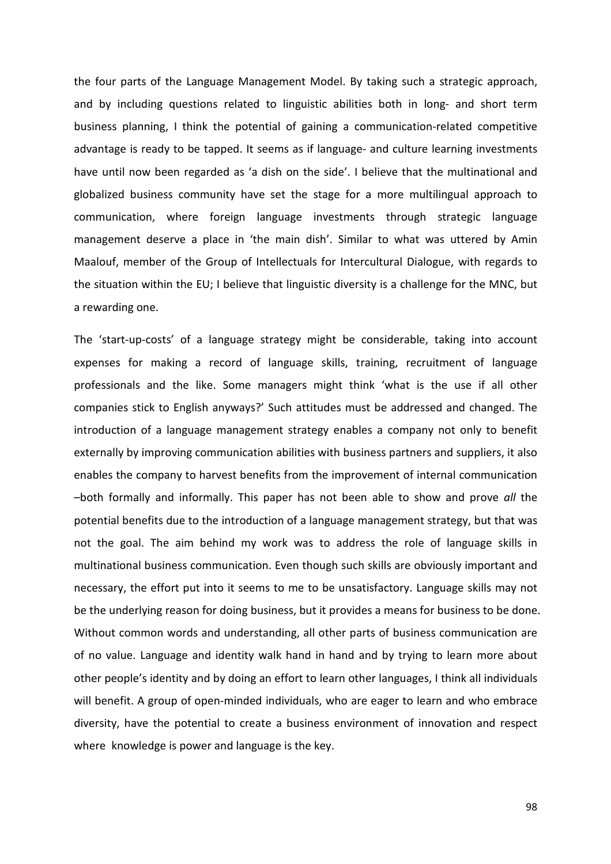the four parts of the Language Management Model. By taking such a strategic approach, and by including questions related to linguistic abilities both in long- and short term business planning, I think the potential of gaining a communication-related competitive advantage is ready to be tapped. It seems as if language- and culture learning investments have until now been regarded as 'a dish on the side'. I believe that the multinational and globalized business community have set the stage for a more multilingual approach to communication, where foreign language investments through strategic language management deserve a place in 'the main dish'. Similar to what was uttered by Amin Maalouf, member of the Group of Intellectuals for Intercultural Dialogue, with regards to the situation within the EU; I believe that linguistic diversity is a challenge for the MNC, but a rewarding one.

The 'start-up-costs' of a language strategy might be considerable, taking into account expenses for making a record of language skills, training, recruitment of language professionals and the like. Some managers might think 'what is the use if all other companies stick to English anyways?' Such attitudes must be addressed and changed. The introduction of a language management strategy enables a company not only to benefit externally by improving communication abilities with business partners and suppliers, it also enables the company to harvest benefits from the improvement of internal communication –both formally and informally. This paper has not been able to show and prove *all* the potential benefits due to the introduction of a language management strategy, but that was not the goal. The aim behind my work was to address the role of language skills in multinational business communication. Even though such skills are obviously important and necessary, the effort put into it seems to me to be unsatisfactory. Language skills may not be the underlying reason for doing business, but it provides a means for business to be done. Without common words and understanding, all other parts of business communication are of no value. Language and identity walk hand in hand and by trying to learn more about other people's identity and by doing an effort to learn other languages, I think all individuals will benefit. A group of open-minded individuals, who are eager to learn and who embrace diversity, have the potential to create a business environment of innovation and respect where knowledge is power and language is the key.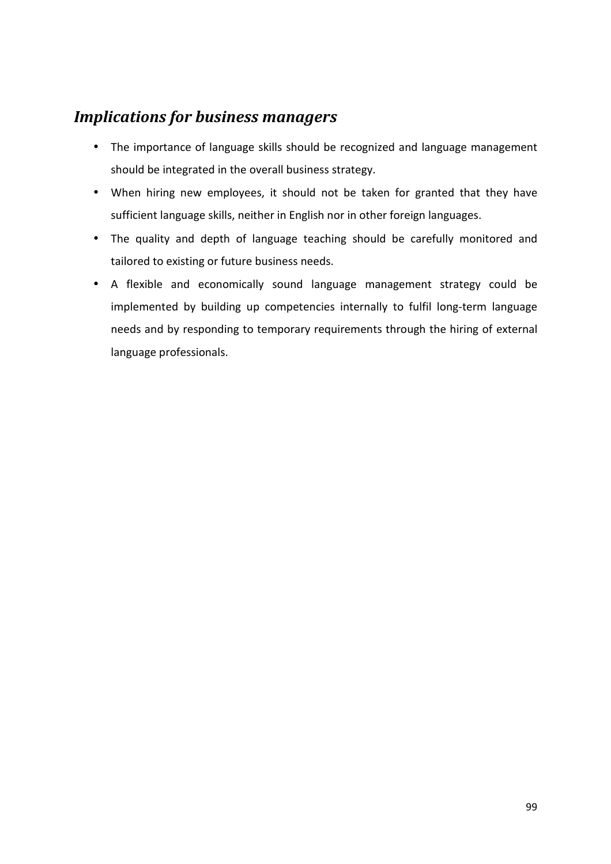# *Implications for business managers*

- The importance of language skills should be recognized and language management should be integrated in the overall business strategy.
- When hiring new employees, it should not be taken for granted that they have sufficient language skills, neither in English nor in other foreign languages.
- The quality and depth of language teaching should be carefully monitored and tailored to existing or future business needs.
- A flexible and economically sound language management strategy could be implemented by building up competencies internally to fulfil long-term language needs and by responding to temporary requirements through the hiring of external language professionals.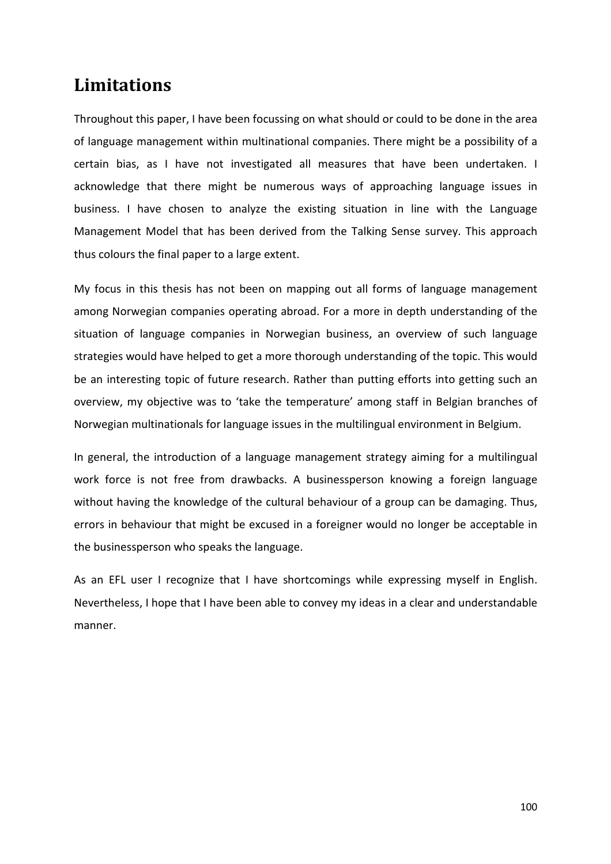# **Limitations**

Throughout this paper, I have been focussing on what should or could to be done in the area of language management within multinational companies. There might be a possibility of a certain bias, as I have not investigated all measures that have been undertaken. I acknowledge that there might be numerous ways of approaching language issues in business. I have chosen to analyze the existing situation in line with the Language Management Model that has been derived from the Talking Sense survey. This approach thus colours the final paper to a large extent.

My focus in this thesis has not been on mapping out all forms of language management among Norwegian companies operating abroad. For a more in depth understanding of the situation of language companies in Norwegian business, an overview of such language strategies would have helped to get a more thorough understanding of the topic. This would be an interesting topic of future research. Rather than putting efforts into getting such an overview, my objective was to 'take the temperature' among staff in Belgian branches of Norwegian multinationals for language issues in the multilingual environment in Belgium.

In general, the introduction of a language management strategy aiming for a multilingual work force is not free from drawbacks. A businessperson knowing a foreign language without having the knowledge of the cultural behaviour of a group can be damaging. Thus, errors in behaviour that might be excused in a foreigner would no longer be acceptable in the businessperson who speaks the language.

As an EFL user I recognize that I have shortcomings while expressing myself in English. Nevertheless, I hope that I have been able to convey my ideas in a clear and understandable manner.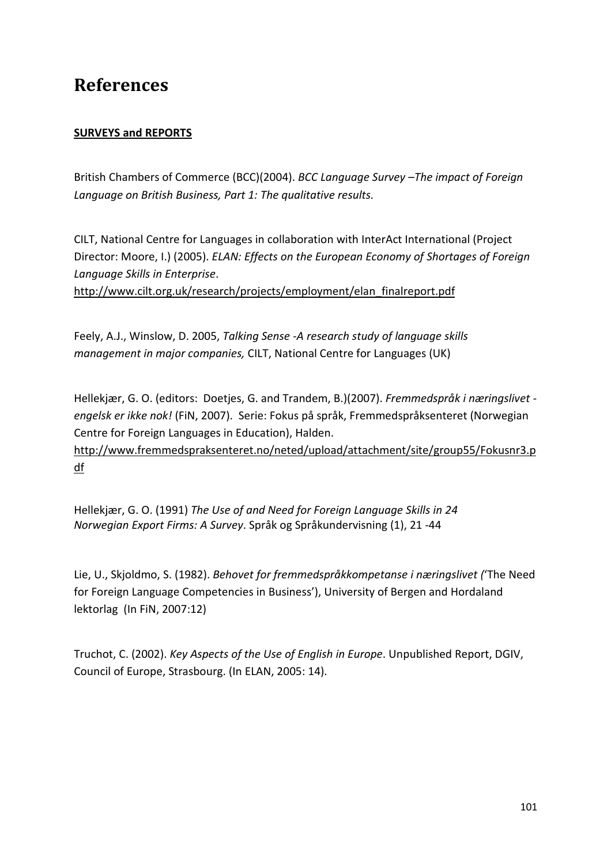# **References**

### **SURVEYS and REPORTS**

British Chambers of Commerce (BCC)(2004). *BCC Language Survey –The impact of Foreign Language on British Business, Part 1: The qualitative results.*

CILT, National Centre for Languages in collaboration with InterAct International (Project Director: Moore, I.) (2005). *ELAN: Effects on the European Economy of Shortages of Foreign Language Skills in Enterprise*.

http://www.cilt.org.uk/research/projects/employment/elan\_finalreport.pdf

Feely, A.J., Winslow, D. 2005, *Talking Sense -A research study of language skills management in major companies,* CILT, National Centre for Languages (UK)

Hellekjær, G. O. (editors: Doetjes, G. and Trandem, B.)(2007). *Fremmedspråk i næringslivet engelsk er ikke nok!* (FiN, 2007). Serie: Fokus på språk, Fremmedspråksenteret (Norwegian Centre for Foreign Languages in Education), Halden.

http://www.fremmedspraksenteret.no/neted/upload/attachment/site/group55/Fokusnr3.p df

Hellekjær, G. O. (1991) *The Use of and Need for Foreign Language Skills in 24 Norwegian Export Firms: A Survey*. Språk og Språkundervisning (1), 21 -44

Lie, U., Skjoldmo, S. (1982). *Behovet for fremmedspråkkompetanse i næringslivet (*'The Need for Foreign Language Competencies in Business'), University of Bergen and Hordaland lektorlag (In FiN, 2007:12)

Truchot, C. (2002). *Key Aspects of the Use of English in Europe*. Unpublished Report, DGIV, Council of Europe, Strasbourg. (In ELAN, 2005: 14).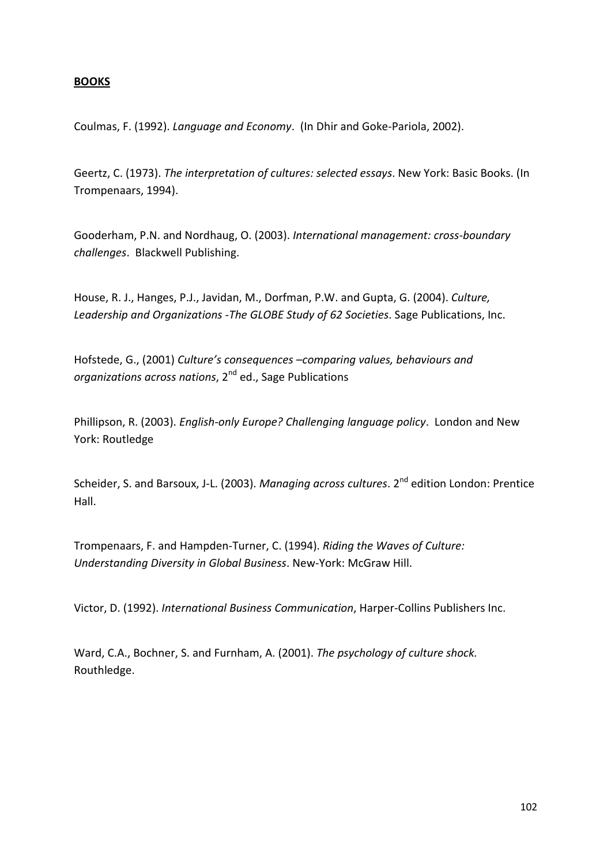### **BOOKS**

Coulmas, F. (1992). *Language and Economy*. (In Dhir and Goke-Pariola, 2002).

Geertz, C. (1973). *The interpretation of cultures: selected essays*. New York: Basic Books. (In Trompenaars, 1994).

Gooderham, P.N. and Nordhaug, O. (2003). *International management: cross-boundary challenges*. Blackwell Publishing.

House, R. J., Hanges, P.J., Javidan, M., Dorfman, P.W. and Gupta, G. (2004). *Culture, Leadership and Organizations -The GLOBE Study of 62 Societies*. Sage Publications, Inc.

Hofstede, G., (2001) *Culture's consequences –comparing values, behaviours and organizations across nations*, 2nd ed., Sage Publications

Phillipson, R. (2003). *English-only Europe? Challenging language policy*. London and New York: Routledge

Scheider, S. and Barsoux, J-L. (2003). *Managing across cultures*. 2<sup>nd</sup> edition London: Prentice Hall.

Trompenaars, F. and Hampden-Turner, C. (1994). *Riding the Waves of Culture: Understanding Diversity in Global Business*. New-York: McGraw Hill.

Victor, D. (1992). *International Business Communication*, Harper-Collins Publishers Inc.

Ward, C.A., Bochner, S. and Furnham, A. (2001). *The psychology of culture shock.*  Routhledge.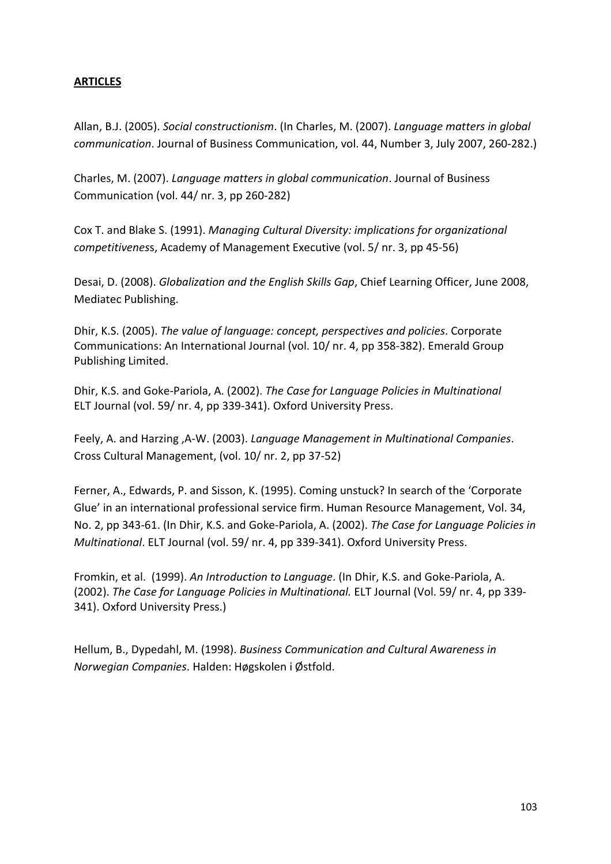### **ARTICLES**

Allan, B.J. (2005). *Social constructionism*. (In Charles, M. (2007). *Language matters in global communication*. Journal of Business Communication, vol. 44, Number 3, July 2007, 260-282.)

Charles, M. (2007). *Language matters in global communication*. Journal of Business Communication (vol. 44/ nr. 3, pp 260-282)

Cox T. and Blake S. (1991). *Managing Cultural Diversity: implications for organizational competitivenes*s, Academy of Management Executive (vol. 5/ nr. 3, pp 45-56)

Desai, D. (2008). *Globalization and the English Skills Gap*, Chief Learning Officer, June 2008, Mediatec Publishing.

Dhir, K.S. (2005). *The value of language: concept, perspectives and policies*. Corporate Communications: An International Journal (vol. 10/ nr. 4, pp 358-382). Emerald Group Publishing Limited.

Dhir, K.S. and Goke-Pariola, A. (2002). *The Case for Language Policies in Multinational*  ELT Journal (vol. 59/ nr. 4, pp 339-341). Oxford University Press.

Feely, A. and Harzing ,A-W. (2003). *Language Management in Multinational Companies*. Cross Cultural Management, (vol. 10/ nr. 2, pp 37-52)

Ferner, A., Edwards, P. and Sisson, K. (1995). Coming unstuck? In search of the 'Corporate Glue' in an international professional service firm. Human Resource Management, Vol. 34, No. 2, pp 343-61. (In Dhir, K.S. and Goke-Pariola, A. (2002). *The Case for Language Policies in Multinational*. ELT Journal (vol. 59/ nr. 4, pp 339-341). Oxford University Press.

Fromkin, et al. (1999). *An Introduction to Language*. (In Dhir, K.S. and Goke-Pariola, A. (2002). *The Case for Language Policies in Multinational.* ELT Journal (Vol. 59/ nr. 4, pp 339- 341). Oxford University Press.)

Hellum, B., Dypedahl, M. (1998). *Business Communication and Cultural Awareness in Norwegian Companies*. Halden: Høgskolen i Østfold.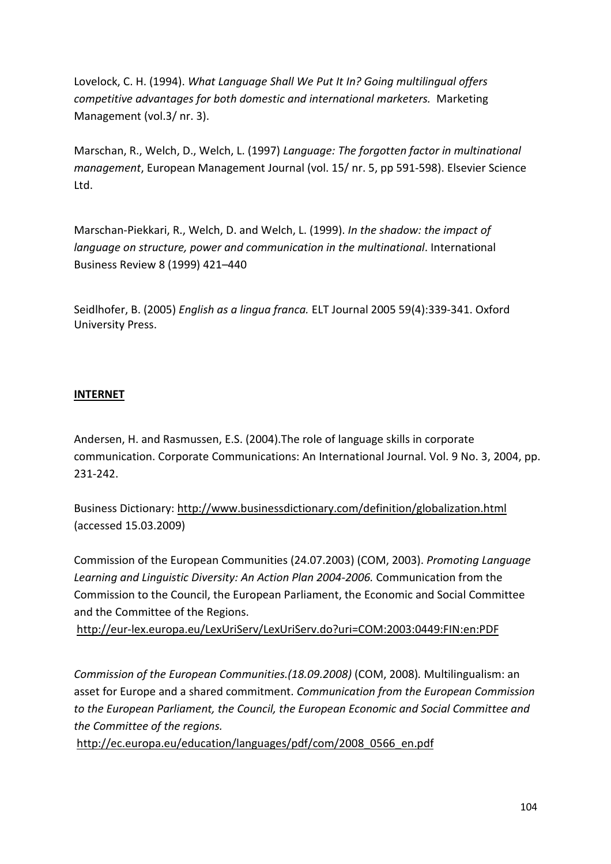Lovelock, C. H. (1994). *What Language Shall We Put It In? Going multilingual offers competitive advantages for both domestic and international marketers.* Marketing Management (vol.3/ nr. 3).

Marschan, R., Welch, D., Welch, L. (1997) *Language: The forgotten factor in multinational management*, European Management Journal (vol. 15/ nr. 5, pp 591-598). Elsevier Science Ltd.

Marschan-Piekkari, R., Welch, D. and Welch, L. (1999). *In the shadow: the impact of language on structure, power and communication in the multinational*. International Business Review 8 (1999) 421–440

Seidlhofer, B. (2005) *English as a lingua franca.* ELT Journal 2005 59(4):339-341. Oxford University Press.

### **INTERNET**

Andersen, H. and Rasmussen, E.S. (2004).The role of language skills in corporate communication. Corporate Communications: An International Journal. Vol. 9 No. 3, 2004, pp. 231-242.

Business Dictionary: http://www.businessdictionary.com/definition/globalization.html (accessed 15.03.2009)

Commission of the European Communities (24.07.2003) (COM, 2003). *Promoting Language Learning and Linguistic Diversity: An Action Plan 2004-2006.* Communication from the Commission to the Council, the European Parliament, the Economic and Social Committee and the Committee of the Regions.

http://eur-lex.europa.eu/LexUriServ/LexUriServ.do?uri=COM:2003:0449:FIN:en:PDF

*Commission of the European Communities.(18.09.2008)* (COM, 2008)*.* Multilingualism: an asset for Europe and a shared commitment. *Communication from the European Commission to the European Parliament, the Council, the European Economic and Social Committee and the Committee of the regions.* 

http://ec.europa.eu/education/languages/pdf/com/2008\_0566\_en.pdf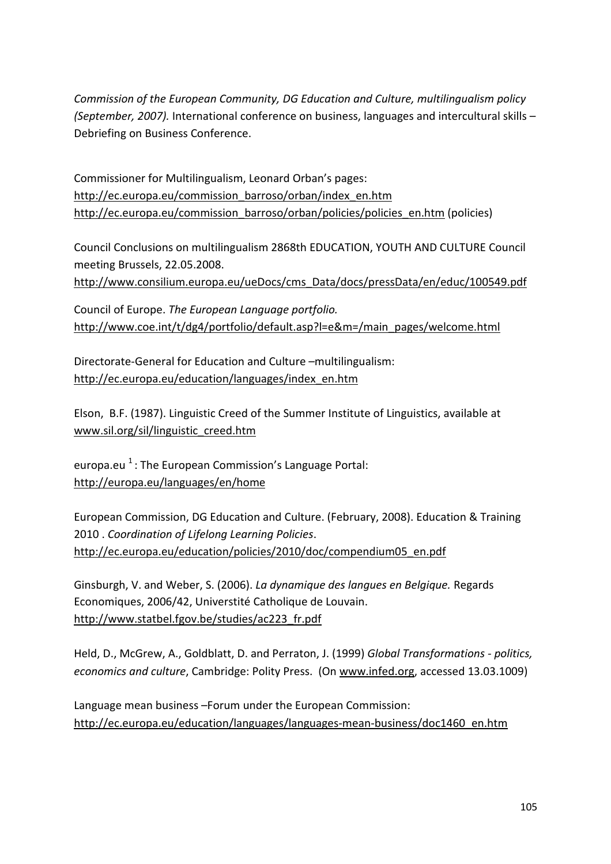*Commission of the European Community, DG Education and Culture, multilingualism policy (September, 2007).* International conference on business, languages and intercultural skills – Debriefing on Business Conference.

Commissioner for Multilingualism, Leonard Orban's pages: http://ec.europa.eu/commission\_barroso/orban/index\_en.htm http://ec.europa.eu/commission\_barroso/orban/policies/policies\_en.htm (policies)

Council Conclusions on multilingualism 2868th EDUCATION, YOUTH AND CULTURE Council meeting Brussels, 22.05.2008.

http://www.consilium.europa.eu/ueDocs/cms\_Data/docs/pressData/en/educ/100549.pdf

Council of Europe. *The European Language portfolio.*  http://www.coe.int/t/dg4/portfolio/default.asp?l=e&m=/main\_pages/welcome.html

Directorate-General for Education and Culture –multilingualism: http://ec.europa.eu/education/languages/index\_en.htm

Elson, B.F. (1987). Linguistic Creed of the Summer Institute of Linguistics, available at www.sil.org/sil/linguistic\_creed.htm

europa.eu  $1:$  The European Commission's Language Portal: http://europa.eu/languages/en/home

European Commission, DG Education and Culture. (February, 2008). Education & Training 2010 . *Coordination of Lifelong Learning Policies*. http://ec.europa.eu/education/policies/2010/doc/compendium05\_en.pdf

Ginsburgh, V. and Weber, S. (2006). *La dynamique des langues en Belgique.* Regards Economiques, 2006/42, Universtité Catholique de Louvain. http://www.statbel.fgov.be/studies/ac223\_fr.pdf

Held, D., McGrew, A., Goldblatt, D. and Perraton, J. (1999) *Global Transformations - politics, economics and culture*, Cambridge: Polity Press. (On www.infed.org, accessed 13.03.1009)

Language mean business –Forum under the European Commission: http://ec.europa.eu/education/languages/languages-mean-business/doc1460\_en.htm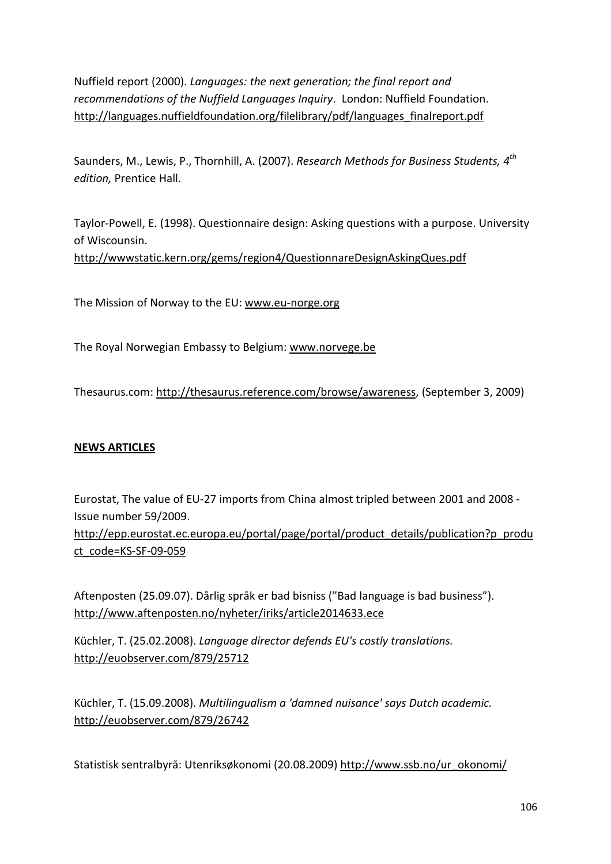Nuffield report (2000). *Languages: the next generation; the final report and recommendations of the Nuffield Languages Inquiry*. London: Nuffield Foundation. http://languages.nuffieldfoundation.org/filelibrary/pdf/languages\_finalreport.pdf

Saunders, M., Lewis, P., Thornhill, A. (2007). *Research Methods for Business Students, 4th edition,* Prentice Hall.

Taylor-Powell, E. (1998). Questionnaire design: Asking questions with a purpose. University of Wiscounsin. http://wwwstatic.kern.org/gems/region4/QuestionnareDesignAskingQues.pdf

The Mission of Norway to the EU: www.eu-norge.org

The Royal Norwegian Embassy to Belgium: www.norvege.be

Thesaurus.com: http://thesaurus.reference.com/browse/awareness, (September 3, 2009)

### **NEWS ARTICLES**

Eurostat, The value of EU-27 imports from China almost tripled between 2001 and 2008 - Issue number 59/2009.

http://epp.eurostat.ec.europa.eu/portal/page/portal/product\_details/publication?p\_produ ct\_code=KS-SF-09-059

Aftenposten (25.09.07). Dårlig språk er bad bisniss ("Bad language is bad business"). http://www.aftenposten.no/nyheter/iriks/article2014633.ece

Küchler, T. (25.02.2008). *Language director defends EU's costly translations.* http://euobserver.com/879/25712

Küchler, T. (15.09.2008). *Multilingualism a 'damned nuisance' says Dutch academic.* http://euobserver.com/879/26742

Statistisk sentralbyrå: Utenriksøkonomi (20.08.2009) http://www.ssb.no/ur\_okonomi/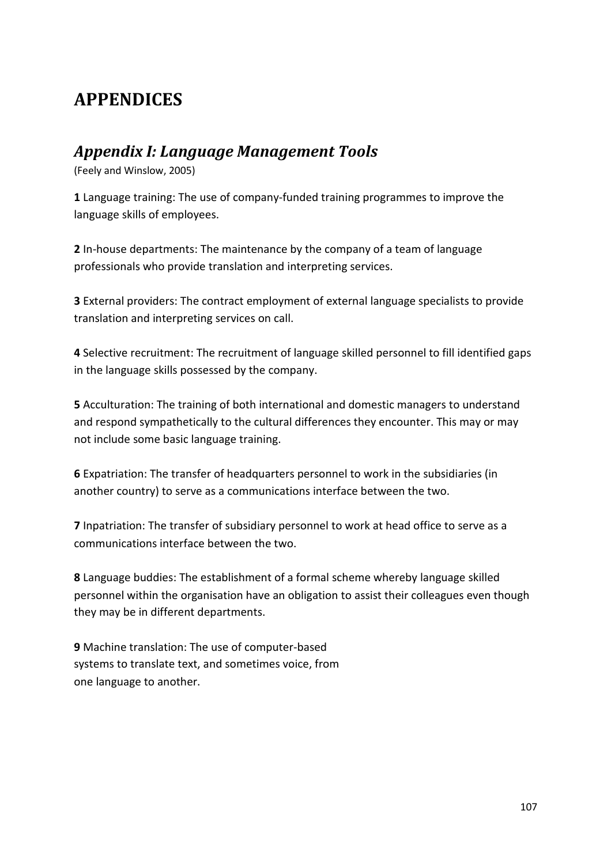# **APPENDICES**

## *Appendix I: Language Management Tools*

(Feely and Winslow, 2005)

**1** Language training: The use of company-funded training programmes to improve the language skills of employees.

**2** In-house departments: The maintenance by the company of a team of language professionals who provide translation and interpreting services.

**3** External providers: The contract employment of external language specialists to provide translation and interpreting services on call.

**4** Selective recruitment: The recruitment of language skilled personnel to fill identified gaps in the language skills possessed by the company.

**5** Acculturation: The training of both international and domestic managers to understand and respond sympathetically to the cultural differences they encounter. This may or may not include some basic language training.

**6** Expatriation: The transfer of headquarters personnel to work in the subsidiaries (in another country) to serve as a communications interface between the two.

**7** Inpatriation: The transfer of subsidiary personnel to work at head office to serve as a communications interface between the two.

**8** Language buddies: The establishment of a formal scheme whereby language skilled personnel within the organisation have an obligation to assist their colleagues even though they may be in different departments.

**9** Machine translation: The use of computer-based systems to translate text, and sometimes voice, from one language to another.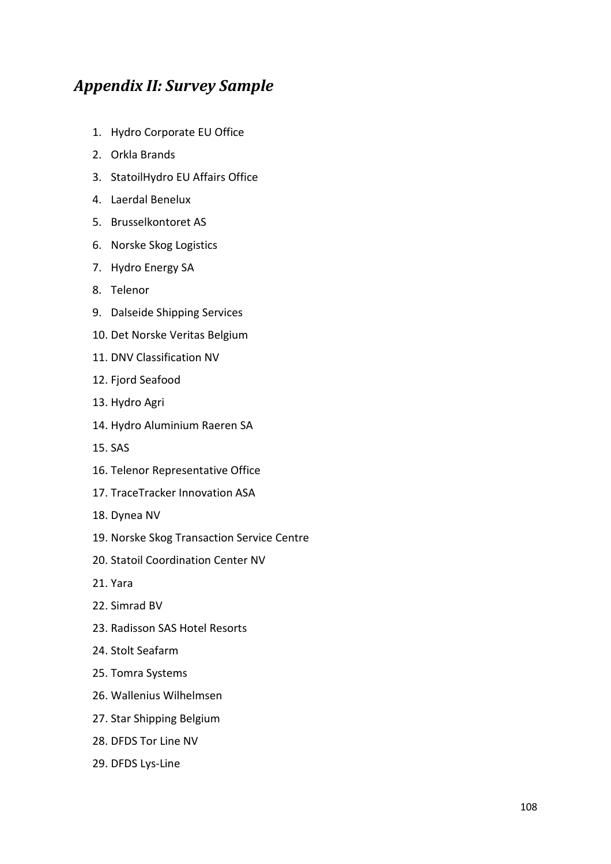# *Appendix II: Survey Sample*

- 1. Hydro Corporate EU Office
- 2. Orkla Brands
- 3. StatoilHydro EU Affairs Office
- 4. Laerdal Benelux
- 5. Brusselkontoret AS
- 6. Norske Skog Logistics
- 7. Hydro Energy SA
- 8. Telenor
- 9. Dalseide Shipping Services
- 10. Det Norske Veritas Belgium
- 11. DNV Classification NV
- 12. Fjord Seafood
- 13. Hydro Agri
- 14. Hydro Aluminium Raeren SA
- 15. SAS
- 16. Telenor Representative Office
- 17. TraceTracker Innovation ASA
- 18. Dynea NV
- 19. Norske Skog Transaction Service Centre
- 20. Statoil Coordination Center NV
- 21. Yara
- 22. Simrad BV
- 23. Radisson SAS Hotel Resorts
- 24. Stolt Seafarm
- 25. Tomra Systems
- 26. Wallenius Wilhelmsen
- 27. Star Shipping Belgium
- 28. DFDS Tor Line NV
- 29. DFDS Lys-Line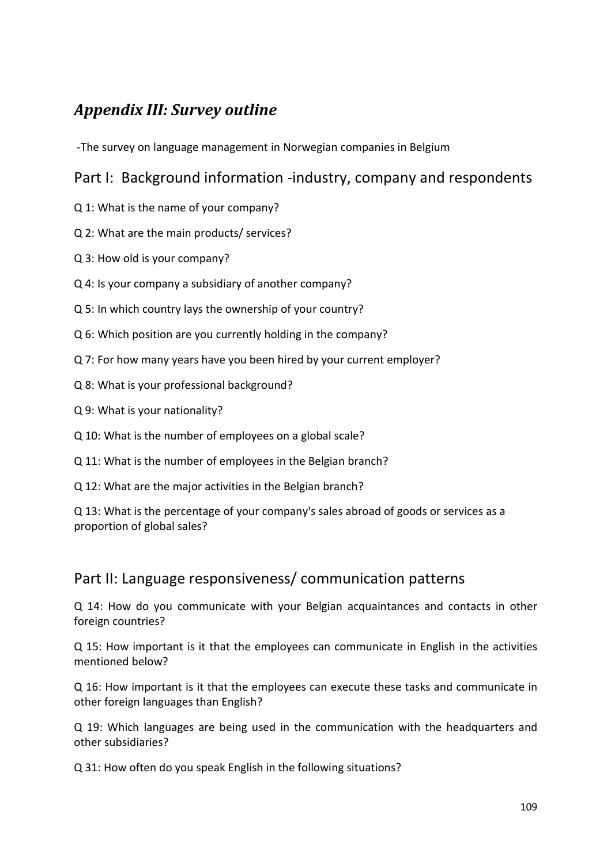# *Appendix III: Survey outline*

-The survey on language management in Norwegian companies in Belgium

## Part I: Background information -industry, company and respondents

- Q 1: What is the name of your company?
- Q 2: What are the main products/ services?
- Q 3: How old is your company?
- Q 4: Is your company a subsidiary of another company?
- Q 5: In which country lays the ownership of your country?
- Q 6: Which position are you currently holding in the company?
- Q 7: For how many years have you been hired by your current employer?
- Q 8: What is your professional background?
- Q 9: What is your nationality?
- Q 10: What is the number of employees on a global scale?
- Q 11: What is the number of employees in the Belgian branch?
- Q 12: What are the major activities in the Belgian branch?

Q 13: What is the percentage of your company's sales abroad of goods or services as a proportion of global sales?

## Part II: Language responsiveness/ communication patterns

Q 14: How do you communicate with your Belgian acquaintances and contacts in other foreign countries?

Q 15: How important is it that the employees can communicate in English in the activities mentioned below?

Q 16: How important is it that the employees can execute these tasks and communicate in other foreign languages than English?

Q 19: Which languages are being used in the communication with the headquarters and other subsidiaries?

Q 31: How often do you speak English in the following situations?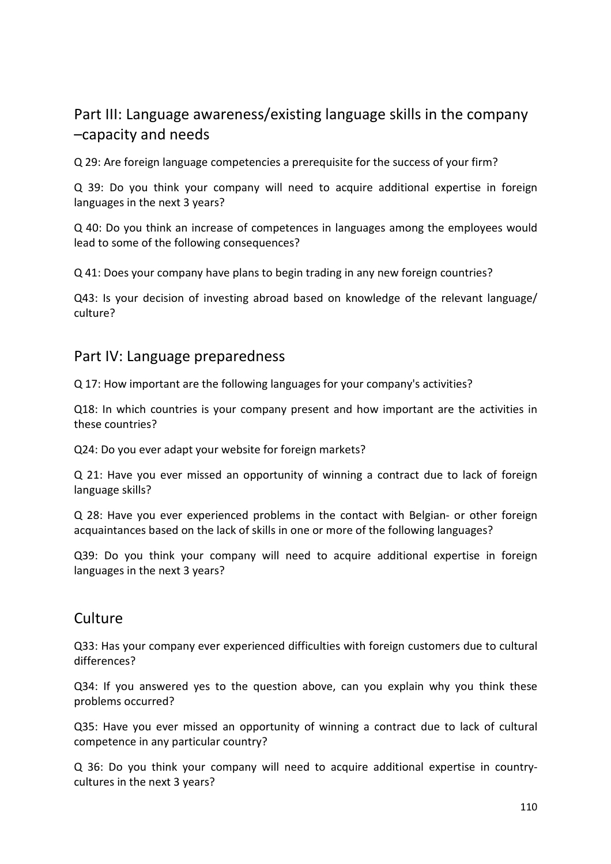# Part III: Language awareness/existing language skills in the company –capacity and needs

Q 29: Are foreign language competencies a prerequisite for the success of your firm?

Q 39: Do you think your company will need to acquire additional expertise in foreign languages in the next 3 years?

Q 40: Do you think an increase of competences in languages among the employees would lead to some of the following consequences?

Q 41: Does your company have plans to begin trading in any new foreign countries?

Q43: Is your decision of investing abroad based on knowledge of the relevant language/ culture?

#### Part IV: Language preparedness

Q 17: How important are the following languages for your company's activities?

Q18: In which countries is your company present and how important are the activities in these countries?

Q24: Do you ever adapt your website for foreign markets?

Q 21: Have you ever missed an opportunity of winning a contract due to lack of foreign language skills?

Q 28: Have you ever experienced problems in the contact with Belgian- or other foreign acquaintances based on the lack of skills in one or more of the following languages?

Q39: Do you think your company will need to acquire additional expertise in foreign languages in the next 3 years?

#### Culture

Q33: Has your company ever experienced difficulties with foreign customers due to cultural differences?

Q34: If you answered yes to the question above, can you explain why you think these problems occurred?

Q35: Have you ever missed an opportunity of winning a contract due to lack of cultural competence in any particular country?

Q 36: Do you think your company will need to acquire additional expertise in countrycultures in the next 3 years?